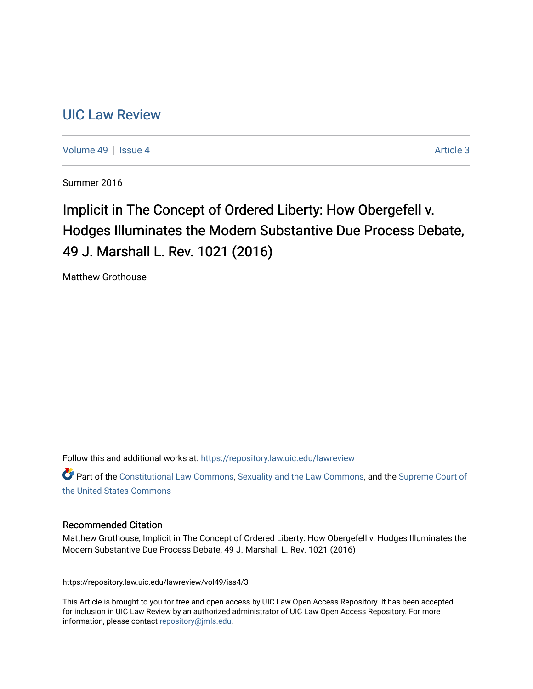# [UIC Law Review](https://repository.law.uic.edu/lawreview)

[Volume 49](https://repository.law.uic.edu/lawreview/vol49) | [Issue 4](https://repository.law.uic.edu/lawreview/vol49/iss4) Article 3

Summer 2016

# Implicit in The Concept of Ordered Liberty: How Obergefell v. Hodges Illuminates the Modern Substantive Due Process Debate, 49 J. Marshall L. Rev. 1021 (2016)

Matthew Grothouse

Follow this and additional works at: [https://repository.law.uic.edu/lawreview](https://repository.law.uic.edu/lawreview?utm_source=repository.law.uic.edu%2Flawreview%2Fvol49%2Fiss4%2F3&utm_medium=PDF&utm_campaign=PDFCoverPages) 

Part of the [Constitutional Law Commons,](http://network.bepress.com/hgg/discipline/589?utm_source=repository.law.uic.edu%2Flawreview%2Fvol49%2Fiss4%2F3&utm_medium=PDF&utm_campaign=PDFCoverPages) [Sexuality and the Law Commons](http://network.bepress.com/hgg/discipline/877?utm_source=repository.law.uic.edu%2Flawreview%2Fvol49%2Fiss4%2F3&utm_medium=PDF&utm_campaign=PDFCoverPages), and the [Supreme Court of](http://network.bepress.com/hgg/discipline/1350?utm_source=repository.law.uic.edu%2Flawreview%2Fvol49%2Fiss4%2F3&utm_medium=PDF&utm_campaign=PDFCoverPages)  [the United States Commons](http://network.bepress.com/hgg/discipline/1350?utm_source=repository.law.uic.edu%2Flawreview%2Fvol49%2Fiss4%2F3&utm_medium=PDF&utm_campaign=PDFCoverPages) 

#### Recommended Citation

Matthew Grothouse, Implicit in The Concept of Ordered Liberty: How Obergefell v. Hodges Illuminates the Modern Substantive Due Process Debate, 49 J. Marshall L. Rev. 1021 (2016)

https://repository.law.uic.edu/lawreview/vol49/iss4/3

This Article is brought to you for free and open access by UIC Law Open Access Repository. It has been accepted for inclusion in UIC Law Review by an authorized administrator of UIC Law Open Access Repository. For more information, please contact [repository@jmls.edu.](mailto:repository@jmls.edu)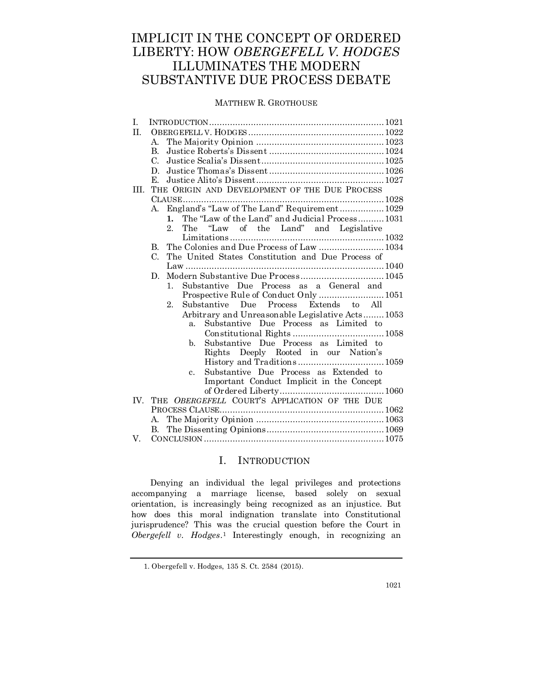## IMPLICIT IN THE CONCEPT OF ORDERED LIBERTY: HOW *OBERGEFELL V. HODGES* ILLUMINATES THE MODERN SUBSTANTIVE DUE PROCESS DEBATE

## MATTHEW R. GROTHOUSE

| Ι.   |                                                          |  |
|------|----------------------------------------------------------|--|
| II.  |                                                          |  |
|      | $\mathbf{A}_{\cdot}$                                     |  |
|      | B.                                                       |  |
|      | C.                                                       |  |
|      | D.                                                       |  |
|      | Е.                                                       |  |
| III. | THE ORIGIN AND DEVELOPMENT OF THE DUE PROCESS            |  |
|      |                                                          |  |
|      | England's "Law of The Land" Requirement 1029<br>А.       |  |
|      | The "Law of the Land" and Judicial Process1031<br>1.     |  |
|      | $2_{-}$<br>The<br>"Law of the Land" and Legislative      |  |
|      |                                                          |  |
|      | The Colonies and Due Process of Law  1034<br>B.          |  |
|      | The United States Constitution and Due Process of<br>C.  |  |
|      |                                                          |  |
|      | D.                                                       |  |
|      | Substantive Due Process as a General and<br>$1_{-}$      |  |
|      | Prospective Rule of Conduct Only  1051                   |  |
|      | Substantive Due Process Extends to All<br>2.             |  |
|      | Arbitrary and Unreasonable Legislative Acts 1053         |  |
|      | Substantive Due Process as Limited to<br>a <sub>z</sub>  |  |
|      |                                                          |  |
|      | Substantive Due Process as Limited to<br>b.              |  |
|      | Rights Deeply Rooted in our Nation's                     |  |
|      |                                                          |  |
|      | Substantive Due Process as Extended to<br>$\mathbf{c}$ . |  |
|      | Important Conduct Implicit in the Concept                |  |
|      |                                                          |  |
| IV.  | THE OBERGEFELL COURT'S APPLICATION OF THE DUE            |  |
|      |                                                          |  |
|      | A.                                                       |  |
|      | В.                                                       |  |
| V.   |                                                          |  |

## I. INTRODUCTION

Denying an individual the legal privileges and protections accompanying a marriage license, based solely on sexual orientation, is increasingly being recognized as an injustice. But how does this moral indignation translate into Constitutional jurisprudence? This was the crucial question before the Court in *Obergefell v. Hodges*. <sup>1</sup> Interestingly enough, in recognizing an

<sup>1.</sup> Obergefell v. Hodges, 135 S. Ct. 2584 (2015).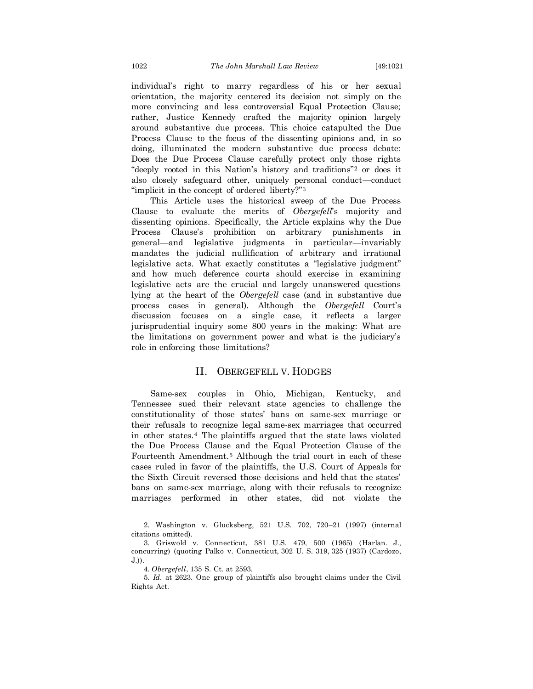individual's right to marry regardless of his or her sexual orientation, the majority centered its decision not simply on the more convincing and less controversial Equal Protection Clause; rather, Justice Kennedy crafted the majority opinion largely around substantive due process. This choice catapulted the Due Process Clause to the focus of the dissenting opinions and, in so doing, illuminated the modern substantive due process debate: Does the Due Process Clause carefully protect only those rights "deeply rooted in this Nation's history and traditions"<sup>2</sup> or does it also closely safeguard other, uniquely personal conduct—conduct "implicit in the concept of ordered liberty?"<sup>3</sup>

This Article uses the historical sweep of the Due Process Clause to evaluate the merits of *Obergefell*'s majority and dissenting opinions. Specifically, the Article explains why the Due Process Clause's prohibition on arbitrary punishments in general—and legislative judgments in particular—invariably mandates the judicial nullification of arbitrary and irrational legislative acts. What exactly constitutes a "legislative judgment" and how much deference courts should exercise in examining legislative acts are the crucial and largely unanswered questions lying at the heart of the *Obergefell* case (and in substantive due process cases in general). Although the *Obergefell* Court's discussion focuses on a single case, it reflects a larger jurisprudential inquiry some 800 years in the making: What are the limitations on government power and what is the judiciary's role in enforcing those limitations?

#### II. OBERGEFELL V. HODGES

Same-sex couples in Ohio, Michigan, Kentucky, and Tennessee sued their relevant state agencies to challenge the constitutionality of those states' bans on same-sex marriage or their refusals to recognize legal same-sex marriages that occurred in other states.<sup>4</sup> The plaintiffs argued that the state laws violated the Due Process Clause and the Equal Protection Clause of the Fourteenth Amendment.<sup>5</sup> Although the trial court in each of these cases ruled in favor of the plaintiffs, the U.S. Court of Appeals for the Sixth Circuit reversed those decisions and held that the states' bans on same-sex marriage, along with their refusals to recognize marriages performed in other states, did not violate the

<sup>2.</sup> Washington v. Glucksberg, 521 U.S. 702, 720–21 (1997) (internal citations omitted).

<sup>3.</sup> Griswold v. Connecticut, 381 U.S. 479, 500 (1965) (Harlan*.* J., concurring) (quoting Palko v. Connecticut, [302 U. S. 319,](https://supreme.justia.com/cases/federal/us/302/319/case.html) [325](https://supreme.justia.com/cases/federal/us/302/319/case.html#325) (1937) (Cardozo, J.)).

<sup>4.</sup> *Obergefell*, 135 S. Ct. at 2593.

<sup>5.</sup> *Id.* at 2623. One group of plaintiffs also brought claims under the Civil Rights Act.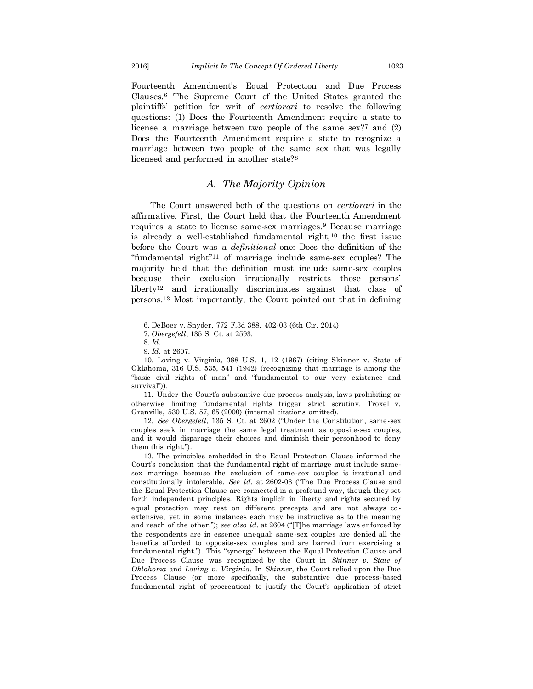Fourteenth Amendment's Equal Protection and Due Process Clauses.<sup>6</sup> The Supreme Court of the United States granted the plaintiffs' petition for writ of *certiorari* to resolve the following questions: (1) Does the Fourteenth Amendment require a state to license a marriage between two people of the same sex?<sup>7</sup> and (2) Does the Fourteenth Amendment require a state to recognize a marriage between two people of the same sex that was legally licensed and performed in another state?<sup>8</sup>

## *A. The Majority Opinion*

The Court answered both of the questions on *certiorari* in the affirmative. First, the Court held that the Fourteenth Amendment requires a state to license same-sex marriages.<sup>9</sup> Because marriage is already a well-established fundamental right, $10$  the first issue before the Court was a *definitional* one: Does the definition of the "fundamental right"<sup>11</sup> of marriage include same-sex couples? The majority held that the definition must include same-sex couples because their exclusion irrationally restricts those persons' liberty<sup>12</sup> and irrationally discriminates against that class of persons.<sup>13</sup> Most importantly, the Court pointed out that in defining

11. Under the Court's substantive due process analysis, laws prohibiting or otherwise limiting fundamental rights trigger strict scrutiny. Troxel v. Granville, 530 U.S. 57, 65 (2000) (internal citations omitted).

12. *See Obergefell*, 135 S. Ct. at 2602 ("Under the Constitution, same-sex couples seek in marriage the same legal treatment as opposite-sex couples, and it would disparage their choices and diminish their personhood to deny them this right.").

13. The principles embedded in the Equal Protection Clause informed the Court's conclusion that the fundamental right of marriage must include samesex marriage because the exclusion of same-sex couples is irrational and constitutionally intolerable. *See id.* at 2602-03 ("The Due Process Clause and the Equal Protection Clause are connected in a profound way, though they set forth independent principles. Rights implicit in liberty and rights secured by equal protection may rest on different precepts and are not always co extensive, yet in some instances each may be instructive as to the meaning and reach of the other."); *see also id.* at 2604 ("[T]he marriage laws enforced by the respondents are in essence unequal: same-sex couples are denied all the benefits afforded to opposite-sex couples and are barred from exercising a fundamental right."). This "synergy" between the Equal Protection Clause and Due Process Clause was recognized by the Court in *Skinner v. State of Oklahoma* and *Loving v. Virginia*. In *Skinner*, the Court relied upon the Due Process Clause (or more specifically, the substantive due process-based fundamental right of procreation) to justify the Court's application of strict

<sup>6.</sup> DeBoer v. Snyder, 772 F.3d 388, 402-03 (6th Cir. 2014).

<sup>7.</sup> *Obergefell*, 135 S. Ct. at 2593.

<sup>8.</sup> *Id.*

<sup>9.</sup> *Id*. at 2607.

<sup>10.</sup> Loving v. Virginia, 388 U.S. 1, 12 (1967) (citing Skinner v. State of Oklahoma, 316 U.S. 535, 541 (1942) (recognizing that marriage is among the "basic civil rights of man" and "fundamental to our very existence and survival")).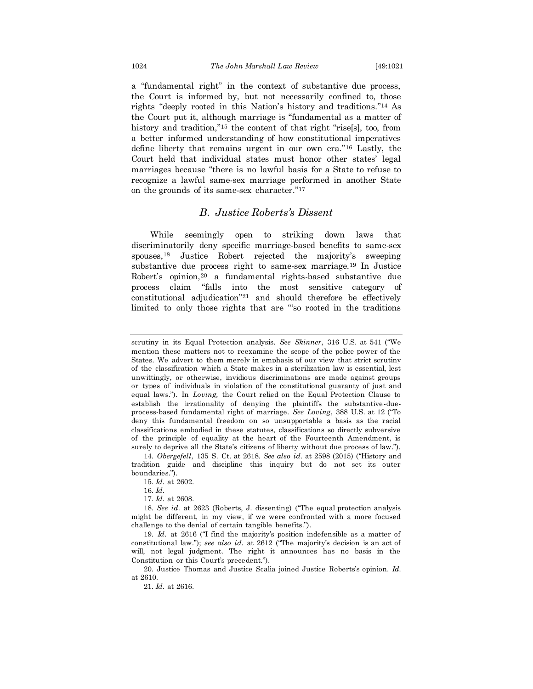a "fundamental right" in the context of substantive due process, the Court is informed by, but not necessarily confined to, those rights "deeply rooted in this Nation's history and traditions."<sup>14</sup> As the Court put it, although marriage is "fundamental as a matter of history and tradition,"<sup>15</sup> the content of that right "rise[s], too, from a better informed understanding of how constitutional imperatives define liberty that remains urgent in our own era."<sup>16</sup> Lastly, the Court held that individual states must honor other states' legal marriages because "there is no lawful basis for a State to refuse to recognize a lawful same-sex marriage performed in another State on the grounds of its same-sex character."<sup>17</sup>

## *B. Justice Roberts's Dissent*

While seemingly open to striking down laws that discriminatorily deny specific marriage-based benefits to same-sex spouses,<sup>18</sup> Justice Robert rejected the majority's sweeping substantive due process right to same-sex marriage.<sup>19</sup> In Justice Robert's opinion,<sup>20</sup> a fundamental rights-based substantive due process claim "falls into the most sensitive category of constitutional adjudication"<sup>21</sup> and should therefore be effectively limited to only those rights that are '"so rooted in the traditions

17. *Id.* at 2608.

19. *Id.* at 2616 ("I find the majority's position indefensible as a matter of constitutional law."); *see also id.* at 2612 ("The majority's decision is an act of will, not legal judgment. The right it announces has no basis in the Constitution or this Court's precedent.").

20. Justice Thomas and Justice Scalia joined Justice Roberts's opinion. *Id.*  at 2610.

21. *Id.* at 2616.

scrutiny in its Equal Protection analysis. *See Skinner*, 316 U.S. at 541 ("We mention these matters not to reexamine the scope of the police power of the States. We advert to them merely in emphasis of our view that strict scrutiny of the classification which a State makes in a sterilization law is essential, lest unwittingly, or otherwise, invidious discriminations are made against groups or types of individuals in violation of the constitutional guaranty of just and equal laws."). In *Loving,* the Court relied on the Equal Protection Clause to establish the irrationality of denying the plaintiffs the substantive -dueprocess-based fundamental right of marriage. *See Loving*, 388 U.S. at 12 ("To deny this fundamental freedom on so unsupportable a basis as the racial classifications embodied in these statutes, classifications so directly subversive of the principle of equality at the heart of the Fourteenth Amendment, is surely to deprive all the State's citizens of liberty without due process of law.").

<sup>14.</sup> *Obergefell*, 135 S. Ct. at 2618. *See also id.* at 2598 (2015) ("History and tradition guide and discipline this inquiry but do not set its outer boundaries.").

<sup>15.</sup> *Id.* at 2602.

<sup>16.</sup> *Id.*

<sup>18.</sup> *See id.* at 2623 (Roberts, J. dissenting) ("The equal protection analysis might be different, in my view, if we were confronted with a more focused challenge to the denial of certain tangible benefits.").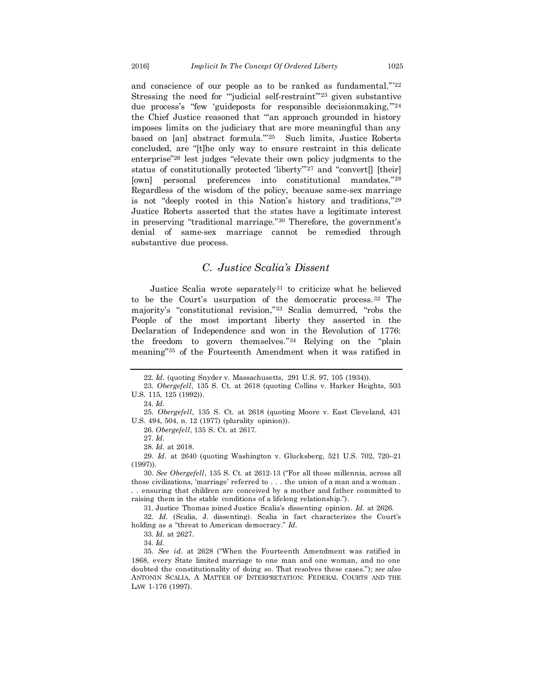and conscience of our people as to be ranked as fundamental."' 22 Stressing the need for "judicial self-restraint"<sup>23</sup> given substantive due process's "few 'guideposts for responsible decisionmaking,"<sup>24</sup> the Chief Justice reasoned that '"an approach grounded in history imposes limits on the judiciary that are more meaningful than any based on [an] abstract formula."<sup>25</sup> Such limits, Justice Roberts concluded, are "[t]he only way to ensure restraint in this delicate enterprise"<sup>26</sup> lest judges "elevate their own policy judgments to the status of constitutionally protected 'liberty"<sup>27</sup> and "convert<sup>[]</sup> [their] [own] personal preferences into constitutional mandates."<sup>28</sup> Regardless of the wisdom of the policy, because same-sex marriage is not "deeply rooted in this Nation's history and traditions,"<sup>29</sup> Justice Roberts asserted that the states have a legitimate interest in preserving "traditional marriage."<sup>30</sup> Therefore, the government's denial of same-sex marriage cannot be remedied through substantive due process.

## *C. Justice Scalia's Dissent*

Justice Scalia wrote separately<sup>31</sup> to criticize what he believed to be the Court's usurpation of the democratic process.<sup>32</sup> The majority's "constitutional revision,"<sup>33</sup> Scalia demurred, "robs the People of the most important liberty they asserted in the Declaration of Independence and won in the Revolution of 1776: the freedom to govern themselves."<sup>34</sup> Relying on the "plain meaning"<sup>35</sup> of the Fourteenth Amendment when it was ratified in

26. *Obergefell*, 135 S. Ct. at 2617.

28. *Id.* at 2618.

31. Justice Thomas joined Justice Scalia's dissenting opinion. *Id.* at 2626.

32. *Id.* (Scalia, J. dissenting). Scalia in fact characterizes the Court's holding as a "threat to American democracy." *Id.*

33. *Id.* at 2627.

<sup>22.</sup> *Id.* (quoting Snyder v. Massachusetts*,* 291 U.S. 97, 105 (1934)).

<sup>23.</sup> *Obergefell*, 135 S. Ct. at 2618 (quoting Collins v. Harker Heights, 503 U.S. 115, 125 (1992)).

<sup>24.</sup> *Id.*

<sup>25.</sup> *Obergefell*, 135 S. Ct. at 2618 (quoting Moore v. East Cleveland, 431 U.S. 494, 504, n. 12 (1977) (plurality opinion)).

<sup>27.</sup> *Id.*

<sup>29.</sup> *Id.* at 2640 (quoting Washington v. Glucksberg, 521 U.S. 702, 720–21 (1997)).

<sup>30.</sup> *See Obergefell*, 135 S. Ct. at 2612-13 ("For all those millennia, across all those civilizations, 'marriage' referred to . . . the union of a man and a woman . . . ensuring that children are conceived by a mother and father committed to raising them in the stable conditions of a lifelong relationship.").

<sup>34.</sup> *Id.*

<sup>35.</sup> *See id.* at 2628 ("When the Fourteenth Amendment was ratified in 1868, every State limited marriage to one man and one woman, and no one doubted the constitutionality of doing so. That resolves these cases."); *see also* ANTONIN SCALIA, A MATTER OF INTERPRETATION: FEDERAL COURTS AND THE LAW 1-176 (1997).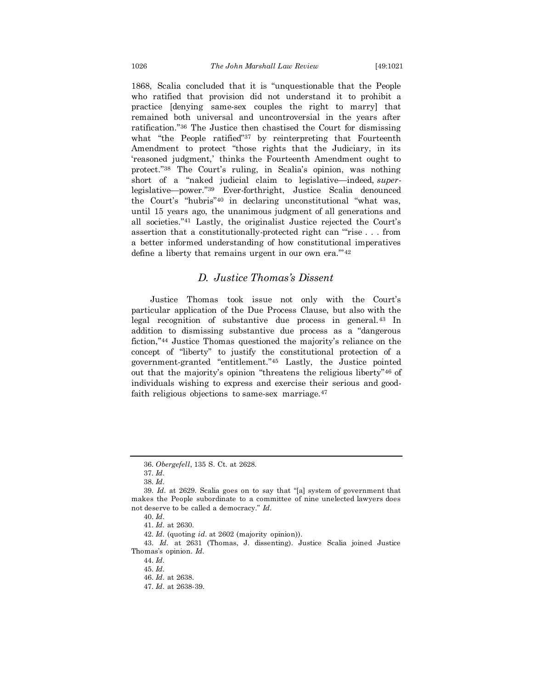1868, Scalia concluded that it is "unquestionable that the People who ratified that provision did not understand it to prohibit a practice [denying same-sex couples the right to marry] that remained both universal and uncontroversial in the years after ratification."<sup>36</sup> The Justice then chastised the Court for dismissing what "the People ratified"<sup>37</sup> by reinterpreting that Fourteenth Amendment to protect "those rights that the Judiciary, in its 'reasoned judgment,' thinks the Fourteenth Amendment ought to protect."<sup>38</sup> The Court's ruling, in Scalia's opinion, was nothing short of a "naked judicial claim to legislative—indeed, *super*legislative—power."<sup>39</sup> Ever-forthright, Justice Scalia denounced the Court's "hubris"<sup>40</sup> in declaring unconstitutional "what was, until 15 years ago, the unanimous judgment of all generations and all societies."<sup>41</sup> Lastly, the originalist Justice rejected the Court's assertion that a constitutionally-protected right can '"rise . . . from a better informed understanding of how constitutional imperatives define a liberty that remains urgent in our own era."<sup>42</sup>

## *D. Justice Thomas's Dissent*

Justice Thomas took issue not only with the Court's particular application of the Due Process Clause, but also with the legal recognition of substantive due process in general.<sup>43</sup> In addition to dismissing substantive due process as a "dangerous fiction,"<sup>44</sup> Justice Thomas questioned the majority's reliance on the concept of "liberty" to justify the constitutional protection of a government-granted "entitlement."<sup>45</sup> Lastly, the Justice pointed out that the majority's opinion "threatens the religious liberty"<sup>46</sup> of individuals wishing to express and exercise their serious and goodfaith religious objections to same-sex marriage.<sup>47</sup>

43. *Id.* at 2631 (Thomas, J. dissenting). Justice Scalia joined Justice Thomas's opinion. *Id.*

<sup>36.</sup> *Obergefell*, 135 S. Ct. at 2628.

<sup>37.</sup> *Id.*

<sup>38.</sup> *Id.*

<sup>39.</sup> *Id*. at 2629. Scalia goes on to say that "[a] system of government that makes the People subordinate to a committee of nine unelected lawyers does not deserve to be called a democracy." *Id.*

<sup>40.</sup> *Id.*

<sup>41.</sup> *Id.* at 2630.

<sup>42.</sup> *Id.* (quoting *id.* at 2602 (majority opinion)).

<sup>44.</sup> *Id.*

<sup>45.</sup> *Id.*

<sup>46.</sup> *Id.* at 2638.

<sup>47.</sup> *Id.* at 2638-39.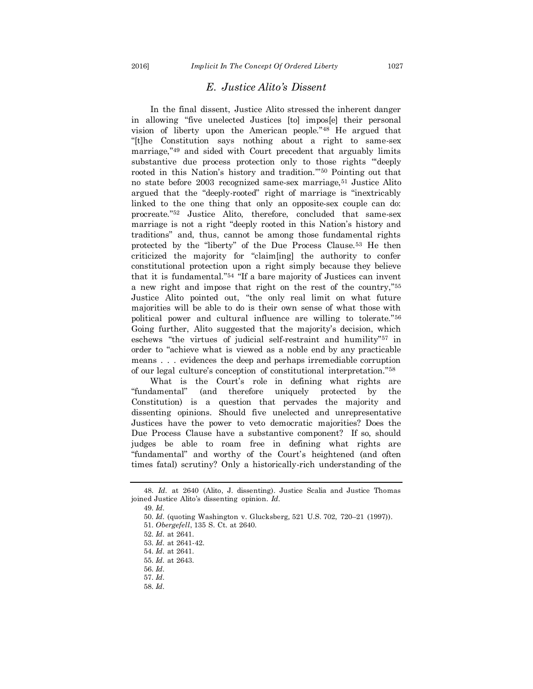## *E. Justice Alito's Dissent*

In the final dissent, Justice Alito stressed the inherent danger in allowing "five unelected Justices [to] impos[e] their personal vision of liberty upon the American people."<sup>48</sup> He argued that "[t]he Constitution says nothing about a right to same-sex marriage,"<sup>49</sup> and sided with Court precedent that arguably limits substantive due process protection only to those rights "deeply rooted in this Nation's history and tradition.'"<sup>50</sup> Pointing out that no state before 2003 recognized same-sex marriage,<sup>51</sup> Justice Alito argued that the "deeply-rooted" right of marriage is "inextricably linked to the one thing that only an opposite-sex couple can do: procreate."<sup>52</sup> Justice Alito, therefore, concluded that same-sex marriage is not a right "deeply rooted in this Nation's history and traditions" and, thus, cannot be among those fundamental rights protected by the "liberty" of the Due Process Clause.<sup>53</sup> He then criticized the majority for "claim[ing] the authority to confer constitutional protection upon a right simply because they believe that it is fundamental."<sup>54</sup> "If a bare majority of Justices can invent a new right and impose that right on the rest of the country,"<sup>55</sup> Justice Alito pointed out, "the only real limit on what future majorities will be able to do is their own sense of what those with political power and cultural influence are willing to tolerate."<sup>56</sup> Going further, Alito suggested that the majority's decision, which eschews "the virtues of judicial self-restraint and humility"<sup>57</sup> in order to "achieve what is viewed as a noble end by any practicable means . . . evidences the deep and perhaps irremediable corruption of our legal culture's conception of constitutional interpretation."<sup>58</sup>

What is the Court's role in defining what rights are "fundamental" (and therefore uniquely protected by the Constitution) is a question that pervades the majority and dissenting opinions. Should five unelected and unrepresentative Justices have the power to veto democratic majorities? Does the Due Process Clause have a substantive component? If so, should judges be able to roam free in defining what rights are "fundamental" and worthy of the Court's heightened (and often times fatal) scrutiny? Only a historically-rich understanding of the

<sup>48.</sup> *Id.* at 2640 (Alito, J. dissenting). Justice Scalia and Justice Thomas joined Justice Alito's dissenting opinion. *Id.*

<sup>49.</sup> *Id.*

<sup>50.</sup> *Id.* (quoting Washington v. Glucksberg*,* 521 U.S. 702, 720–21 (1997)).

<sup>51.</sup> *Obergefell*, 135 S. Ct. at 2640.

<sup>52.</sup> *Id.* at 2641.

<sup>53.</sup> *Id.* at 2641-42.

<sup>54.</sup> *Id.* at 2641.

<sup>55.</sup> *Id.* at 2643.

<sup>56.</sup> *Id.* 57. *Id.*

<sup>58.</sup> *Id.*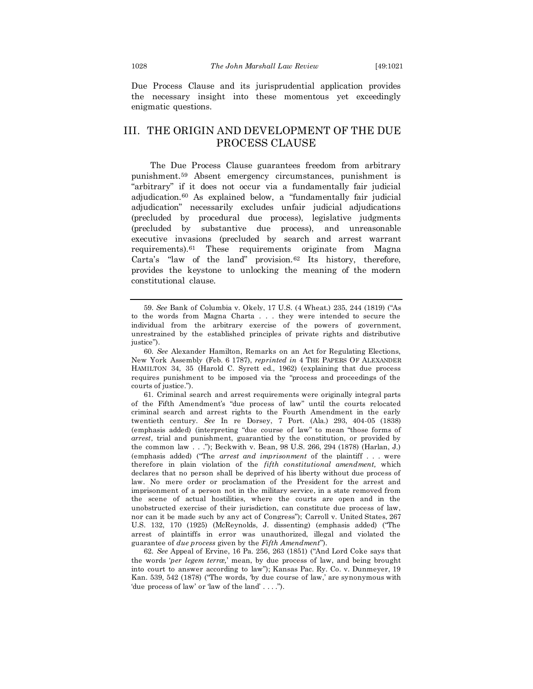Due Process Clause and its jurisprudential application provides the necessary insight into these momentous yet exceedingly enigmatic questions.

## III. THE ORIGIN AND DEVELOPMENT OF THE DUE PROCESS CLAUSE

The Due Process Clause guarantees freedom from arbitrary punishment.<sup>59</sup> Absent emergency circumstances, punishment is "arbitrary" if it does not occur via a fundamentally fair judicial adjudication.<sup>60</sup> As explained below, a "fundamentally fair judicial adjudication" necessarily excludes unfair judicial adjudications (precluded by procedural due process), legislative judgments (precluded by substantive due process), and unreasonable executive invasions (precluded by search and arrest warrant requirements).<sup>61</sup> These requirements originate from Magna Carta's "law of the land" provision.<sup>62</sup> Its history, therefore, provides the keystone to unlocking the meaning of the modern constitutional clause.

61. Criminal search and arrest requirements were originally integral parts of the Fifth Amendment's "due process of law" until the courts relocated criminal search and arrest rights to the Fourth Amendment in the early twentieth century. *See* In re Dorsey, 7 Port. (Ala.) 293, 404-05 (1838) (emphasis added) (interpreting "due course of law" to mean "those forms of *arrest*, trial and punishment, guarantied by the constitution, or provided by the common law . . ."); Beckwith v. Bean, 98 U.S. 266, 294 (1878) (Harlan, J.) (emphasis added) ("The *arrest and imprisonment* of the plaintiff . . . were therefore in plain violation of the *fifth constitutional amendment,* which declares that no person shall be deprived of his liberty without due process of law. No mere order or proclamation of the President for the arrest and imprisonment of a person not in the military service, in a state removed from the scene of actual hostilities, where the courts are open and in the unobstructed exercise of their jurisdiction, can constitute due process of law, nor can it be made such by any act of Congress"); Carroll v. United States, 267 U.S. 132, 170 (1925) (McReynolds, J. dissenting) (emphasis added) ("The arrest of plaintiffs in error was unauthorized, illegal and violated the guarantee of *due process* given by the *Fifth Amendment*").

62. *See* Appeal of Ervine, 16 Pa. 256, 263 (1851) ("And Lord Coke says that the words '*per legem terræ,*' mean, by due process of law, and being brought into court to answer according to law"); Kansas Pac. Ry. Co. v. Dunmeyer, 19 Kan. 539, 542 (1878) ("The words, 'by due course of law,' are synonymous with 'due process of law' or 'law of the land' . . . .").

<sup>59.</sup> *See* Bank of Columbia v. Okely, 17 U.S. (4 Wheat.) 235, 244 (1819) ("As to the words from Magna Charta . . . they were intended to secure the individual from the arbitrary exercise of the powers of government, unrestrained by the established principles of private rights and distributive justice").

<sup>60.</sup> *See* Alexander Hamilton, Remarks on an Act for Regulating Elections, New York Assembl*y* (Feb. 6 1787), *reprinted in* 4 THE PAPERS OF ALEXANDER HAMILTON 34, 35 (Harold C. Syrett ed., 1962) (explaining that due process requires punishment to be imposed via the "process and proceedings of the courts of justice.").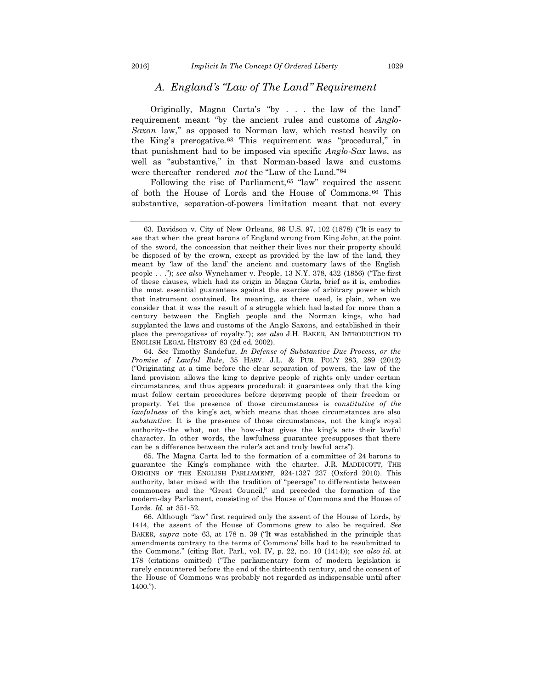## *A. England's "Law of The Land" Requirement*

Originally, Magna Carta's "by . . . the law of the land" requirement meant "by the ancient rules and customs of *Anglo-Saxon* law," as opposed to Norman law, which rested heavily on the King's prerogative.<sup>63</sup> This requirement was "procedural," in that punishment had to be imposed via specific *Anglo-Sax* laws, as well as "substantive," in that Norman-based laws and customs were thereafter rendered *not* the "Law of the Land."<sup>64</sup>

Following the rise of Parliament,<sup>65</sup> "law" required the assent of both the House of Lords and the House of Commons.<sup>66</sup> This substantive, separation-of-powers limitation meant that not every

65. The Magna Carta led to the formation of a committee of 24 barons to guarantee the King's compliance with the charter. J.R. MADDICOTT, THE ORIGINS OF THE ENGLISH PARLIAMENT, 924-1327 237 (Oxford 2010). This authority, later mixed with the tradition of "peerage" to differentiate between commoners and the "Great Council," and preceded the formation of the modern-day Parliament, consisting of the House of Commons and the House of Lords. *Id.* at 351-52.

66. Although "law" first required only the assent of the House of Lords, by 1414, the assent of the House of Commons grew to also be required. *See*  BAKER, *supra* note 63, at 178 n. 39 ("It was established in the principle that amendments contrary to the terms of Commons' bills had to be resubmitted to the Commons." (citing Rot. Parl., vol. IV, p. 22, no. 10 (1414)); *see also id.* at 178 (citations omitted) ("The parliamentary form of modern legislation is rarely encountered before the end of the thirteenth century, and the consent of the House of Commons was probably not regarded as indispensable until after 1400.").

<sup>63.</sup> Davidson v. City of New Orleans, 96 U.S. 97, 102 (1878) ("It is easy to see that when the great barons of England wrung from King John, at the point of the sword, the concession that neither their lives nor their property should be disposed of by the crown, except as provided by the law of the land, they meant by 'law of the land' the ancient and customary laws of the English people . . ."); *see also* Wynehamer v. People, 13 N.Y. 378, 432 (1856) ("The first of these clauses, which had its origin in Magna Carta, brief as it is, embodies the most essential guarantees against the exercise of arbitrary power which that instrument contained. Its meaning, as there used, is plain, when we consider that it was the result of a struggle which had lasted for more than a century between the English people and the Norman kings, who had supplanted the laws and customs of the Anglo Saxons, and established in their place the prerogatives of royalty."); *see also* J.H. BAKER, AN INTRODUCTION TO ENGLISH LEGAL HISTORY 83 (2d ed. 2002).

<sup>64.</sup> *See* Timothy Sandefur, *In Defense of Substantive Due Process, or the Promise of Lawful Rule*, 35 HARV. J.L. & PUB. POL'Y 283, 289 (2012) ("Originating at a time before the clear separation of powers, the law of the land provision allows the king to deprive people of rights only under certain circumstances, and thus appears procedural: it guarantees only that the king must follow certain procedures before depriving people of their freedom or property. Yet the presence of those circumstances is *constitutive of the lawfulness* of the king's act, which means that those circumstances are also *substantive*: It is the presence of those circumstances, not the king's royal authority--the what, not the how--that gives the king's acts their lawful character. In other words, the lawfulness guarantee presupposes that there can be a difference between the ruler's act and truly lawful acts").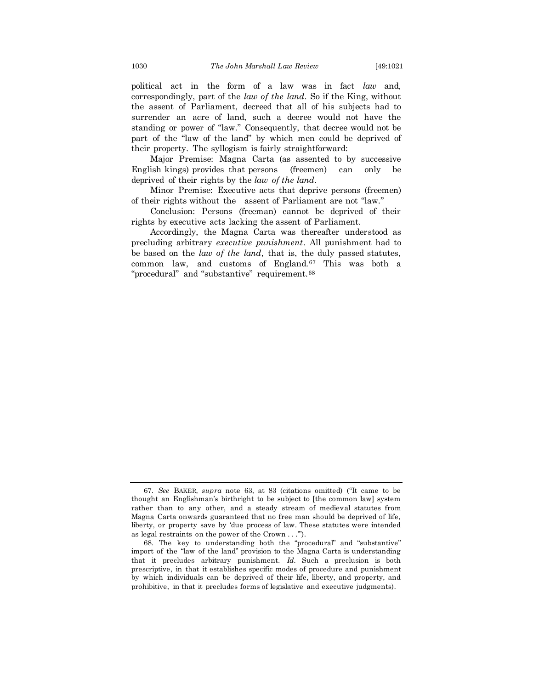political act in the form of a law was in fact *law* and, correspondingly, part of the *law of the land*. So if the King, without the assent of Parliament, decreed that all of his subjects had to surrender an acre of land, such a decree would not have the standing or power of "law." Consequently, that decree would not be part of the "law of the land" by which men could be deprived of their property. The syllogism is fairly straightforward:

Major Premise: Magna Carta (as assented to by successive English kings) provides that persons (freemen) can only be deprived of their rights by the *law of the land*.

Minor Premise: Executive acts that deprive persons (freemen) of their rights without the assent of Parliament are not "law."

Conclusion: Persons (freeman) cannot be deprived of their rights by executive acts lacking the assent of Parliament.

Accordingly, the Magna Carta was thereafter understood as precluding arbitrary *executive punishment*. All punishment had to be based on the *law of the land*, that is, the duly passed statutes, common law, and customs of England.<sup>67</sup> This was both a "procedural" and "substantive" requirement.<sup>68</sup>

<sup>67.</sup> *See* BAKER, *supra* note 63, at 83 (citations omitted) ("It came to be thought an Englishman's birthright to be subject to [the common law] system rather than to any other, and a steady stream of medieval statutes from Magna Carta onwards guaranteed that no free man should be deprived of life, liberty, or property save by 'due process of law. These statutes were intended as legal restraints on the power of the Crown . . .'").

<sup>68.</sup> The key to understanding both the "procedural" and "substantive" import of the "law of the land" provision to the Magna Carta is understanding that it precludes arbitrary punishment. *Id.* Such a preclusion is both prescriptive, in that it establishes specific modes of procedure and punishment by which individuals can be deprived of their life, liberty, and property, and prohibitive, in that it precludes forms of legislative and executive judgments).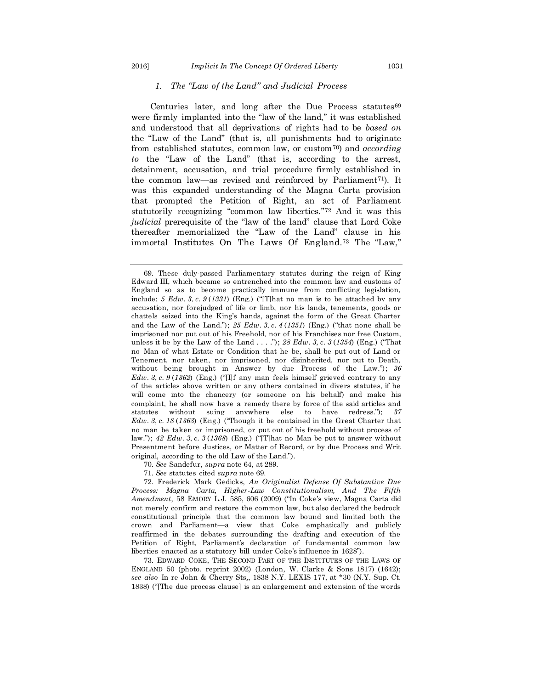#### *1. The "Law of the Land" and Judicial Process*

Centuries later, and long after the Due Process statutes $69$ were firmly implanted into the "law of the land," it was established and understood that all deprivations of rights had to be *based on* the "Law of the Land" (that is, all punishments had to originate from established statutes, common law, or custom70) and *according to* the "Law of the Land" (that is, according to the arrest, detainment, accusation, and trial procedure firmly established in the common law—as revised and reinforced by Parliament<sup>71</sup>). It was this expanded understanding of the Magna Carta provision that prompted the Petition of Right, an act of Parliament statutorily recognizing "common law liberties."<sup>72</sup> And it was this *judicial* prerequisite of the "law of the land" clause that Lord Coke thereafter memorialized the "Law of the Land" clause in his immortal Institutes On The Laws Of England. <sup>73</sup> The "Law,"

- 70. *See* Sandefur, *supra* note 64, at 289.
- 71. *See* statutes cited *supra* note 69.

72. Frederick Mark Gedicks, *An Originalist Defense Of Substantive Due Process: Magna Carta, Higher-Law Constitutionalism, And The Fifth Amendment*, 58 EMORY L.J. 585, 606 (2009) ("In Coke's view, Magna Carta did not merely confirm and restore the common law, but also declared the bedrock constitutional principle that the common law bound and limited both the crown and Parliament—a view that Coke emphatically and publicly reaffirmed in the debates surrounding the drafting and execution of the Petition of Right, Parliament's declaration of fundamental common law liberties enacted as a statutory bill under Coke's influence in 1628").

73. EDWARD COKE, THE SECOND PART OF THE INSTITUTES OF THE LAWS OF ENGLAND 50 (photo. reprint 2002) (London, W. Clarke & Sons 1817) (1642); *see also* In re John & Cherry Sts., 1838 N.Y. LEXIS 177, at \*30 (N.Y. Sup. Ct. 1838) ("[The due process clause] is an enlargement and extension of the words

<sup>69.</sup> These duly-passed Parliamentary statutes during the reign of King Edward III, which became so entrenched into the common law and customs of England so as to become practically immune from conflicting legislation, include: *5 Edw*. *3*, *c*. *9* (*1331*) (Eng.) ("[T]hat no man is to be attached by any accusation, nor forejudged of life or limb, nor his lands, tenements, goods or chattels seized into the King's hands, against the form of the Great Charter and the Law of the Land."); *25 Edw*. *3*, *c*. *4* (*1351*) (Eng.) ("that none shall be imprisoned nor put out of his Freehold, nor of his Franchises nor free Custom, unless it be by the Law of the Land . . . ."); *28 Edw*. *3*, *c*. *3* (*1354*) (Eng.) ("That no Man of what Estate or Condition that he be, shall be put out of Land or Tenement, nor taken, nor imprisoned, nor disinherited, nor put to Death, without being brought in Answer by due Process of the Law."); *36 Edw*. *3*, *c*. *9* (*1362*) (Eng.) ("[I]f any man feels himself grieved contrary to any of the articles above written or any others contained in divers statutes, if he will come into the chancery (or someone on his behalf) and make his complaint, he shall now have a remedy there by force of the said articles and statutes without suing anywhere else to have redress."); *37 Edw*. *3*, *c*. *18* (*1363*) (Eng.) ("Though it be contained in the Great Charter that no man be taken or imprisoned, or put out of his freehold without process of law."); *42 Edw*. *3*, *c*. *3* (*1368*) (Eng.) ("[T]hat no Man be put to answer without Presentment before Justices, or Matter of Record, or by due Process and Writ original, according to the old Law of the Land.").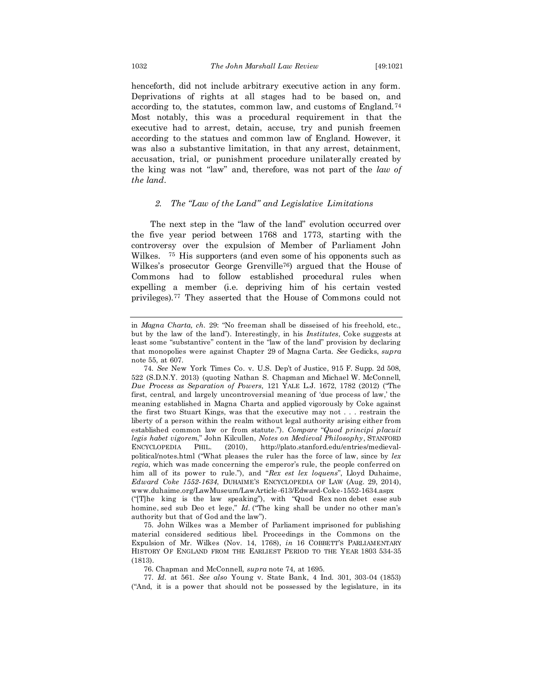henceforth, did not include arbitrary executive action in any form. Deprivations of rights at all stages had to be based on, and according to, the statutes, common law, and customs of England.<sup>74</sup> Most notably, this was a procedural requirement in that the executive had to arrest, detain, accuse, try and punish freemen according to the statues and common law of England. However, it was also a substantive limitation, in that any arrest, detainment, accusation, trial, or punishment procedure unilaterally created by the king was not "law" and, therefore, was not part of the *law of the land*.

#### *2. The "Law of the Land" and Legislative Limitations*

The next step in the "law of the land" evolution occurred over the five year period between 1768 and 1773, starting with the controversy over the expulsion of Member of Parliament John Wilkes. <sup>75</sup> His supporters (and even some of his opponents such as Wilkes's prosecutor George Grenville76) argued that the House of Commons had to follow established procedural rules when expelling a member (i.e. depriving him of his certain vested privileges).<sup>77</sup> They asserted that the House of Commons could not

in *Magna Charta, ch.* 29: "No freeman shall be disseised of his freehold, etc., but by the law of the land"). Interestingly, in his *Institutes*, Coke suggests at least some "substantive" content in the "law of the land" provision by declaring that monopolies were against Chapter 29 of Magna Carta. *See* Gedicks, *supra* note 55, at 607.

<sup>74.</sup> *See* New York Times Co. v. U.S. Dep't of Justice, 915 F. Supp. 2d 508, 522 (S.D.N.Y. 2013) (quoting Nathan S. Chapman and Michael W. McConnell, *Due Process as Separation of Powers,* 121 YALE L.J. 1672, 1782 (2012) ("The first, central, and largely uncontroversial meaning of 'due process of law,' the meaning established in Magna Charta and applied vigorously by Coke against the first two Stuart Kings, was that the executive may not . . . restrain the liberty of a person within the realm without legal authority arising either from established common law or from statute."). *Compare* "*Quod principi placuit legis habet vigorem*," John Kilcullen, *Notes on Medieval Philosophy*, STANFORD ENCYCLOPEDIA PHIL. (2010), http://plato.stanford.edu/entries/medievalpolitical/notes.html ("What pleases the ruler has the force of law, since by *lex regia*, which was made concerning the emperor's rule, the people conferred on him all of its power to rule."), and "*Rex est lex loquens*", Lloyd Duhaime, *Edward Coke 1552-1634*, DUHAIME'S ENCYCLOPEDIA OF LAW (Aug. 29, 2014), www.duhaime.org/LawMuseum/LawArticle-613/Edward-Coke-1552-1634.aspx ("[T]he king is the law speaking"), with "Quod Rex non debet esse sub homine, sed sub Deo et lege," *Id.* ("The king shall be under no other man's authority but that of God and the law").

<sup>75.</sup> John Wilkes was a Member of Parliament imprisoned for publishing material considered seditious libel. Proceedings in the Commons on the Expulsion of Mr. Wilkes (Nov. 14, 1768), *in* 16 COBBETT'S PARLIAMENTARY HISTORY OF ENGLAND FROM THE EARLIEST PERIOD TO THE YEAR 1803 534-35 (1813).

<sup>76.</sup> Chapman and McConnell, *supra* note 74, at 1695.

<sup>77.</sup> *Id.* at 561. *See also* Young v. State Bank, 4 Ind. 301, 303-04 (1853) ("And, it is a power that should not be possessed by the legislature, in its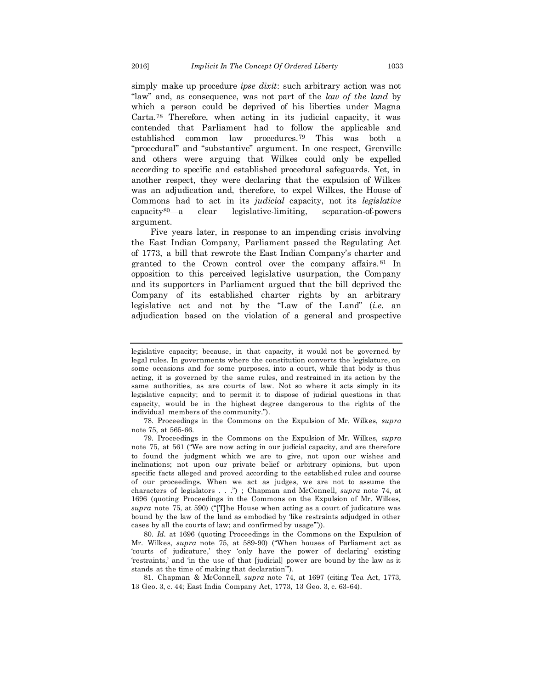simply make up procedure *ipse dixit*: such arbitrary action was not "law" and, as consequence, was not part of the *law of the land* by which a person could be deprived of his liberties under Magna Carta.<sup>78</sup> Therefore, when acting in its judicial capacity, it was contended that Parliament had to follow the applicable and established common law procedures.<sup>79</sup> This was both a "procedural" and "substantive" argument. In one respect, Grenville and others were arguing that Wilkes could only be expelled according to specific and established procedural safeguards. Yet, in another respect, they were declaring that the expulsion of Wilkes was an adjudication and, therefore, to expel Wilkes, the House of Commons had to act in its *judicial* capacity, not its *legislative* capacity80—a clear legislative-limiting, separation-of-powers argument.

Five years later, in response to an impending crisis involving the East Indian Company, Parliament passed the Regulating Act of 1773, a bill that rewrote the East Indian Company's charter and granted to the Crown control over the company affairs.<sup>81</sup> In opposition to this perceived legislative usurpation, the Company and its supporters in Parliament argued that the bill deprived the Company of its established charter rights by an arbitrary legislative act and not by the "Law of the Land" (*i.e.* an adjudication based on the violation of a general and prospective

78. Proceedings in the Commons on the Expulsion of Mr. Wilkes, *supra*  note 75, at 565-66.

79. Proceedings in the Commons on the Expulsion of Mr. Wilkes, *supra*  note 75, at 561 ("We are now acting in our judicial capacity, and are therefore to found the judgment which we are to give, not upon our wishes and inclinations; not upon our private belief or arbitrary opinions, but upon specific facts alleged and proved according to the established rules and course of our proceedings. When we act as judges, we are not to assume the characters of legislators . . .") ; Chapman and McConnell*, supra* note 74, at 1696 (quoting Proceedings in the Commons on the Expulsion of Mr. Wilkes, *supra* note 75, at 590) ("[T]he House when acting as a court of judicature was bound by the law of the land as embodied by 'like restraints adjudged in other cases by all the courts of law; and confirmed by usage'")).

80. *Id.* at 1696 (quoting Proceedings in the Commons on the Expulsion of Mr. Wilkes, *supra* note 75, at 589-90) ("When houses of Parliament act as 'courts of judicature,' they 'only have the power of declaring' existing 'restraints,' and 'in the use of that [judicial] power are bound by the law as it stands at the time of making that declaration'").

81. Chapman & McConnell, *supra* note 74, at 1697 (citing Tea Act, 1773, 13 Geo. 3, c. 44; East India Company Act, 1773, 13 Geo. 3, c. 63-64).

legislative capacity; because, in that capacity, it would not be governed by legal rules. In governments where the constitution converts the legislature, on some occasions and for some purposes, into a court, while that body is thus acting, it is governed by the same rules, and restrained in its action by the same authorities, as are courts of law. Not so where it acts simply in its legislative capacity; and to permit it to dispose of judicial questions in that capacity, would be in the highest degree dangerous to the rights of the individual members of the community.").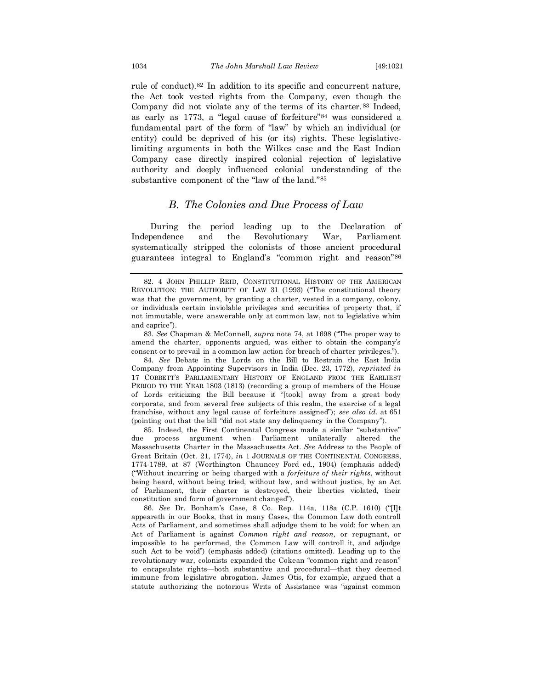rule of conduct).<sup>82</sup> In addition to its specific and concurrent nature, the Act took vested rights from the Company, even though the Company did not violate any of the terms of its charter.<sup>83</sup> Indeed, as early as 1773, a "legal cause of forfeiture"<sup>84</sup> was considered a fundamental part of the form of "law" by which an individual (or entity) could be deprived of his (or its) rights. These legislativelimiting arguments in both the Wilkes case and the East Indian Company case directly inspired colonial rejection of legislative authority and deeply influenced colonial understanding of the substantive component of the "law of the land."<sup>85</sup>

#### *B. The Colonies and Due Process of Law*

During the period leading up to the Declaration of Independence and the Revolutionary War, Parliament systematically stripped the colonists of those ancient procedural guarantees integral to England's "common right and reason"<sup>86</sup>

83. *See* Chapman & McConnell, *supra* note 74, at 1698 ("The proper way to amend the charter, opponents argued, was either to obtain the company's consent or to prevail in a common law action for breach of charter privileges.").

84. *See* Debate in the Lords on the Bill to Restrain the East India Company from Appointing Supervisors in India (Dec. 23, 1772), *reprinted in* 17 COBBETT'S PARLIAMENTARY HISTORY OF ENGLAND FROM THE EARLIEST PERIOD TO THE YEAR 1803 (1813) (recording a group of members of the House of Lords criticizing the Bill because it "[took] away from a great body corporate, and from several free subjects of this realm, the exercise of a legal franchise, without any legal cause of forfeiture assigned"); *see also id.* at 651 (pointing out that the bill "did not state any delinquency in the Company").

85. Indeed, the First Continental Congress made a similar "substantive" due process argument when Parliament unilaterally altered the Massachusetts Charter in the Massachusetts Act. *See* Address to the People of Great Britain (Oct. 21, 1774), *in* 1 JOURNALS OF THE CONTINENTAL CONGRESS, 1774-1789, at 87 (Worthington Chauncey Ford ed., 1904) (emphasis added) ("Without incurring or being charged with a *forfeiture of their rights*, without being heard, without being tried, without law, and without justice, by an Act of Parliament, their charter is destroyed, their liberties violated, their constitution and form of government changed").

86. *See* Dr. Bonham's Case, 8 Co. Rep. 114a, 118a (C.P. 1610) ("[I]t appeareth in our Books, that in many Cases, the Common Law doth controll Acts of Parliament, and sometimes shall adjudge them to be void: for when an Act of Parliament is against *Common right and reason,* or repugnant, or impossible to be performed, the Common Law will controll it, and adjudge such Act to be void") (emphasis added) (citations omitted). Leading up to the revolutionary war, colonists expanded the Cokean "common right and reason" to encapsulate rights—both substantive and procedural—that they deemed immune from legislative abrogation. James Otis, for example, argued that a statute authorizing the notorious Writs of Assistance was "against common

<sup>82.</sup> 4 JOHN PHILLIP REID, CONSTITUTIONAL HISTORY OF THE AMERICAN REVOLUTION: THE AUTHORITY OF LAW 31 (1993) ("The constitutional theory was that the government, by granting a charter, vested in a company, colony, or individuals certain inviolable privileges and securities of property that, if not immutable, were answerable only at common law, not to legislative whim and caprice").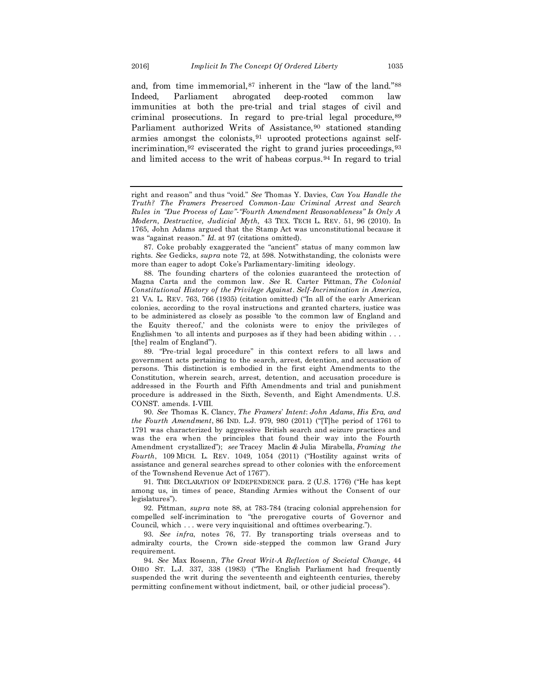and, from time immemorial,<sup>87</sup> inherent in the "law of the land."<sup>88</sup> Indeed, Parliament abrogated deep-rooted common law immunities at both the pre-trial and trial stages of civil and criminal prosecutions. In regard to pre-trial legal procedure,<sup>89</sup> Parliament authorized Writs of Assistance,<sup>90</sup> stationed standing armies amongst the colonists,<sup>91</sup> uprooted protections against selfincrimination, $92$  eviscerated the right to grand juries proceedings,  $93$ and limited access to the writ of habeas corpus.<sup>94</sup> In regard to trial

91. THE DECLARATION OF INDEPENDENCE para. 2 (U.S. 1776) ("He has kept among us, in times of peace, Standing Armies without the Consent of our legislatures").

92. Pittman, *supra* note 88, at 783-784 (tracing colonial apprehension for compelled self-incrimination to "the prerogative courts of Governor and Council, which . . . were very inquisitional and ofttimes overbearing.").

93. *See infra*, notes 76, 77. By transporting trials overseas and to admiralty courts, the Crown side-stepped the common law Grand Jury requirement.

94. *See* Max Rosenn, *The Great Writ-A Reflection of Societal Change*, 44 OHIO ST. L.J. 337, 338 (1983) ("The English Parliament had frequently suspended the writ during the seventeenth and eighteenth centuries, thereby permitting confinement without indictment, bail, or other judicial process").

right and reason" and thus "void." *See* Thomas Y. Davies, *Can You Handle the Truth? The Framers Preserved Common-Law Criminal Arrest and Search Rules in "Due Process of Law"-"Fourth Amendment Reasonableness" Is Only A Modern, Destructive, Judicial Myth,* 43 TEX. TECH L. REV. 51, 96 (2010). In 1765, John Adams argued that the Stamp Act was unconstitutional because it was "against reason." *Id.* at 97 (citations omitted).

<sup>87.</sup> Coke probably exaggerated the "ancient" status of many common law rights. *See* Gedicks, *supra* note 72, at 598. Notwithstanding, the colonists were more than eager to adopt Coke's Parliamentary-limiting ideology.

<sup>88.</sup> The founding charters of the colonies guaranteed the protection of Magna Carta and the common law. *See* R. Carter Pittman, *The Colonial Constitutional History of the Privilege Against*. *Self*-*Incrimination in America*, 21 VA. L. REV. 763, 766 (1935) (citation omitted) ("In all of the early American colonies, according to the royal instructions and granted charters, justice was to be administered as closely as possible 'to the common law of England and the Equity thereof,' and the colonists were to enjoy the privileges of Englishmen 'to all intents and purposes as if they had been abiding within . . . [the] realm of England").

<sup>89.</sup> "Pre-trial legal procedure" in this context refers to all laws and government acts pertaining to the search, arrest, detention, and accusation of persons. This distinction is embodied in the first eight Amendments to the Constitution, wherein search, arrest, detention, and accusation procedure is addressed in the Fourth and Fifth Amendments and trial and punishment procedure is addressed in the Sixth, Seventh, and Eight Amendments. U.S. CONST. amends. I-VIII.

<sup>90.</sup> *See* Thomas K*.* Clancy, *The Framers*' *Intent*: *John Adams*, *His Era, and the Fourth Amendment*, 86 IND*.* L.J. 979, 980 (2011) ("[T]he period of 1761 to 1791 was characterized by aggressive British search and seizure practices and was the era when the principles that found their way into the Fourth Amendment crystallized"); *see* Tracey Maclin *&* Julia Mirabella, *Framing the Fourth*, 109 MICH*.* L. REV. 1049, 1054 (2011) ("Hostility against writs of assistance and general searches spread to other colonies with the enforcement of the Townshend Revenue Act of 1767").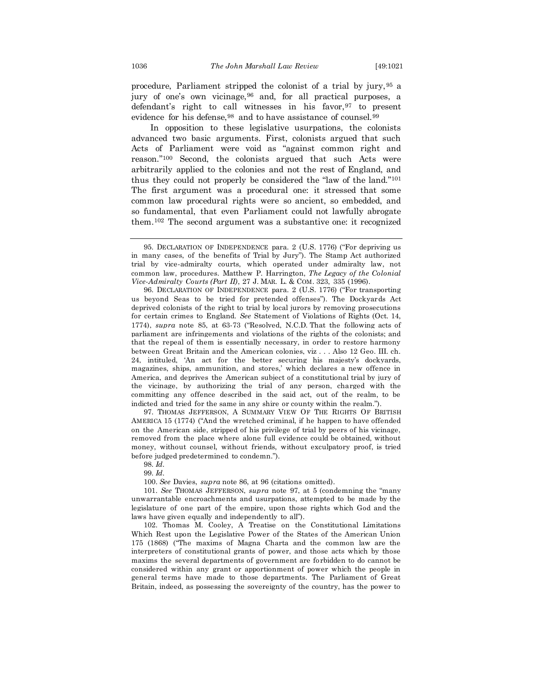procedure, Parliament stripped the colonist of a trial by jury,<sup>95</sup> a jury of one's own vicinage,<sup>96</sup> and, for all practical purposes, a defendant's right to call witnesses in his favor,  $97$  to present evidence for his defense, <sup>98</sup> and to have assistance of counsel. <sup>99</sup>

In opposition to these legislative usurpations, the colonists advanced two basic arguments. First, colonists argued that such Acts of Parliament were void as "against common right and reason."<sup>100</sup> Second, the colonists argued that such Acts were arbitrarily applied to the colonies and not the rest of England, and thus they could not properly be considered the "law of the land."<sup>101</sup> The first argument was a procedural one: it stressed that some common law procedural rights were so ancient, so embedded, and so fundamental, that even Parliament could not lawfully abrogate them.<sup>102</sup> The second argument was a substantive one: it recognized

96. DECLARATION OF INDEPENDENCE para. 2 (U.S. 1776) ("For transporting us beyond Seas to be tried for pretended offenses"). The Dockyards Act deprived colonists of the right to trial by local jurors by removing prosecutions for certain crimes to England. *See* Statement of Violations of Rights (Oct. 14, 1774), *supra* note 85, at 63-73 ("Resolved, N.C.D. That the following acts of parliament are infringements and violations of the rights of the colonists; and that the repeal of them is essentially necessary, in order to restore harmony between Great Britain and the American colonies, viz . . . Also 12 Geo. III. ch. 24, intituled, 'An act for the better securing his majesty's dockyards, magazines, ships, ammunition, and stores,' which declares a new offence in America, and deprives the American subject of a constitutional trial by jury of the vicinage, by authorizing the trial of any person, charged with the committing any offence described in the said act, out of the realm, to be indicted and tried for the same in any shire or county within the realm.").

97. THOMAS JEFFERSON, A SUMMARY VIEW OF THE RIGHTS OF BRITISH AMERICA 15 (1774) ("And the wretched criminal, if he happen to have offended on the American side, stripped of his privilege of trial by peers of his vicinage, removed from the place where alone full evidence could be obtained, without money, without counsel, without friends, without exculpatory proof, is tried before judged predetermined to condemn.").

98. *Id.*

99. *Id.*

100. *See* Davies, *supra* note 86, at 96 (citations omitted).

101. *See* THOMAS JEFFERSON, *supra* note 97, at 5 (condemning the "many unwarrantable encroachments and usurpations, attempted to be made by the legislature of one part of the empire, upon those rights which God and the laws have given equally and independently to all").

102. Thomas M. Cooley, A Treatise on the Constitutional Limitations Which Rest upon the Legislative Power of the States of the American Union 175 (1868) ("The maxims of Magna Charta and the common law are the interpreters of constitutional grants of power, and those acts which by those maxims the several departments of government are forbidden to do cannot be considered within any grant or apportionment of power which the people in general terms have made to those departments. The Parliament of Great Britain, indeed, as possessing the sovereignty of the country, has the power to

<sup>95.</sup> DECLARATION OF INDEPENDENCE para. 2 (U.S. 1776) ("For depriving us in many cases, of the benefits of Trial by Jury"). The Stamp Act authorized trial by vice-admiralty courts, which operated under admiralty law, not common law, procedures. Matthew P. Harrington, *The Legacy of the Colonial Vice-Admiralty Courts (Part II)*, 27 J. MAR. L. & COM. 323, 335 (1996).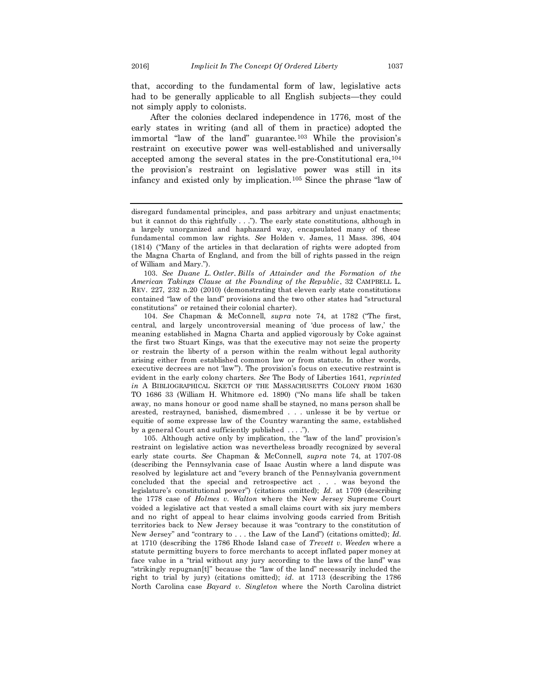that, according to the fundamental form of law, legislative acts had to be generally applicable to all English subjects—they could not simply apply to colonists.

After the colonies declared independence in 1776, most of the early states in writing (and all of them in practice) adopted the immortal "law of the land" guarantee.<sup>103</sup> While the provision's restraint on executive power was well-established and universally accepted among the several states in the pre-Constitutional era,<sup>104</sup> the provision's restraint on legislative power was still in its infancy and existed only by implication.<sup>105</sup> Since the phrase "law of

103. *See Duane L*. *Ostler*, *Bills of Attainder and the Formation of the American Takings Clause at the Founding of the Republic*, 32 CAMPBELL L. REV. 227, 232 n.20 (2010) (demonstrating that eleven early state constitutions contained "law of the land" provisions and the two other states had "structural constitutions" or retained their colonial charter).

104. *See* Chapman & McConnell, *supra* note 74, at 1782 ("The first, central, and largely uncontroversial meaning of 'due process of law,' the meaning established in Magna Charta and applied vigorously by Coke against the first two Stuart Kings, was that the executive may not seize the property or restrain the liberty of a person within the realm without legal authority arising either from established common law or from statute. In other words, executive decrees are not 'law'"). The provision's focus on executive restraint is evident in the early colony charters. *See* The Body of Liberties 1641, *reprinted in* A BIBLIOGRAPHICAL SKETCH OF THE MASSACHUSETTS COLONY FROM 1630 TO 1686 33 (William H. Whitmore ed. 1890) ("No mans life shall be taken away, no mans honour or good name shall be stayned, no mans person shall be arested, restrayned, banished, dismembred . . . unlesse it be by vertue or equitie of some expresse law of the Country waranting the same, established by a general Court and sufficiently published . . . .").

105. Although active only by implication, the "law of the land" provision's restraint on legislative action was nevertheless broadly recognized by several early state courts. *See* Chapman & McConnell, *supra* note 74, at 1707-08 (describing the Pennsylvania case of Isaac Austin where a land dispute was resolved by legislature act and "every branch of the Pennsylvania government concluded that the special and retrospective act . . . was beyond the legislature's constitutional power") (citations omitted); *Id.* at 1709 (describing the 1778 case of *Holmes v. Walton* where the New Jersey Supreme Court voided a legislative act that vested a small claims court with six jury members and no right of appeal to hear claims involving goods carried from British territories back to New Jersey because it was "contrary to the constitution of New Jersey" and "contrary to . . . the Law of the Land") (citations omitted); *Id.* at 1710 (describing the 1786 Rhode Island case of *Trevett v. Weeden* where a statute permitting buyers to force merchants to accept inflated paper money at face value in a "trial without any jury according to the laws of the land" was "strikingly repugnan[t]" because the "law of the land" necessarily included the right to trial by jury) (citations omitted); *id.* at 1713 (describing the 1786 North Carolina case *Bayard v. Singleton* where the North Carolina district

disregard fundamental principles, and pass arbitrary and unjust enactments; but it cannot do this rightfully . . ."). The early state constitutions, although in a largely unorganized and haphazard way, encapsulated many of these fundamental common law rights. *See* Holden v. James, 11 Mass. 396, 404 (1814) ("Many of the articles in that declaration of rights were adopted from the Magna Charta of England, and from the bill of rights passed in the reign of William and Mary.").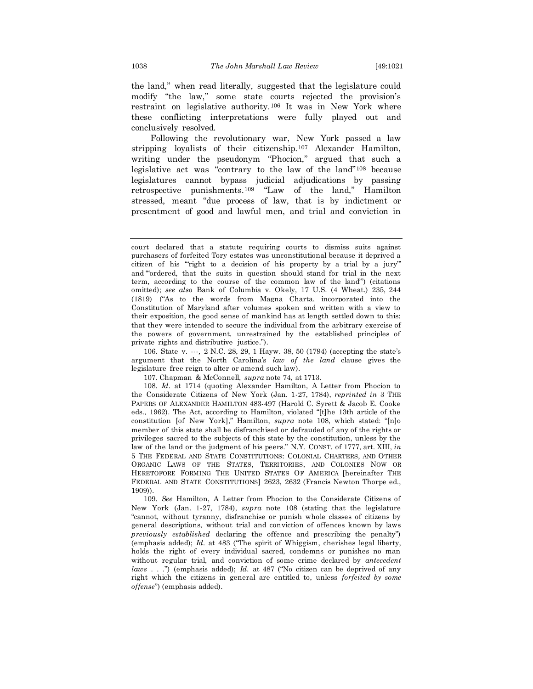the land," when read literally, suggested that the legislature could modify "the law," some state courts rejected the provision's restraint on legislative authority.<sup>106</sup> It was in New York where these conflicting interpretations were fully played out and conclusively resolved.

Following the revolutionary war, New York passed a law stripping loyalists of their citizenship.<sup>107</sup> Alexander Hamilton, writing under the pseudonym "Phocion," argued that such a legislative act was "contrary to the law of the land"<sup>108</sup> because legislatures cannot bypass judicial adjudications by passing retrospective punishments.<sup>109</sup> "Law of the land," Hamilton stressed, meant "due process of law, that is by indictment or presentment of good and lawful men, and trial and conviction in

106. State v. ---*,* 2 N.C. 28, 29, 1 Hayw. 38, 50 (1794) (accepting the state's argument that the North Carolina's *law of the land* clause gives the legislature free reign to alter or amend such law).

108. *Id*. at 1714 (quoting Alexander Hamilton, A Letter from Phocion to the Considerate Citizens of New York (Jan. 1-27, 1784), *reprinted in* 3 THE PAPERS OF ALEXANDER HAMILTON 483-497 (Harold C. Syrett & Jacob E. Cooke eds., 1962). The Act, according to Hamilton, violated "[t]he 13th article of the constitution [of New York]," Hamilton, *supra* note 108, which stated: "[n]o member of this state shall be disfranchised or defrauded of any of the rights or privileges sacred to the subjects of this state by the constitution, unless by the law of the land or the judgment of his peers." N.Y. CONST. of 1777, art. XIII, *in* 5 THE FEDERAL AND STATE CONSTITUTIONS: COLONIAL CHARTERS, AND OTHER ORGANIC LAWS OF THE STATES, TERRITORIES, AND COLONIES NOW OR HERETOFORE FORMING THE UNITED STATES OF AMERICA [hereinafter THE FEDERAL AND STATE CONSTITUTIONS] 2623, 2632 (Francis Newton Thorpe ed., 1909)).

109. *See* Hamilton, A Letter from Phocion to the Considerate Citizens of New York (Jan. 1-27, 1784), *supra* note 108 (stating that the legislature "cannot, without tyranny, disfranchise or punish whole classes of citizens by general descriptions, without trial and conviction of offences known by laws *previously established* declaring the offence and prescribing the penalty") (emphasis added); *Id.* at 483 ("The spirit of Whiggism, cherishes legal liberty, holds the right of every individual sacred, condemns or punishes no man without regular trial, and conviction of some crime declared by *antecedent laws* . . .") (emphasis added); *Id.* at 487 ("No citizen can be deprived of any right which the citizens in general are entitled to, unless *forfeited by some offense*") (emphasis added).

court declared that a statute requiring courts to dismiss suits against purchasers of forfeited Tory estates was unconstitutional because it deprived a citizen of his '"right to a decision of his property by a trial by a jury"' and '"ordered, that the suits in question should stand for trial in the next term, according to the course of the common law of the land"') (citations omitted); *see also* Bank of Columbia v. Okely, 17 U.S. (4 Wheat.) 235, 244 (1819) ("As to the words from Magna Charta, incorporated into the Constitution of Maryland after volumes spoken and written with a view to their exposition, the good sense of mankind has at length settled down to this: that they were intended to secure the individual from the arbitrary exercise of the powers of government, unrestrained by the established principles of private rights and distributive justice.").

<sup>107.</sup> Chapman & McConnell, *supra* note 74, at 1713.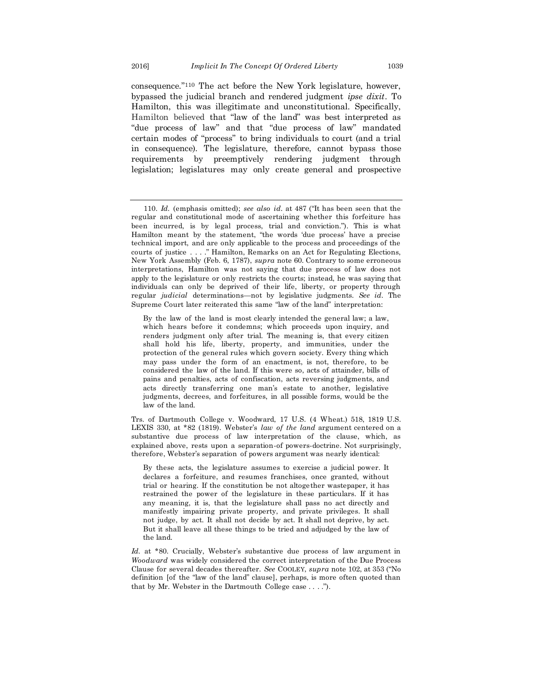consequence."<sup>110</sup> The act before the New York legislature, however, bypassed the judicial branch and rendered judgment *ipse dixit*. To Hamilton, this was illegitimate and unconstitutional. Specifically, Hamilton believed that "law of the land" was best interpreted as "due process of law" and that "due process of law" mandated certain modes of "process" to bring individuals to court (and a trial in consequence). The legislature, therefore, cannot bypass those requirements by preemptively rendering judgment through legislation; legislatures may only create general and prospective

By the law of the land is most clearly intended the general law; a law, which hears before it condemns; which proceeds upon inquiry, and renders judgment only after trial. The meaning is, that every citizen shall hold his life, liberty, property, and immunities, under the protection of the general rules which govern society. Every thing which may pass under the form of an enactment, is not, therefore, to be considered the law of the land. If this were so, acts of attainder, bills of pains and penalties, acts of confiscation, acts reversing judgments, and acts directly transferring one man's estate to another, legislative judgments, decrees, and forfeitures, in all possible forms, would be the law of the land.

Trs. of Dartmouth College v. Woodward, 17 U.S. (4 Wheat.) 518, 1819 U.S. LEXIS 330, at \*82 (1819). Webster's *law of the land* argument centered on a substantive due process of law interpretation of the clause, which, as explained above, rests upon a separation-of powers-doctrine. Not surprisingly, therefore, Webster's separation of powers argument was nearly identical:

By these acts, the legislature assumes to exercise a judicial power. It declares a forfeiture, and resumes franchises, once granted, without trial or hearing. If the constitution be not altogether wastepaper, it has restrained the power of the legislature in these particulars. If it has any meaning, it is, that the legislature shall pass no act directly and manifestly impairing private property, and private privileges. It shall not judge, by act. It shall not decide by act. It shall not deprive, by act. But it shall leave all these things to be tried and adjudged by the law of the land.

*Id.* at \*80. Crucially, Webster's substantive due process of law argument in *Woodward* was widely considered the correct interpretation of the Due Process Clause for several decades thereafter. *See* COOLEY, *supra* note 102, at 353 ("No definition [of the "law of the land" clause], perhaps, is more often quoted than that by Mr. Webster in the Dartmouth College case . . . .").

<sup>110.</sup> *Id.* (emphasis omitted); *see also id.* at 487 ("It has been seen that the regular and constitutional mode of ascertaining whether this forfeiture has been incurred, is by legal process, trial and conviction."). This is what Hamilton meant by the statement, "the words 'due process' have a precise technical import, and are only applicable to the process and proceedings of the courts of justice . . . ." Hamilton, Remarks on an Act for Regulating Elections, New York Assembly (Feb. 6, 1787), *supra* note 60. Contrary to some erroneous interpretations, Hamilton was not saying that due process of law does not apply to the legislature or only restricts the courts; instead, he was saying that individuals can only be deprived of their life, liberty, or property through regular *judicial* determinations—not by legislative judgments. *See id.* The Supreme Court later reiterated this same "law of the land" interpretation: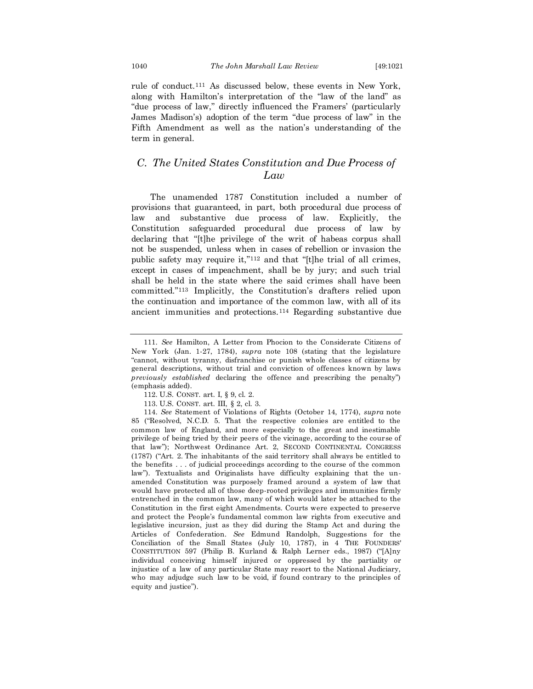rule of conduct.<sup>111</sup> As discussed below, these events in New York, along with Hamilton's interpretation of the "law of the land" as "due process of law," directly influenced the Framers' (particularly James Madison's) adoption of the term "due process of law" in the Fifth Amendment as well as the nation's understanding of the term in general.

## *C. The United States Constitution and Due Process of Law*

The unamended 1787 Constitution included a number of provisions that guaranteed, in part, both procedural due process of law and substantive due process of law. Explicitly, the Constitution safeguarded procedural due process of law by declaring that "[t]he privilege of the writ of habeas corpus shall not be suspended, unless when in cases of rebellion or invasion the public safety may require it,"<sup>112</sup> and that "[t]he trial of all crimes, except in cases of impeachment, shall be by jury; and such trial shall be held in the state where the said crimes shall have been committed."<sup>113</sup> Implicitly, the Constitution's drafters relied upon the continuation and importance of the common law, with all of its ancient immunities and protections.<sup>114</sup> Regarding substantive due

<sup>111.</sup> *See* Hamilton, A Letter from Phocion to the Considerate Citizens of New York (Jan. 1-27, 1784), *supra* note 108 (stating that the legislature "cannot, without tyranny, disfranchise or punish whole classes of citizens by general descriptions, without trial and conviction of offences known by laws *previously established* declaring the offence and prescribing the penalty") (emphasis added).

<sup>112.</sup> U.S. CONST. art. I, § 9, cl. 2.

<sup>113.</sup> U.S. CONST. art. III, § 2, cl. 3.

<sup>114.</sup> *See* Statement of Violations of Rights (October 14, 1774), *supra* note 85 ("Resolved, N.C.D. 5. That the respective colonies are entitled to the common law of England, and more especially to the great and inestimable privilege of being tried by their peers of the vicinage, according to the course of that law"); Northwest Ordinance Art. 2, SECOND CONTINENTAL CONGRESS (1787) ("Art. 2. The inhabitants of the said territory shall always be entitled to the benefits . . . of judicial proceedings according to the course of the common law"). Textualists and Originalists have difficulty explaining that the unamended Constitution was purposely framed around a system of law that would have protected all of those deep-rooted privileges and immunities firmly entrenched in the common law, many of which would later be attached to the Constitution in the first eight Amendments. Courts were expected to preserve and protect the People's fundamental common law rights from executive and legislative incursion, just as they did during the Stamp Act and during the Articles of Confederation. *See* Edmund Randolph, Suggestions for the Conciliation of the Small States (July 10, 1787), in 4 THE FOUNDERS' CONSTITUTION 597 (Philip B. Kurland & Ralph Lerner eds., 1987) ("[A]ny individual conceiving himself injured or oppressed by the partiality or injustice of a law of any particular State may resort to the National Judiciary, who may adjudge such law to be void, if found contrary to the principles of equity and justice").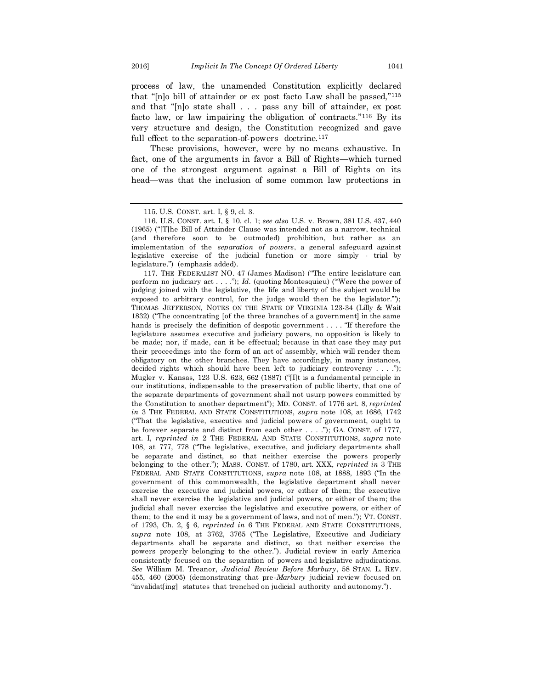process of law, the unamended Constitution explicitly declared that "[n]o bill of attainder or ex post facto Law shall be passed,"<sup>115</sup> and that "[n]o state shall . . . pass any bill of attainder, ex post facto law, or law impairing the obligation of contracts."<sup>116</sup> By its very structure and design, the Constitution recognized and gave full effect to the separation-of-powers doctrine.<sup>117</sup>

These provisions, however, were by no means exhaustive. In fact, one of the arguments in favor a Bill of Rights—which turned one of the strongest argument against a Bill of Rights on its head—was that the inclusion of some common law protections in

117. THE FEDERALIST NO. 47 (James Madison) ("The entire legislature can perform no judiciary act . . . ."); *Id.* (quoting Montesquieu) ("Were the power of judging joined with the legislative, the life and liberty of the subject would be exposed to arbitrary control, for the judge would then be the legislator."); THOMAS JEFFERSON, NOTES ON THE STATE OF VIRGINIA 123-34 (Lilly & Wait 1832) ("The concentrating [of the three branches of a government] in the same hands is precisely the definition of despotic government . . . . "If therefore the legislature assumes executive and judiciary powers, no opposition is likely to be made; nor, if made, can it be effectual; because in that case they may put their proceedings into the form of an act of assembly, which will render them obligatory on the other branches. They have accordingly, in many instances, decided rights which should have been left to judiciary controversy . . . ."); Mugler v. Kansas, 123 U.S. 623, 662 (1887) ("[I]t is a fundamental principle in our institutions, indispensable to the preservation of public liberty, that one of the separate departments of government shall not usurp powers committed by the Constitution to another department"); MD. CONST. of 1776 art. 8, *reprinted in* 3 THE FEDERAL AND STATE CONSTITUTIONS, *supra* note 108, at 1686, 1742 ("That the legislative, executive and judicial powers of government, ought to be forever separate and distinct from each other . . . ."); GA. CONST. of 1777, art. I, *reprinted in* 2 THE FEDERAL AND STATE CONSTITUTIONS, *supra* note 108, at 777, 778 ("The legislative, executive, and judiciary departments shall be separate and distinct, so that neither exercise the powers properly belonging to the other."); MASS. CONST. of 1780, art. XXX, *reprinted in* 3 THE FEDERAL AND STATE CONSTITUTIONS, *supra* note 108, at 1888, 1893 ("In the government of this commonwealth, the legislative department shall never exercise the executive and judicial powers, or either of them; the executive shall never exercise the legislative and judicial powers, or either of them; the judicial shall never exercise the legislative and executive powers, or either of them; to the end it may be a government of laws, and not of men."); VT. CONST. of 1793, Ch. 2, § 6, *reprinted in* 6 THE FEDERAL AND STATE CONSTITUTIONS, *supra* note 108, at 3762, 3765 ("The Legislative, Executive and Judiciary departments shall be separate and distinct, so that neither exercise the powers properly belonging to the other."). Judicial review in early America consistently focused on the separation of powers and legislative adjudications. *See* William M. Treanor, *Judicial Review Before Marbury*, 58 STAN. L. REV. 455, 460 (2005) (demonstrating that pre-*Marbury* judicial review focused on "invalidat[ing] statutes that trenched on judicial authority and autonomy.").

<sup>115.</sup> U.S. CONST. art. I, § 9, cl. 3.

<sup>116.</sup> U.S. CONST. art. I, § 10, cl. 1; *see also* U.S. v. Brown, 381 U.S. 437, 440 (1965) ("[T]he Bill of Attainder Clause was intended not as a narrow, technical (and therefore soon to be outmoded) prohibition, but rather as an implementation of the *separation of powers*, a general safeguard against legislative exercise of the judicial function or more simply - trial by legislature.") (emphasis added).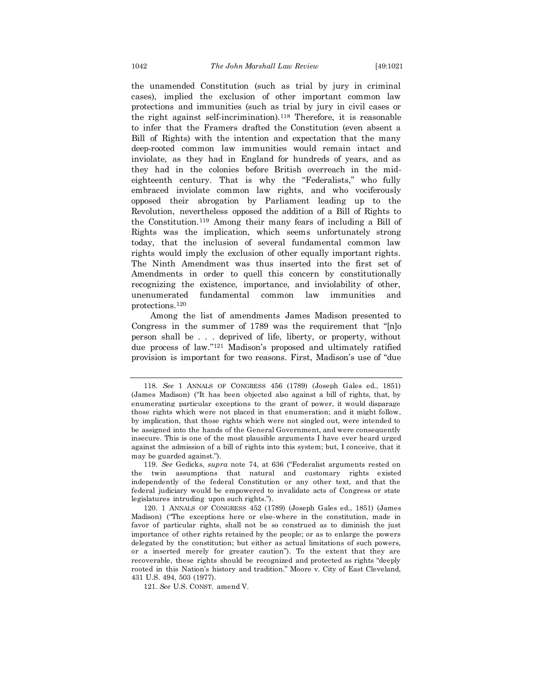the unamended Constitution (such as trial by jury in criminal cases), implied the exclusion of other important common law protections and immunities (such as trial by jury in civil cases or the right against self-incrimination).<sup>118</sup> Therefore, it is reasonable to infer that the Framers drafted the Constitution (even absent a Bill of Rights) with the intention and expectation that the many deep-rooted common law immunities would remain intact and inviolate, as they had in England for hundreds of years, and as they had in the colonies before British overreach in the mideighteenth century. That is why the "Federalists," who fully embraced inviolate common law rights, and who vociferously opposed their abrogation by Parliament leading up to the Revolution, nevertheless opposed the addition of a Bill of Rights to the Constitution.<sup>119</sup> Among their many fears of including a Bill of Rights was the implication, which seems unfortunately strong today, that the inclusion of several fundamental common law rights would imply the exclusion of other equally important rights. The Ninth Amendment was thus inserted into the first set of Amendments in order to quell this concern by constitutionally recognizing the existence, importance, and inviolability of other, unenumerated fundamental common law immunities and protections.<sup>120</sup>

Among the list of amendments James Madison presented to Congress in the summer of 1789 was the requirement that "[n]o person shall be . . . deprived of life, liberty, or property, without due process of law."<sup>121</sup> Madison's proposed and ultimately ratified provision is important for two reasons. First, Madison's use of "due

121. *See* U.S. CONST. amend V.

<sup>118.</sup> *See* 1 ANNALS OF CONGRESS 456 (1789) (Joseph Gales ed., 1851) (James Madison) ("It has been objected also against a bill of rights, that, by enumerating particular exceptions to the grant of power, it would disparage those rights which were not placed in that enumeration; and it might follow, by implication, that those rights which were not singled out, were intended to be assigned into the hands of the General Government, and were consequently insecure. This is one of the most plausible arguments I have ever heard urged against the admission of a bill of rights into this system; but, I conceive, that it may be guarded against.").

<sup>119.</sup> *See* Gedicks, *supra* note 74, at 636 ("Federalist arguments rested on the twin assumptions that natural and customary rights existed independently of the federal Constitution or any other text, and that the federal judiciary would be empowered to invalidate acts of Congress or state legislatures intruding upon such rights.").

<sup>120.</sup> 1 ANNALS OF CONGRESS 452 (1789) (Joseph Gales ed., 1851) (James Madison) ("The exceptions here or else-where in the constitution, made in favor of particular rights, shall not be so construed as to diminish the just importance of other rights retained by the people; or as to enlarge the powers delegated by the constitution; but either as actual limitations of such powers, or a inserted merely for greater caution"). To the extent that they are recoverable, these rights should be recognized and protected as rights "deeply rooted in this Nation's history and tradition." Moore v. City of East Cleveland, 431 U.S. 494, 503 (1977).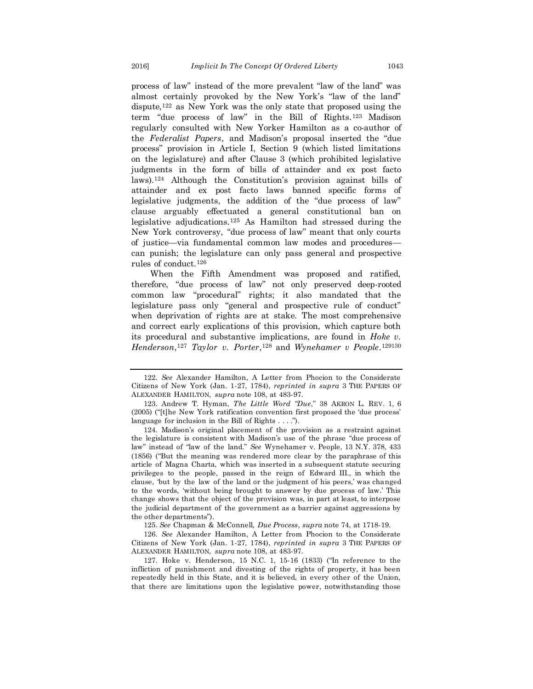process of law" instead of the more prevalent "law of the land" was almost certainly provoked by the New York's "law of the land" dispute,<sup>122</sup> as New York was the only state that proposed using the term "due process of law" in the Bill of Rights.<sup>123</sup> Madison regularly consulted with New Yorker Hamilton as a co-author of the *Federalist Papers*, and Madison's proposal inserted the "due process" provision in Article I, Section 9 (which listed limitations on the legislature) and after Clause 3 (which prohibited legislative judgments in the form of bills of attainder and ex post facto laws).<sup>124</sup> Although the Constitution's provision against bills of attainder and ex post facto laws banned specific forms of legislative judgments, the addition of the "due process of law" clause arguably effectuated a general constitutional ban on legislative adjudications.<sup>125</sup> As Hamilton had stressed during the New York controversy, "due process of law" meant that only courts of justice—via fundamental common law modes and procedures can punish; the legislature can only pass general and prospective rules of conduct.<sup>126</sup>

When the Fifth Amendment was proposed and ratified, therefore, "due process of law" not only preserved deep-rooted common law "procedural" rights; it also mandated that the legislature pass only "general and prospective rule of conduct" when deprivation of rights are at stake. The most comprehensive and correct early explications of this provision, which capture both its procedural and substantive implications, are found in *Hoke v. Henderson*, <sup>127</sup> *Taylor v. Porter*, <sup>128</sup> and *Wynehamer v People*. 129130

124. Madison's original placement of the provision as a restraint against the legislature is consistent with Madison's use of the phrase "due process of law" instead of "law of the land." *See* Wynehamer v. People, 13 N.Y. 378, 433 (1856) ("But the meaning was rendered more clear by the paraphrase of this article of Magna Charta, which was inserted in a subsequent statute securing privileges to the people, passed in the reign of Edward III., in which the clause, 'but by the law of the land or the judgment of his peers,' was changed to the words, 'without being brought to answer by due process of law.' This change shows that the object of the provision was, in part at least, to interpose the judicial department of the government as a barrier against aggressions by the other departments").

125. *See* Chapman & McConnell, *Due Process*, *supra* note 74, at 1718-19.

126. *See* Alexander Hamilton, A Letter from Phocion to the Considerate Citizens of New York (Jan. 1-27, 1784), *reprinted in supra* 3 THE PAPERS OF ALEXANDER HAMILTON, *supra* note 108, at 483-97.

127. Hoke v. Henderson, 15 N.C. 1, 15-16 (1833) ("In reference to the infliction of punishment and divesting of the rights of property, it has been repeatedly held in this State, and it is believed, in every other of the Union, that there are limitations upon the legislative power, notwithstanding those

<sup>122.</sup> *See* Alexander Hamilton, A Letter from Phocion to the Considerate Citizens of New York (Jan. 1-27, 1784), *reprinted in supra* 3 THE PAPERS OF ALEXANDER HAMILTON, *supra* note 108, at 483-97.

<sup>123.</sup> Andrew T. Hyman, *The Little Word "Due*," 38 AKRON L. REV. 1, 6 (2005) ("[t]he New York ratification convention first proposed the 'due process' language for inclusion in the Bill of Rights . . . .").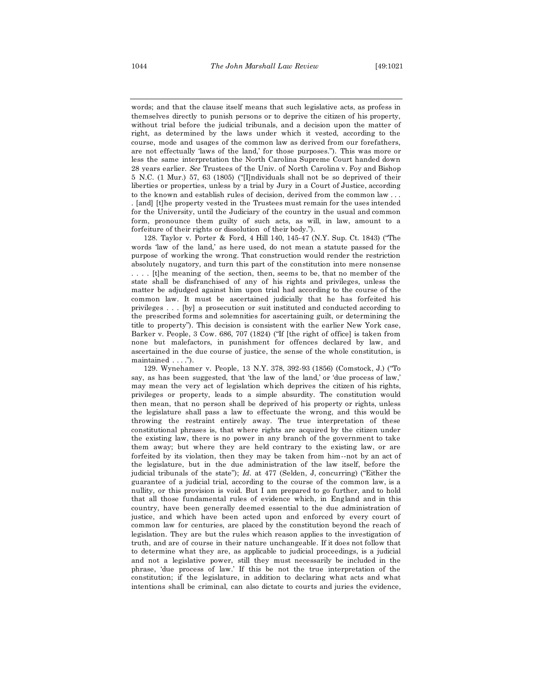words; and that the clause itself means that such legislative acts, as profess in themselves directly to punish persons or to deprive the citizen of his property, without trial before the judicial tribunals, and a decision upon the matter of right, as determined by the laws under which it vested, according to the course, mode and usages of the common law as derived from our forefathers, are not effectually 'laws of the land,' for those purposes."). This was more or less the same interpretation the North Carolina Supreme Court handed down 28 years earlier. *See* Trustees of the Univ. of North Carolina v. Foy and Bishop 5 N.C. (1 Mur.) 57, 63 (1805) ("[I]ndividuals shall not be so deprived of their liberties or properties, unless by a trial by Jury in a Court of Justice, according to the known and establish rules of decision, derived from the common law . . .

. [and] [t]he property vested in the Trustees must remain for the uses intended for the University, until the Judiciary of the country in the usual and common form, pronounce them guilty of such acts, as will, in law, amount to a forfeiture of their rights or dissolution of their body.").

128. Taylor v. Porter & Ford, 4 Hill 140, 145-47 (N.Y. Sup. Ct. 1843) ("The words 'law of the land,' as here used, do not mean a statute passed for the purpose of working the wrong. That construction would render the restriction absolutely nugatory, and turn this part of the constitution into mere nonsense . . . . [t]he meaning of the section, then, seems to be, that no member of the state shall be disfranchised of any of his rights and privileges, unless the matter be adjudged against him upon trial had according to the course of the common law. It must be ascertained judicially that he has forfeited his privileges . . . [by] a prosecution or suit instituted and conducted according to the prescribed forms and solemnities for ascertaining guilt, or determining the title to property"). This decision is consistent with the earlier New York case, Barker v. People, 3 Cow. 686, 707 (1824) ("If [the right of office] is taken from none but malefactors, in punishment for offences declared by law, and ascertained in the due course of justice, the sense of the whole constitution, is maintained . . . .").

129. Wynehamer v. People, 13 N.Y. 378, 392-93 (1856) (Comstock, J.) ("To say, as has been suggested, that 'the law of the land,' or 'due process of law,' may mean the very act of legislation which deprives the citizen of his rights, privileges or property, leads to a simple absurdity. The constitution would then mean, that no person shall be deprived of his property or rights, unless the legislature shall pass a law to effectuate the wrong, and this would be throwing the restraint entirely away. The true interpretation of these constitutional phrases is, that where rights are acquired by the citizen under the existing law, there is no power in any branch of the government to take them away; but where they are held contrary to the existing law, or are forfeited by its violation, then they may be taken from him--not by an act of the legislature, but in the due administration of the law itself, before the judicial tribunals of the state"); *Id.* at 477 (Selden, J, concurring) ("Either the guarantee of a judicial trial, according to the course of the common law, is a nullity, or this provision is void. But I am prepared to go further, and to hold that all those fundamental rules of evidence which, in England and in this country, have been generally deemed essential to the due administration of justice, and which have been acted upon and enforced by every court of common law for centuries, are placed by the constitution beyond the reach of legislation. They are but the rules which reason applies to the investigation of truth, and are of course in their nature unchangeable. If it does not follow that to determine what they are, as applicable to judicial proceedings, is a judicial and not a legislative power, still they must necessarily be included in the phrase, 'due process of law.' If this be not the true interpretation of the constitution; if the legislature, in addition to declaring what acts and what intentions shall be criminal, can also dictate to courts and juries the evidence,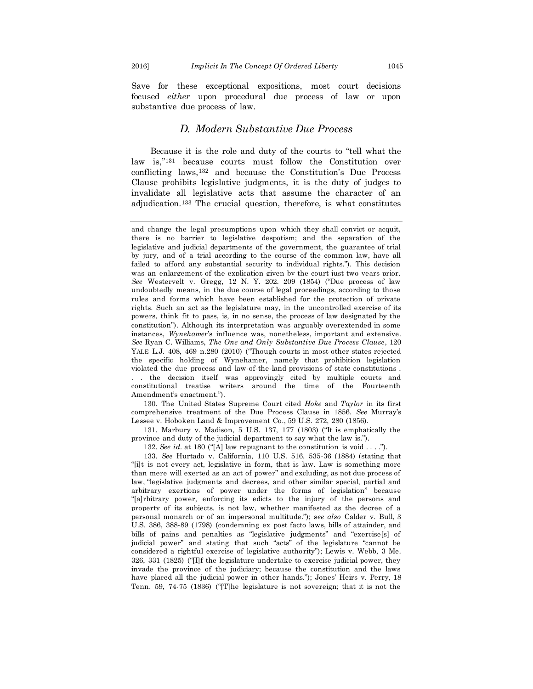Save for these exceptional expositions, most court decisions focused *either* upon procedural due process of law or upon substantive due process of law.

## *D. Modern Substantive Due Process*

Because it is the role and duty of the courts to "tell what the law is,"<sup>131</sup> because courts must follow the Constitution over conflicting laws,<sup>132</sup> and because the Constitution's Due Process Clause prohibits legislative judgments, it is the duty of judges to invalidate all legislative acts that assume the character of an adjudication.<sup>133</sup> The crucial question, therefore, is what constitutes

130. The United States Supreme Court cited *Hoke* and *Taylor* in its first comprehensive treatment of the Due Process Clause in 1856. *See* Murray's Lessee v. Hoboken Land & Improvement Co., 59 U.S. 272, 280 (1856).

131. Marbury v. Madison, 5 U.S. 137, 177 (1803) ("It is emphatically the province and duty of the judicial department to say what the law is.").

132. *See id.* at 180 ("[A] law repugnant to the constitution is void . . . .").

133. *See* Hurtado v. California, 110 U.S. 516, 535-36 (1884) (stating that "[i]t is not every act, legislative in form, that is law. Law is something more than mere will exerted as an act of power" and excluding, as not due process of law, "legislative judgments and decrees, and other similar special, partial and arbitrary exertions of power under the forms of legislation" because "[a]rbitrary power, enforcing its edicts to the injury of the persons and property of its subjects, is not law, whether manifested as the decree of a personal monarch or of an impersonal multitude."); s*ee also* Calder v. Bull, 3 U.S. 386, 388-89 (1798) (condemning ex post facto laws, bills of attainder, and bills of pains and penalties as "legislative judgments" and "exercise[s] of judicial power" and stating that such "acts" of the legislature "cannot be considered a rightful exercise of legislative authority"); Lewis v. Webb, 3 Me. 326, 331 (1825) ("[I]f the legislature undertake to exercise judicial power, they invade the province of the judiciary; because the constitution and the laws have placed all the judicial power in other hands."); Jones' Heirs v. Perry, 18 Tenn. 59, 74-75 (1836) ("[T]he legislature is not sovereign; that it is not the

and change the legal presumptions upon which they shall convict or acquit, there is no barrier to legislative despotism; and the separation of the legislative and judicial departments of the government, the guarantee of trial by jury, and of a trial according to the course of the common law, have all failed to afford any substantial security to individual rights."). This decision was an enlargement of the explication given by the court just two years prior. *See* Westervelt v. Gregg, 12 N. Y. 202. 209 (1854) ("Due process of law undoubtedly means, in the due course of legal proceedings, according to those rules and forms which have been established for the protection of private rights. Such an act as the legislature may, in the uncontrolled exercise of its powers, think fit to pass, is, in no sense, the process of law designated by the constitution"). Although its interpretation was arguably overextended in some instances, *Wynehamer*'s influence was, nonetheless, important and extensive. *See* Ryan C. Williams, *The One and Only Substantive Due Process Clause*, 120 YALE L.J. 408, 469 n.280 (2010) ("Though courts in most other states rejected the specific holding of Wynehamer, namely that prohibition legislation violated the due process and law-of-the-land provisions of state constitutions . . . the decision itself was approvingly cited by multiple courts and constitutional treatise writers around the time of the Fourteenth Amendment's enactment.").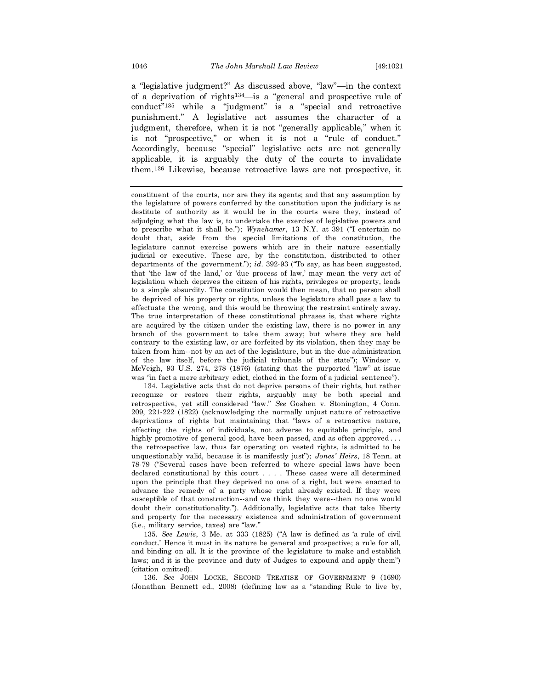a "legislative judgment?" As discussed above, "law"—in the context of a deprivation of rights134—is a "general and prospective rule of conduct"<sup>135</sup> while a "judgment" is a "special and retroactive punishment." A legislative act assumes the character of a judgment, therefore, when it is not "generally applicable," when it is not "prospective," or when it is not a "rule of conduct." Accordingly, because "special" legislative acts are not generally applicable, it is arguably the duty of the courts to invalidate them.<sup>136</sup> Likewise, because retroactive laws are not prospective, it

134. Legislative acts that do not deprive persons of their rights, but rather recognize or restore their rights, arguably may be both special and retrospective, yet still considered "law." *See* Goshen v. Stonington, 4 Conn. 209, 221-222 (1822) (acknowledging the normally unjust nature of retroactive deprivations of rights but maintaining that "laws of a retroactive nature, affecting the rights of individuals, not adverse to equitable principle, and highly promotive of general good, have been passed, and as often approved ... the retrospective law, thus far operating on vested rights, is admitted to be unquestionably valid, because it is manifestly just"); *Jones' Heirs*, 18 Tenn. at 78-79 ("Several cases have been referred to where special laws have been declared constitutional by this court . . . . These cases were all determined upon the principle that they deprived no one of a right, but were enacted to advance the remedy of a party whose right already existed. If they were susceptible of that construction--and we think they were--then no one would doubt their constitutionality."). Additionally, legislative acts that take liberty and property for the necessary existence and administration of government (i.e., military service, taxes) are "law."

135. *See Lewis*, 3 Me. at 333 (1825) ("A law is defined as 'a rule of civil conduct.' Hence it must in its nature be general and prospective; a rule for all, and binding on all. It is the province of the legislature to make and establish laws; and it is the province and duty of Judges to expound and apply them") (citation omitted).

136. *See* JOHN LOCKE, SECOND TREATISE OF GOVERNMENT 9 (1690) (Jonathan Bennett ed., 2008) (defining law as a "standing Rule to live by,

constituent of the courts, nor are they its agents; and that any assumption by the legislature of powers conferred by the constitution upon the judiciary is as destitute of authority as it would be in the courts were they, instead of adjudging what the law is, to undertake the exercise of legislative powers and to prescribe what it shall be."); *Wynehamer*, 13 N.Y. at 391 ("I entertain no doubt that, aside from the special limitations of the constitution, the legislature cannot exercise powers which are in their nature essentially judicial or executive. These are, by the constitution, distributed to other departments of the government."); *id.* 392-93 ("To say, as has been suggested, that 'the law of the land,' or 'due process of law,' may mean the very act of legislation which deprives the citizen of his rights, privileges or property, leads to a simple absurdity. The constitution would then mean, that no person shall be deprived of his property or rights, unless the legislature shall pass a law to effectuate the wrong, and this would be throwing the restraint entirely away. The true interpretation of these constitutional phrases is, that where rights are acquired by the citizen under the existing law, there is no power in any branch of the government to take them away; but where they are held contrary to the existing law, or are forfeited by its violation, then they may be taken from him--not by an act of the legislature, but in the due administration of the law itself, before the judicial tribunals of the state"); Windsor v. McVeigh, 93 U.S. 274, 278 (1876) (stating that the purported "law" at issue was "in fact a mere arbitrary edict, clothed in the form of a judicial sentence").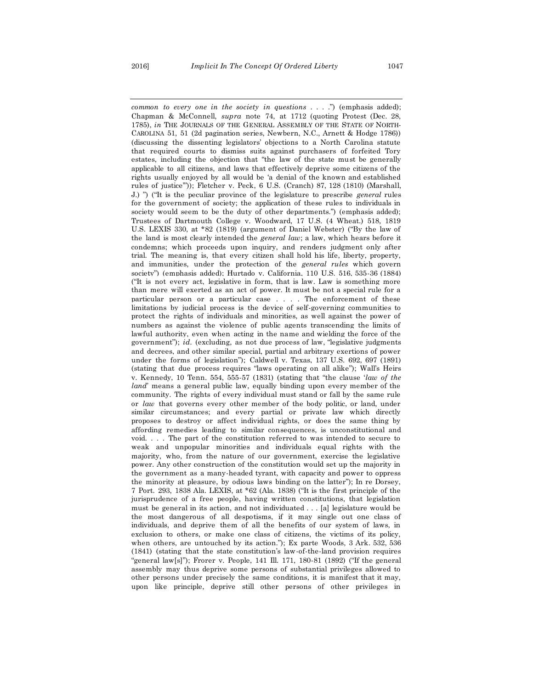*common to every one in the society in questions* . . . .") (emphasis added); Chapman & McConnell, *supra* note 74, at 1712 (quoting Protest (Dec. 28, 1785), *in* THE JOURNALS OF THE GENERAL ASSEMBLY OF THE STATE OF NORTH-CAROLINA 51, 51 (2d pagination series, Newbern, N.C., Arnett & Hodge 1786)) (discussing the dissenting legislators' objections to a North Carolina statute that required courts to dismiss suits against purchasers of forfeited Tory estates, including the objection that "the law of the state must be generally applicable to all citizens, and laws that effectively deprive some citizens of the rights usually enjoyed by all would be 'a denial of the known and established rules of justice'")); Fletcher v. Peck, 6 U.S. (Cranch) 87, 128 (1810) (Marshall, J.) ") ("It is the peculiar province of the legislature to prescribe *general* rules for the government of society; the application of these rules to individuals in society would seem to be the duty of other departments.") (emphasis added); Trustees of Dartmouth College v. Woodward, 17 U.S. (4 Wheat.) 518, 1819 U.S. LEXIS 330, at \*82 (1819) (argument of Daniel Webster) ("By the law of the land is most clearly intended the *general law*; a law, which hears before it condemns; which proceeds upon inquiry, and renders judgment only after trial. The meaning is, that every citizen shall hold his life, liberty, property, and immunities, under the protection of the *general rules* which govern society") (emphasis added); Hurtado v. California, 110 U.S. 516, 535-36 (1884) ("It is not every act, legislative in form, that is law. Law is something more than mere will exerted as an act of power. It must be not a special rule for a particular person or a particular case . . . . The enforcement of these limitations by judicial process is the device of self-governing communities to protect the rights of individuals and minorities, as well against the power of numbers as against the violence of public agents transcending the limits of lawful authority, even when acting in the name and wielding the force of the government"); *id.* (excluding, as not due process of law, "legislative judgments and decrees, and other similar special, partial and arbitrary exertions of power under the forms of legislation"); Caldwell v. Texas, 137 U.S. 692, 697 (1891) (stating that due process requires "laws operating on all alike"); Wall's Heirs v. Kennedy, 10 Tenn. 554, 555-57 (1831) (stating that "the clause '*law of the land*' means a general public law, equally binding upon every member of the community. The rights of every individual must stand or fall by the same rule or *law* that governs every other member of the body politic, or land, under similar circumstances; and every partial or private law which directly proposes to destroy or affect individual rights, or does the same thing by affording remedies leading to similar consequences, is unconstitutional and void. . . . The part of the constitution referred to was intended to secure to weak and unpopular minorities and individuals equal rights with the majority, who, from the nature of our government, exercise the legislative power. Any other construction of the constitution would set up the majority in the government as a many-headed tyrant, with capacity and power to oppress the minority at pleasure, by odious laws binding on the latter"); In re Dorsey, 7 Port. 293, 1838 Ala. LEXIS, at \*62 (Ala. 1838) ("It is the first principle of the jurisprudence of a free people, having written constitutions, that legislation must be general in its action, and not individuated . . . [a] legislature would be the most dangerous of all despotisms, if it may single out one class of individuals, and deprive them of all the benefits of our system of laws, in exclusion to others, or make one class of citizens, the victims of its policy, when others, are untouched by its action."); Ex parte Woods, 3 Ark. 532, 536 (1841) (stating that the state constitution's law-of-the-land provision requires "general law[s]"); Frorer v. People, 141 Ill. 171, 180-81 (1892) ("If the general assembly may thus deprive some persons of substantial privileges allowed to other persons under precisely the same conditions, it is manifest that it may,

upon like principle, deprive still other persons of other privileges in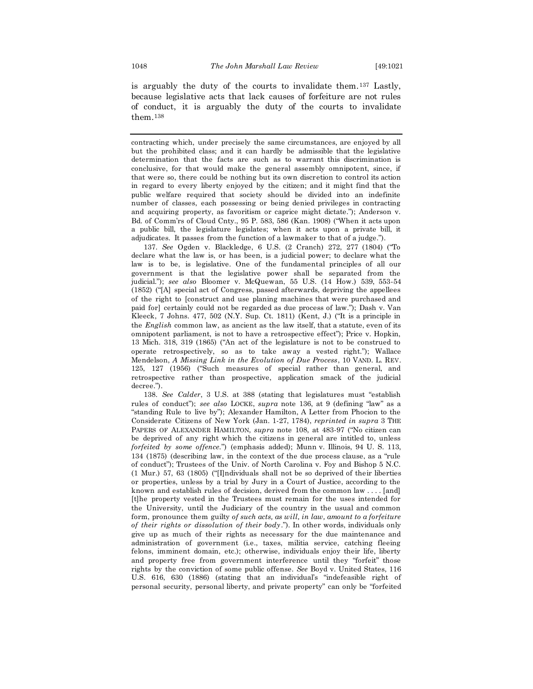is arguably the duty of the courts to invalidate them.<sup>137</sup> Lastly, because legislative acts that lack causes of forfeiture are not rules of conduct, it is arguably the duty of the courts to invalidate them.<sup>138</sup>

contracting which, under precisely the same circumstances, are enjoyed by all but the prohibited class; and it can hardly be admissible that the legislative determination that the facts are such as to warrant this discrimination is conclusive, for that would make the general assembly omnipotent, since, if that were so, there could be nothing but its own discretion to control its action in regard to every liberty enjoyed by the citizen; and it might find that the public welfare required that society should be divided into an indefinite number of classes, each possessing or being denied privileges in contracting and acquiring property, as favoritism or caprice might dictate."); Anderson v. Bd. of Comm'rs of Cloud Cnty., 95 P. 583, 586 (Kan. 1908) ("When it acts upon a public bill, the legislature legislates; when it acts upon a private bill, it adjudicates. It passes from the function of a lawmaker to that of a judge.").

137. *See* Ogden v. Blackledge, 6 U.S. (2 Cranch) 272, 277 (1804) ("To declare what the law is, or has been, is a judicial power; to declare what the law is to be, is legislative. One of the fundamental principles of all our government is that the legislative power shall be separated from the judicial."); *see also* Bloomer v. McQuewan, 55 U.S. (14 How.) 539, 553-54 (1852) ("[A] special act of Congress, passed afterwards, depriving the appellees of the right to [construct and use planing machines that were purchased and paid for] certainly could not be regarded as due process of law."); Dash v. Van Kleeck, 7 Johns. 477, 502 (N.Y. Sup. Ct. 1811) (Kent, J.) ("It is a principle in the *English* common law, as ancient as the law itself, that a statute, even of its omnipotent parliament, is not to have a retrospective effect"); Price v. Hopkin, 13 Mich. 318, 319 (1865) ("An act of the legislature is not to be construed to operate retrospectively, so as to take away a vested right."); Wallace Mendelson, *A Missing Link in the Evolution of Due Process*, 10 VAND. L. REV. 125, 127 (1956) ("Such measures of special rather than general, and retrospective rather than prospective, application smack of the judicial decree.").

138. *See Calder*, 3 U.S. at 388 (stating that legislatures must "establish rules of conduct"); *see also* LOCKE, *supra* note 136, at 9 (defining "law" as a "standing Rule to live by"); Alexander Hamilton, A Letter from Phocion to the Considerate Citizens of New York (Jan. 1-27, 1784), *reprinted in supra* 3 THE PAPERS OF ALEXANDER HAMILTON, *supra* note 108, at 483-97 ("No citizen can be deprived of any right which the citizens in general are intitled to, unless *forfeited by some offence.*") (emphasis added); Munn v. Illinois, 94 U. S. 113, 134 (1875) (describing law, in the context of the due process clause, as a "rule of conduct"); Trustees of the Univ. of North Carolina v. Foy and Bishop 5 N.C. (1 Mur.) 57, 63 (1805) ("[I]ndividuals shall not be so deprived of their liberties or properties, unless by a trial by Jury in a Court of Justice, according to the known and establish rules of decision, derived from the common law . . . . [and] [t]he property vested in the Trustees must remain for the uses intended for the University, until the Judiciary of the country in the usual and common form, pronounce them guilty *of such acts, as will, in law, amount to a forfeiture of their rights or dissolution of their body*."). In other words, individuals only give up as much of their rights as necessary for the due maintenance and administration of government (i.e., taxes, militia service, catching fleeing felons, imminent domain, etc.); otherwise, individuals enjoy their life, liberty and property free from government interference until they "forfeit" those rights by the conviction of some public offense. *See* Boyd v. United States, 116 U.S. 616, 630 (1886) (stating that an individual's "indefeasible right of personal security, personal liberty, and private property" can only be "forfeited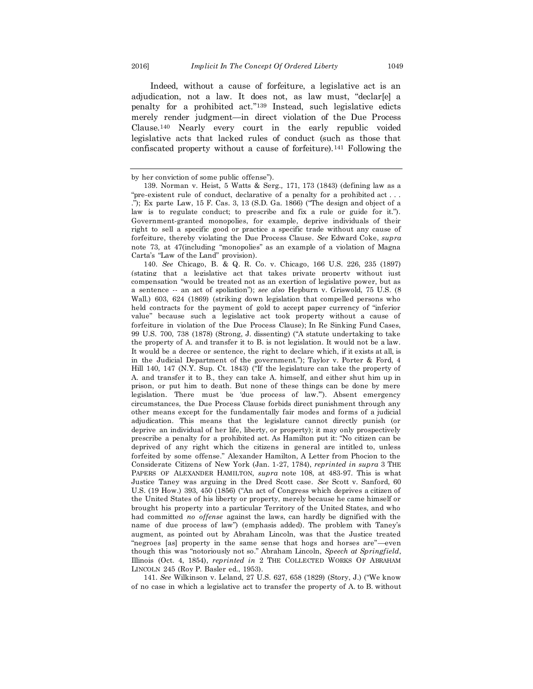Indeed, without a cause of forfeiture, a legislative act is an adjudication, not a law. It does not, as law must, "declar[e] a penalty for a prohibited act."<sup>139</sup> Instead, such legislative edicts merely render judgment—in direct violation of the Due Process Clause.<sup>140</sup> Nearly every court in the early republic voided legislative acts that lacked rules of conduct (such as those that confiscated property without a cause of forfeiture).<sup>141</sup> Following the

140. *See* Chicago, B. & Q. R. Co. v. Chicago, 166 U.S. 226, 235 (1897) (stating that a legislative act that takes private property without just compensation "would be treated not as an exertion of legislative power, but as a sentence -- an act of spoliation"); *see also* Hepburn v. Griswold, 75 U.S. (8 Wall.) 603, 624 (1869) (striking down legislation that compelled persons who held contracts for the payment of gold to accept paper currency of "inferior value" because such a legislative act took property without a cause of forfeiture in violation of the Due Process Clause); In Re Sinking Fund Cases, 99 U.S. 700, 738 (1878) (Strong, J. dissenting) ("A statute undertaking to take the property of A. and transfer it to B. is not legislation. It would not be a law. It would be a decree or sentence, the right to declare which, if it exists at all, is in the Judicial Department of the government."); Taylor v. Porter & Ford, 4 Hill 140, 147 (N.Y. Sup. Ct. 1843) ("If the legislature can take the property of A. and transfer it to B., they can take A. himself, and either shut him up in prison, or put him to death. But none of these things can be done by mere legislation. There must be 'due process of law.'"). Absent emergency circumstances, the Due Process Clause forbids direct punishment through any other means except for the fundamentally fair modes and forms of a judicial adjudication. This means that the legislature cannot directly punish (or deprive an individual of her life, liberty, or property); it may only prospectively prescribe a penalty for a prohibited act. As Hamilton put it: "No citizen can be deprived of any right which the citizens in general are intitled to, unless forfeited by some offense." Alexander Hamilton, A Letter from Phocion to the Considerate Citizens of New York (Jan. 1-27, 1784), *reprinted in supra* 3 THE PAPERS OF ALEXANDER HAMILTON, *supra* note 108, at 483-97. This is what Justice Taney was arguing in the Dred Scott case. *See* Scott v. Sanford, 60 U.S. (19 How.) 393, 450 (1856) ("An act of Congress which deprives a citizen of the United States of his liberty or property, merely because he came himself or brought his property into a particular Territory of the United States, and who had committed *no offense* against the laws, can hardly be dignified with the name of due process of law") (emphasis added). The problem with Taney's augment, as pointed out by Abraham Lincoln, was that the Justice treated "negroes [as] property in the same sense that hogs and horses are"—even though this was "notoriously not so." Abraham Lincoln, *Speech at Springfield*, Illinois (Oct. 4, 1854), *reprinted in* 2 THE COLLECTED WORKS OF ABRAHAM LINCOLN 245 (Roy P. Basler ed., 1953).

141. *See* Wilkinson v. Leland, 27 U.S. 627, 658 (1829) (Story, J.) ("We know of no case in which a legislative act to transfer the property of A. to B. without

by her conviction of some public offense").

<sup>139.</sup> Norman v. Heist, 5 Watts & Serg.*,* 171, 173 (1843) (defining law as a "pre-existent rule of conduct, declarative of a penalty for a prohibited act . . . ."); Ex parte Law, 15 F. Cas. 3, 13 (S.D. Ga. 1866) ("The design and object of a law is to regulate conduct; to prescribe and fix a rule or guide for it."). Government-granted monopolies, for example, deprive individuals of their right to sell a specific good or practice a specific trade without any cause of forfeiture, thereby violating the Due Process Clause. *See* Edward Coke, *supra*  note 73, at 47(including "monopolies" as an example of a violation of Magna Carta's "Law of the Land" provision).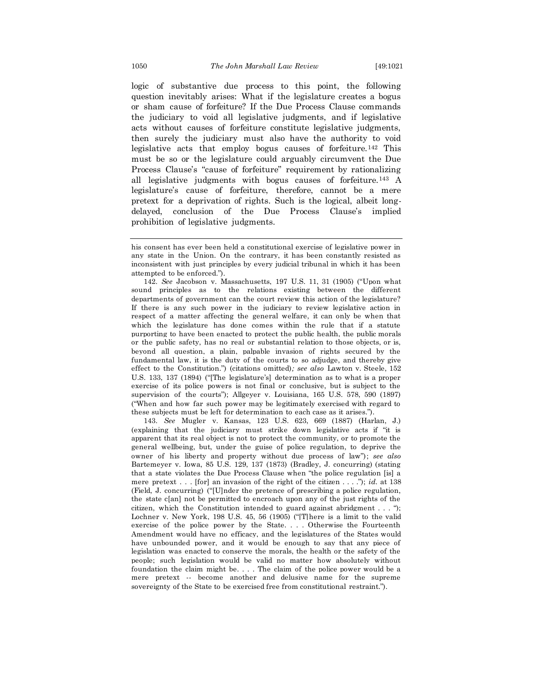logic of substantive due process to this point, the following question inevitably arises: What if the legislature creates a bogus or sham cause of forfeiture? If the Due Process Clause commands the judiciary to void all legislative judgments, and if legislative acts without causes of forfeiture constitute legislative judgments, then surely the judiciary must also have the authority to void legislative acts that employ bogus causes of forfeiture.<sup>142</sup> This must be so or the legislature could arguably circumvent the Due Process Clause's "cause of forfeiture" requirement by rationalizing all legislative judgments with bogus causes of forfeiture.<sup>143</sup> A legislature's cause of forfeiture, therefore, cannot be a mere pretext for a deprivation of rights. Such is the logical, albeit longdelayed, conclusion of the Due Process Clause's implied prohibition of legislative judgments.

142. *See* Jacobson v. Massachusetts, 197 U.S. 11, 31 (1905) ("Upon what sound principles as to the relations existing between the different departments of government can the court review this action of the legislature? If there is any such power in the judiciary to review legislative action in respect of a matter affecting the general welfare, it can only be when that which the legislature has done comes within the rule that if a statute purporting to have been enacted to protect the public health, the public morals or the public safety, has no real or substantial relation to those objects, or is, beyond all question, a plain, palpable invasion of rights secured by the fundamental law, it is the duty of the courts to so adjudge, and thereby give effect to the Constitution.") (citations omitted)*; see also* Lawton v. Steele, 152 U.S. 133, 137 (1894) ("[The legislature's] determination as to what is a proper exercise of its police powers is not final or conclusive, but is subject to the supervision of the courts"); Allgeyer v. Louisiana, 165 U.S. 578, 590 (1897) ("When and how far such power may be legitimately exercised with regard to these subjects must be left for determination to each case as it arises.").

143. *See* Mugler v. Kansas, 123 U.S. 623, 669 (1887) (Harlan, J.) (explaining that the judiciary must strike down legislative acts if "it is apparent that its real object is not to protect the community, or to promote the general wellbeing, but, under the guise of police regulation, to deprive the owner of his liberty and property without due process of law"); *see also* Bartemeyer v. Iowa, 85 U.S. 129, 137 (1873) (Bradley, J. concurring) (stating that a state violates the Due Process Clause when "the police regulation [is] a mere pretext . . . [for] an invasion of the right of the citizen . . . ."); *id.* at 138 (Field, J. concurring) ("[U]nder the pretence of prescribing a police regulation, the state c[an] not be permitted to encroach upon any of the just rights of the citizen, which the Constitution intended to guard against abridgment . . . "); Lochner v. New York, 198 U.S. 45, 56 (1905) ("[T]here is a limit to the valid exercise of the police power by the State. . . . Otherwise the Fourteenth Amendment would have no efficacy, and the legislatures of the States would have unbounded power, and it would be enough to say that any piece of legislation was enacted to conserve the morals, the health or the safety of the people; such legislation would be valid no matter how absolutely without foundation the claim might be. . . . The claim of the police power would be a mere pretext -- become another and delusive name for the supreme sovereignty of the State to be exercised free from constitutional restraint.").

his consent has ever been held a constitutional exercise of legislative power in any state in the Union. On the contrary, it has been constantly resisted as inconsistent with just principles by every judicial tribunal in which it has been attempted to be enforced.").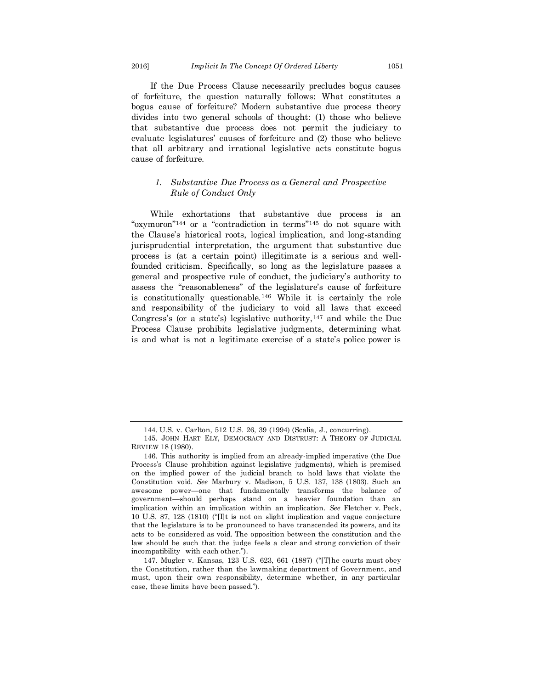If the Due Process Clause necessarily precludes bogus causes of forfeiture, the question naturally follows: What constitutes a bogus cause of forfeiture? Modern substantive due process theory divides into two general schools of thought: (1) those who believe that substantive due process does not permit the judiciary to evaluate legislatures' causes of forfeiture and (2) those who believe that all arbitrary and irrational legislative acts constitute bogus cause of forfeiture.

#### *1. Substantive Due Process as a General and Prospective Rule of Conduct Only*

While exhortations that substantive due process is an "oxymoron"<sup>144</sup> or a "contradiction in terms"<sup>145</sup> do not square with the Clause's historical roots, logical implication, and long-standing jurisprudential interpretation, the argument that substantive due process is (at a certain point) illegitimate is a serious and wellfounded criticism. Specifically, so long as the legislature passes a general and prospective rule of conduct, the judiciary's authority to assess the "reasonableness" of the legislature's cause of forfeiture is constitutionally questionable.<sup>146</sup> While it is certainly the role and responsibility of the judiciary to void all laws that exceed Congress's (or a state's) legislative authority,  $147$  and while the Due Process Clause prohibits legislative judgments, determining what is and what is not a legitimate exercise of a state's police power is

<sup>144.</sup> U.S. v. Carlton, 512 [U.S.](https://en.wikipedia.org/wiki/United_States_Reports) [26,](https://supreme.justia.com/cases/federal/us/512/26/) 39 (1994) (Scalia, J., concurring).

<sup>145.</sup> JOHN HART ELY, DEMOCRACY AND DISTRUST: A THEORY OF JUDICIAL REVIEW 18 (1980).

<sup>146.</sup> This authority is implied from an already-implied imperative (the Due Process's Clause prohibition against legislative judgments), which is premised on the implied power of the judicial branch to hold laws that violate the Constitution void. *See* Marbury v. Madison, 5 U.S. 137, 138 (1803). Such an awesome power—one that fundamentally transforms the balance of government—should perhaps stand on a heavier foundation than an implication within an implication within an implication. *See* Fletcher v*.* Peck, 10 U.S. 87, 128 (1810) ("[I]t is not on slight implication and vague conjecture that the legislature is to be pronounced to have transcended its powers, and its acts to be considered as void. The opposition between the constitution and the law should be such that the judge feels a clear and strong conviction of their incompatibility with each other.").

<sup>147.</sup> Mugler v. Kansas, 123 U.S. 623, 661 (1887) ("[T]he courts must obey the Constitution, rather than the lawmaking department of Government, and must, upon their own responsibility, determine whether, in any particular case, these limits have been passed.").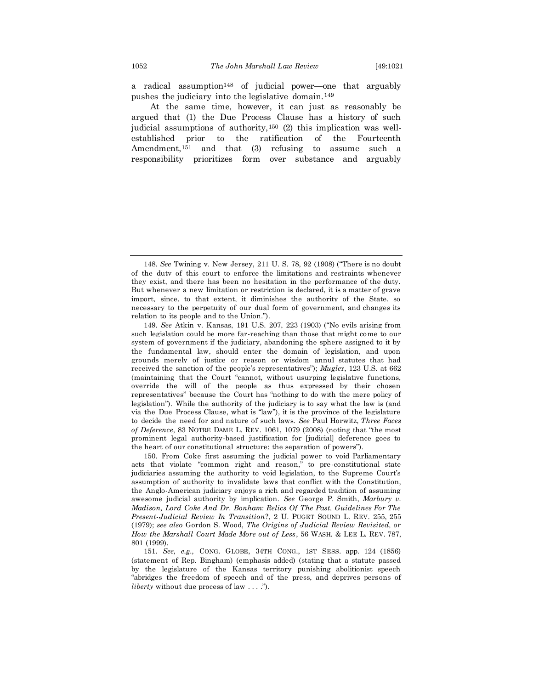a radical assumption<sup>148</sup> of judicial power—one that arguably pushes the judiciary into the legislative domain.<sup>149</sup>

At the same time, however, it can just as reasonably be argued that (1) the Due Process Clause has a history of such judicial assumptions of authority,<sup>150</sup> (2) this implication was wellestablished prior to the ratification of the Fourteenth Amendment,<sup>151</sup> and that (3) refusing to assume such a responsibility prioritizes form over substance and arguably

149. *See* Atkin v. Kansas, 191 U.S. 207, 223 (1903) ("No evils arising from such legislation could be more far-reaching than those that might come to our system of government if the judiciary, abandoning the sphere assigned to it by the fundamental law, should enter the domain of legislation, and upon grounds merely of justice or reason or wisdom annul statutes that had received the sanction of the people's representatives"); *Mugle*r, 123 U.S. at 662 (maintaining that the Court "cannot, without usurping legislative functions, override the will of the people as thus expressed by their chosen representatives" because the Court has "nothing to do with the mere policy of legislation"). While the authority of the judiciary is to say what the law is (and via the Due Process Clause, what is "law"), it is the province of the legislature to decide the need for and nature of such laws. *See* Paul Horwitz, *Three Faces of Deference*, 83 NOTRE DAME L. REV. 1061, 1079 (2008) (noting that "the most prominent legal authority-based justification for [judicial] deference goes to the heart of our constitutional structure: the separation of powers").

150. From Coke first assuming the judicial power to void Parliamentary acts that violate "common right and reason," to pre-constitutional state judiciaries assuming the authority to void legislation, to the Supreme Court's assumption of authority to invalidate laws that conflict with the Constitution, the Anglo-American judiciary enjoys a rich and regarded tradition of assuming awesome judicial authority by implication. *See* George P. Smith, *Marbury v. Madison, Lord Coke And Dr. Bonham: Relics Of The Past, Guidelines For The Present-Judicial Review In Transition*?, 2 U. PUGET SOUND L. REV. 255, 255 (1979); *see also* Gordon S. Wood, *The Origins of Judicial Review Revisited, or How the Marshall Court Made More out of Less*, 56 WASH. & LEE L. REV. 787, 801 (1999).

151. *See, e.g.,* CONG. GLOBE, 34TH CONG., 1ST SESS. app. 124 (1856) (statement of Rep. Bingham) (emphasis added) (stating that a statute passed by the legislature of the Kansas territory punishing abolitionist speech "abridges the freedom of speech and of the press, and deprives persons of *liberty* without due process of law . . . .").

<sup>148.</sup> *See* Twining v. New Jersey, 211 U. S. 78, 92 (1908) ("There is no doubt of the duty of this court to enforce the limitations and restraints whenever they exist, and there has been no hesitation in the performance of the duty. But whenever a new limitation or restriction is declared, it is a matter of grave import, since, to that extent, it diminishes the authority of the State, so necessary to the perpetuity of our dual form of government, and changes its relation to its people and to the Union.").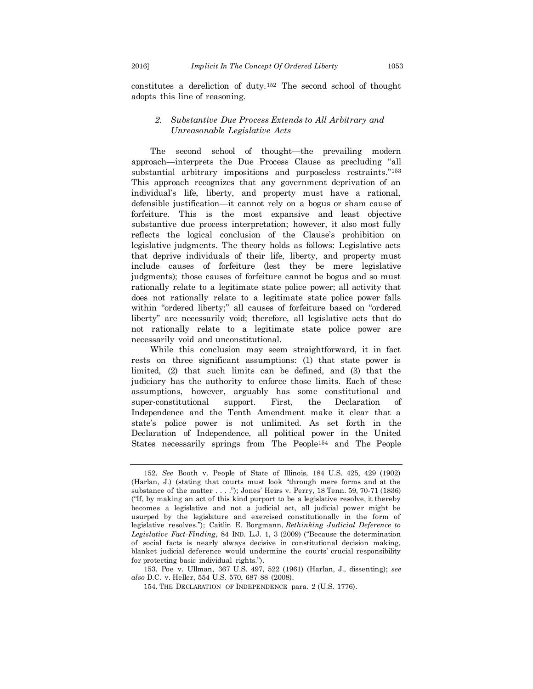constitutes a dereliction of duty.<sup>152</sup> The second school of thought adopts this line of reasoning.

## *2. Substantive Due Process Extends to All Arbitrary and Unreasonable Legislative Acts*

The second school of thought—the prevailing modern approach—interprets the Due Process Clause as precluding "all substantial arbitrary impositions and purposeless restraints."<sup>153</sup> This approach recognizes that any government deprivation of an individual's life, liberty, and property must have a rational, defensible justification—it cannot rely on a bogus or sham cause of forfeiture. This is the most expansive and least objective substantive due process interpretation; however, it also most fully reflects the logical conclusion of the Clause's prohibition on legislative judgments. The theory holds as follows: Legislative acts that deprive individuals of their life, liberty, and property must include causes of forfeiture (lest they be mere legislative judgments); those causes of forfeiture cannot be bogus and so must rationally relate to a legitimate state police power; all activity that does not rationally relate to a legitimate state police power falls within "ordered liberty;" all causes of forfeiture based on "ordered liberty" are necessarily void; therefore, all legislative acts that do not rationally relate to a legitimate state police power are necessarily void and unconstitutional.

While this conclusion may seem straightforward, it in fact rests on three significant assumptions: (1) that state power is limited, (2) that such limits can be defined, and (3) that the judiciary has the authority to enforce those limits. Each of these assumptions, however, arguably has some constitutional and super-constitutional support. First, the Declaration of Independence and the Tenth Amendment make it clear that a state's police power is not unlimited. As set forth in the Declaration of Independence, all political power in the United States necessarily springs from The People<sup>154</sup> and The People

<sup>152.</sup> *See* Booth v. People of State of Illinois, 184 U.S. 425, 429 (1902) (Harlan, J.) (stating that courts must look "through mere forms and at the substance of the matter . . . ."); Jones' Heirs v. Perry, 18 Tenn. 59, 70-71 (1836) ("If, by making an act of this kind purport to be a legislative resolve, it thereby becomes a legislative and not a judicial act, all judicial power might be usurped by the legislature and exercised constitutionally in the form of legislative resolves."); Caitlin E. Borgmann, *Rethinking Judicial Deference to Legislative Fact-Finding*, 84 IND. L.J. 1, 3 (2009) ("Because the determination of social facts is nearly always decisive in constitutional decision making, blanket judicial deference would undermine the courts' crucial responsibility for protecting basic individual rights.").

<sup>153.</sup> Poe v. Ullman, 367 U.S. 497, 522 (1961) (Harlan, J., dissenting); *see also* D.C. v. Heller, 554 U.S. 570, 687-88 (2008).

<sup>154.</sup> THE DECLARATION OF INDEPENDENCE para. 2 (U.S. 1776).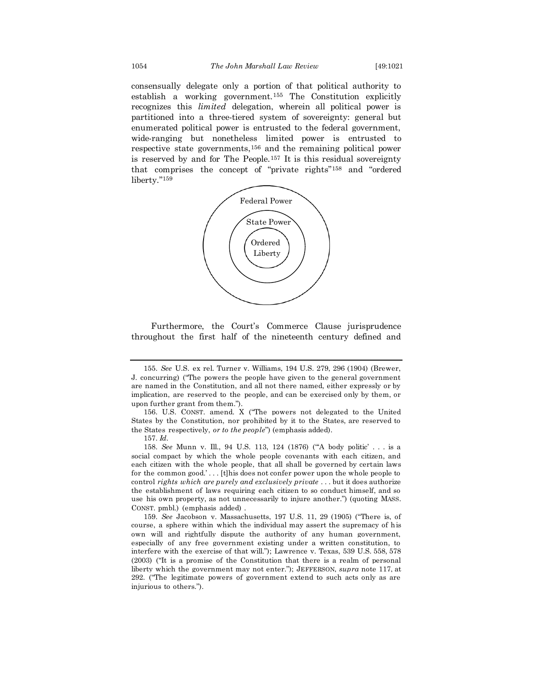consensually delegate only a portion of that political authority to establish a working government.<sup>155</sup> The Constitution explicitly recognizes this *limited* delegation, wherein all political power is partitioned into a three-tiered system of sovereignty: general but enumerated political power is entrusted to the federal government, wide-ranging but nonetheless limited power is entrusted to respective state governments,<sup>156</sup> and the remaining political power is reserved by and for The People.<sup>157</sup> It is this residual sovereignty that comprises the concept of "private rights"<sup>158</sup> and "ordered liberty."<sup>159</sup>



Furthermore, the Court's Commerce Clause jurisprudence throughout the first half of the nineteenth century defined and

157. *Id.*

158. *See* Munn v. Ill., 94 U.S. 113, 124 (1876) ("'A body politic' . . . is a social compact by which the whole people covenants with each citizen, and each citizen with the whole people, that all shall be governed by certain laws for the common good.' . . . [t]his does not confer power upon the whole people to control *rights which are purely and exclusively private* . . . but it does authorize the establishment of laws requiring each citizen to so conduct himself, and so use his own property, as not unnecessarily to injure another.") (quoting MASS. CONST. pmbl.) (emphasis added) .

159. *See* Jacobson v. Massachusetts, 197 U.S. 11, 29 (1905) ("There is, of course, a sphere within which the individual may assert the supremacy of his own will and rightfully dispute the authority of any human government, especially of any free government existing under a written constitution, to interfere with the exercise of that will."); Lawrence v. Texas, 539 U.S. 558, 578 (2003) ("It is a promise of the Constitution that there is a realm of personal liberty which the government may not enter."); JEFFERSON, *supra* note 117, at 292. ("The legitimate powers of government extend to such acts only as are injurious to others.").

<sup>155.</sup> *See* U.S. ex rel. Turner v. Williams, 194 U.S. 279, 296 (1904) (Brewer, J. concurring) ("The powers the people have given to the general government are named in the Constitution, and all not there named, either expressly or by implication, are reserved to the people, and can be exercised only by them, or upon further grant from them.").

<sup>156.</sup> U.S. CONST. amend. X ("The powers not delegated to the United States by the Constitution, nor prohibited by it to the States, are reserved to the States respectively, *or to the people*") (emphasis added).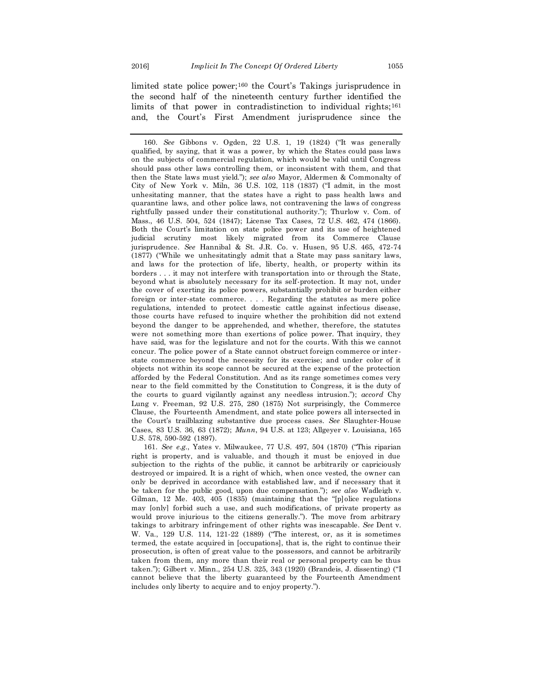limited state police power;<sup>160</sup> the Court's Takings jurisprudence in the second half of the nineteenth century further identified the limits of that power in contradistinction to individual rights;<sup>161</sup> and, the Court's First Amendment jurisprudence since the

160. *See* Gibbons v. Ogden, 22 U.S. 1, 19 (1824) ("It was generally qualified, by saying, that it was a power, by which the States could pass laws on the subjects of commercial regulation, which would be valid until Congress should pass other laws controlling them, or inconsistent with them, and that then the State laws must yield."); *see also* Mayor, Aldermen & Commonalty of City of New York v. Miln, 36 U.S. 102, 118 (1837) ("I admit, in the most unhesitating manner, that the states have a right to pass health laws and quarantine laws, and other police laws, not contravening the laws of congress rightfully passed under their constitutional authority."); Thurlow v. Com. of Mass., 46 U.S. 504, 524 (1847); License Tax Cases, 72 U.S. 462, 474 (1866). Both the Court's limitation on state police power and its use of heightened judicial scrutiny most likely migrated from its Commerce Clause jurisprudence. *See* Hannibal & St. J.R. Co. v. Husen, 95 U.S. 465, 472-74 (1877) ("While we unhesitatingly admit that a State may pass sanitary laws, and laws for the protection of life, liberty, health, or property within its borders . . . it may not interfere with transportation into or through the State, beyond what is absolutely necessary for its self-protection. It may not, under the cover of exerting its police powers, substantially prohibit or burden either foreign or inter-state commerce. . . . Regarding the statutes as mere police regulations, intended to protect domestic cattle against infectious disease, those courts have refused to inquire whether the prohibition did not extend beyond the danger to be apprehended, and whether, therefore, the statutes were not something more than exertions of police power. That inquiry, they have said, was for the legislature and not for the courts. With this we cannot concur. The police power of a State cannot obstruct foreign commerce or inter state commerce beyond the necessity for its exercise; and under color of it objects not within its scope cannot be secured at the expense of the protection afforded by the Federal Constitution. And as its range sometimes comes very near to the field committed by the Constitution to Congress, it is the duty of the courts to guard vigilantly against any needless intrusion."); *accord* Chy Lung v. Freeman, 92 U.S. 275, 280 (1875) Not surprisingly, the Commerce Clause, the Fourteenth Amendment, and state police powers all intersected in the Court's trailblazing substantive due process cases. *See* Slaughter-House Cases, 83 U.S. 36, 63 (1872); *Munn*, 94 U.S. at 123; Allgeyer v. Louisiana, 165 U.S. 578, 590-592 (1897).

161. *See e.g.*, Yates v. Milwaukee, 77 U.S. 497, 504 (1870) ("This riparian right is property, and is valuable, and though it must be enjoyed in due subjection to the rights of the public, it cannot be arbitrarily or capriciously destroyed or impaired. It is a right of which, when once vested, the owner can only be deprived in accordance with established law, and if necessary that it be taken for the public good, upon due compensation."); *see also* Wadleigh v. Gilman, 12 Me. 403, 405 (1835) (maintaining that the "[p]olice regulations may [only] forbid such a use, and such modifications, of private property as would prove injurious to the citizens generally."). The move from arbitrary takings to arbitrary infringement of other rights was inescapable. *See* Dent v. W. Va., 129 U.S. 114, 121-22 (1889) ("The interest, or, as it is sometimes termed, the estate acquired in [occupations], that is, the right to continue their prosecution, is often of great value to the possessors, and cannot be arbitrarily taken from them, any more than their real or personal property can be thus taken."); Gilbert v. Minn., 254 U.S. 325, 343 (1920) (Brandeis, J. dissenting) ("I cannot believe that the liberty guaranteed by the Fourteenth Amendment includes only liberty to acquire and to enjoy property.").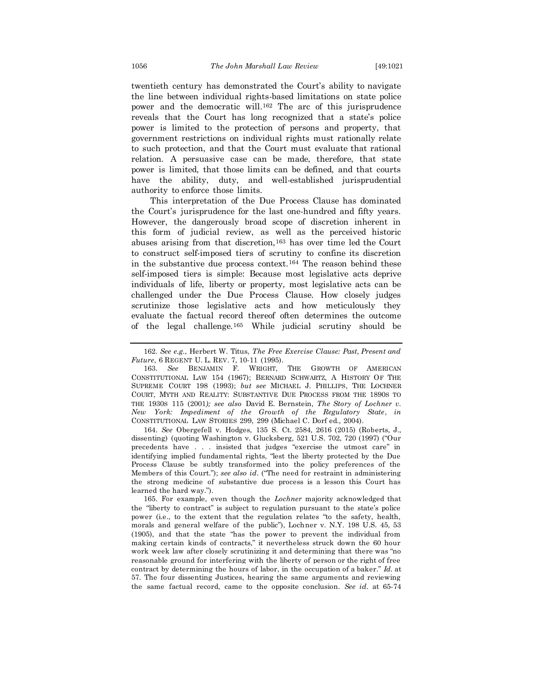twentieth century has demonstrated the Court's ability to navigate the line between individual rights-based limitations on state police power and the democratic will. <sup>162</sup> The arc of this jurisprudence reveals that the Court has long recognized that a state's police power is limited to the protection of persons and property, that government restrictions on individual rights must rationally relate to such protection, and that the Court must evaluate that rational relation. A persuasive case can be made, therefore, that state power is limited, that those limits can be defined, and that courts have the ability, duty, and well-established jurisprudential authority to enforce those limits.

This interpretation of the Due Process Clause has dominated the Court's jurisprudence for the last one-hundred and fifty years. However, the dangerously broad scope of discretion inherent in this form of judicial review, as well as the perceived historic abuses arising from that discretion,<sup>163</sup> has over time led the Court to construct self-imposed tiers of scrutiny to confine its discretion in the substantive due process context.<sup>164</sup> The reason behind these self-imposed tiers is simple: Because most legislative acts deprive individuals of life, liberty or property, most legislative acts can be challenged under the Due Process Clause. How closely judges scrutinize those legislative acts and how meticulously they evaluate the factual record thereof often determines the outcome of the legal challenge.<sup>165</sup> While judicial scrutiny should be

164. *See* Obergefell v. Hodges, 135 S. Ct. 2584, 2616 (2015) (Roberts, J., dissenting) (quoting Washington v. Glucksberg*,* 521 U.S. 702, 720 (1997) ("Our precedents have . . . insisted that judges "exercise the utmost care" in identifying implied fundamental rights, "lest the liberty protected by the Due Process Clause be subtly transformed into the policy preferences of the Members of this Court."); *see also id*. ("The need for restraint in administering the strong medicine of substantive due process is a lesson this Court has learned the hard way.").

165. For example, even though the *Lochner* majority acknowledged that the "liberty to contract" is subject to regulation pursuant to the state's police power (i.e., to the extent that the regulation relates "to the safety, health, morals and general welfare of the public"), Lochner v. N.Y. 198 U.S. 45, 53 (1905), and that the state "has the power to prevent the individual from making certain kinds of contracts," it nevertheless struck down the 60 hour work week law after closely scrutinizing it and determining that there was "no reasonable ground for interfering with the liberty of person or the right of free contract by determining the hours of labor, in the occupation of a baker." *Id.* at 57. The four dissenting Justices, hearing the same arguments and reviewing the same factual record, came to the opposite conclusion. *See id.* at 65-74

<sup>162.</sup> *See e.g.*, Herbert W. Titus, *The Free Exercise Clause: Past, Present and Future*, 6 REGENT U. L. REV. 7, 10-11 (1995).

<sup>163.</sup> *See* BENJAMIN F. WRIGHT, THE GROWTH OF AMERICAN CONSTITUTIONAL LAW 154 (1967); BERNARD SCHWARTZ, A HISTORY OF THE SUPREME COURT 198 (1993); *but see* MICHAEL J. PHILLIPS, THE LOCHNER COURT, MYTH AND REALITY: SUBSTANTIVE DUE PROCESS FROM THE 1890S TO THE 1930S 115 (2001*); see also* David E. Bernstein, *The Story of Lochner v. New York: Impediment of the Growth of the Regulatory State*, *in*  CONSTITUTIONAL LAW STORIES 299, 299 (Michael C. Dorf ed., 2004).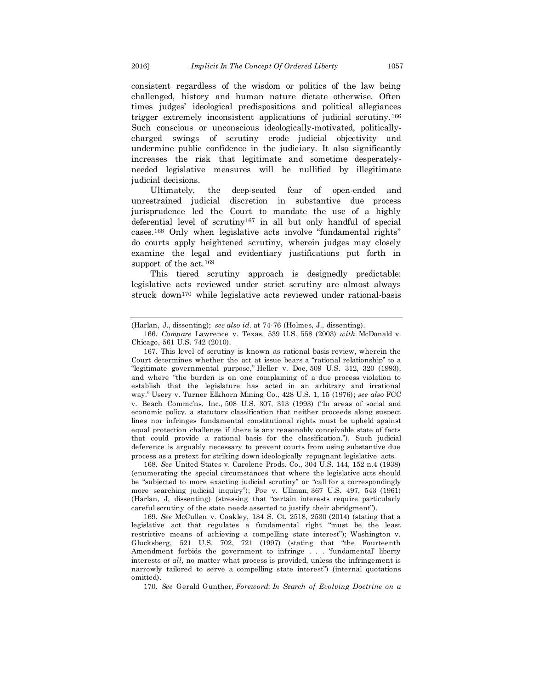consistent regardless of the wisdom or politics of the law being challenged, history and human nature dictate otherwise. Often times judges' ideological predispositions and political allegiances trigger extremely inconsistent applications of judicial scrutiny.<sup>166</sup> Such conscious or unconscious ideologically-motivated, politicallycharged swings of scrutiny erode judicial objectivity and undermine public confidence in the judiciary. It also significantly increases the risk that legitimate and sometime desperatelyneeded legislative measures will be nullified by illegitimate judicial decisions.

Ultimately, the deep-seated fear of open-ended and unrestrained judicial discretion in substantive due process jurisprudence led the Court to mandate the use of a highly deferential level of scrutiny<sup>167</sup> in all but only handful of special cases.<sup>168</sup> Only when legislative acts involve "fundamental rights" do courts apply heightened scrutiny, wherein judges may closely examine the legal and evidentiary justifications put forth in support of the act.<sup>169</sup>

This tiered scrutiny approach is designedly predictable: legislative acts reviewed under strict scrutiny are almost always struck down<sup>170</sup> while legislative acts reviewed under rational-basis

168. *See* United States v. Carolene Prods. Co., 304 U.S. 144, 152 n.4 (1938) (enumerating the special circumstances that where the legislative acts should be "subjected to more exacting judicial scrutiny" or "call for a correspondingly more searching judicial inquiry"); Poe v. Ullman, 367 U.S. 497, 543 (1961) (Harlan, J, dissenting) (stressing that "certain interests require particularly careful scrutiny of the state needs asserted to justify their abridgment").

169. *See* McCullen v. Coakley, 134 S. Ct. 2518, 2530 (2014) (stating that a legislative act that regulates a fundamental right "must be the least restrictive means of achieving a compelling state interest"); Washington v. Glucksberg, 521 U.S. 702, 721 (1997) (stating that "the Fourteenth Amendment forbids the government to infringe . . . 'fundamental' liberty interests *at all,* no matter what process is provided, unless the infringement is narrowly tailored to serve a compelling state interest") (internal quotations omitted).

170. *See* Gerald Gunther, *Foreword: In Search of Evolving Doctrine on a* 

<sup>(</sup>Harlan, J., dissenting); *see also id.* at 74-76 (Holmes, J., dissenting).

<sup>166.</sup> *Compare* Lawrence v. Texas*,* 539 U.S. 558 (2003) *with* McDonald v. Chicago, 561 U.S. 742 (2010).

<sup>167.</sup> This level of scrutiny is known as rational basis review, wherein the Court determines whether the act at issue bears a "rational relationship" to a "legitimate governmental purpose," Heller v. Doe*,* 509 U.S. 312, 320 (1993), and where "the burden is on one complaining of a due process violation to establish that the legislature has acted in an arbitrary and irrational way." Usery v. Turner Elkhorn Mining Co., 428 U.S. 1, 15 (1976); *see also* FCC v. Beach Commc'ns, Inc.*,* [508 U.S. 307](https://supreme.justia.com/cases/federal/us/508/307/), 313 (1993) ("In areas of social and economic policy, a statutory classification that neither proceeds along suspect lines nor infringes fundamental constitutional rights must be upheld against equal protection challenge if there is any reasonably conceivable state of facts that could provide a rational basis for the classification."). Such judicial deference is arguably necessary to prevent courts from using substantive due process as a pretext for striking down ideologically repugnant legislative acts.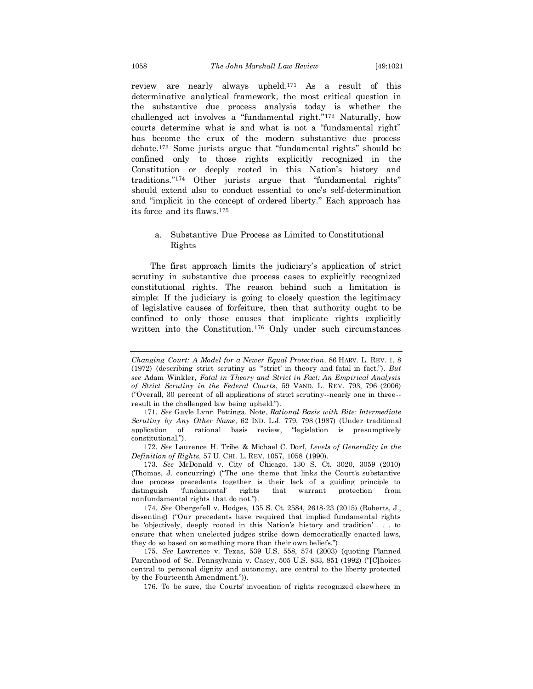review are nearly always upheld.<sup>171</sup> As a result of this determinative analytical framework, the most critical question in the substantive due process analysis today is whether the challenged act involves a "fundamental right."<sup>172</sup> Naturally, how courts determine what is and what is not a "fundamental right" has become the crux of the modern substantive due process debate.<sup>173</sup> Some jurists argue that "fundamental rights" should be confined only to those rights explicitly recognized in the Constitution or deeply rooted in this Nation's history and traditions."<sup>174</sup> Other jurists argue that "fundamental rights" should extend also to conduct essential to one's self-determination and "implicit in the concept of ordered liberty." Each approach has its force and its flaws.<sup>175</sup>

#### a. Substantive Due Process as Limited to Constitutional Rights

The first approach limits the judiciary's application of strict scrutiny in substantive due process cases to explicitly recognized constitutional rights. The reason behind such a limitation is simple: If the judiciary is going to closely question the legitimacy of legislative causes of forfeiture, then that authority ought to be confined to only those causes that implicate rights explicitly written into the Constitution.<sup>176</sup> Only under such circumstances

172. *See* Laurence H. Tribe & Michael C. Dorf, *Levels of Generality in the Definition of Rights,* 57 U. CHI. L. REV. 1057, 1058 (1990).

173. *See* McDonald v. City of Chicago, 130 S. Ct. 3020, 3059 (2010) (Thomas, J. concurring) ("The one theme that links the Court's substantive due process precedents together is their lack of a guiding principle to distinguish 'fundamental' rights that warrant protection from nonfundamental rights that do not.").

174. *See* Obergefell v. Hodges, 135 S. Ct. 2584, 2618-23 (2015) (Roberts, J., dissenting) ("Our precedents have required that implied fundamental rights be 'objectively, deeply rooted in this Nation's history and tradition' . . . to ensure that when unelected judges strike down democratically enacted laws, they do so based on something more than their own beliefs.").

175. *See* Lawrence v. Texas, 539 U.S. 558, 574 (2003) (quoting Planned Parenthood of Se. Pennsylvania v. Casey, 505 U.S. 833, 851 (1992) ("[C]hoices central to personal dignity and autonomy, are central to the liberty protected by the Fourteenth Amendment.")).

176. To be sure, the Courts' invocation of rights recognized elsewhere in

*Changing Court: A Model for a Newer Equal Protection,* 86 HARV. L. REV. 1, 8 (1972) (describing strict scrutiny as "'strict' in theory and fatal in fact."). *But see* Adam Winkler, *Fatal in Theory and Strict in Fact: An Empirical Analysis of Strict Scrutiny in the Federal Courts*, 59 VAND. L. REV. 793, 796 (2006) ("Overall, 30 percent of all applications of strict scrutiny--nearly one in three- result in the challenged law being upheld.").

<sup>171.</sup> *See* Gayle Lynn Pettinga, Note, *Rational Basis with Bite*: *Intermediate Scrutiny by Any Other Name*, 62 IND. L.J. 779, 798 (1987) (Under traditional application of rational basis review, "legislation is presumptively constitutional.").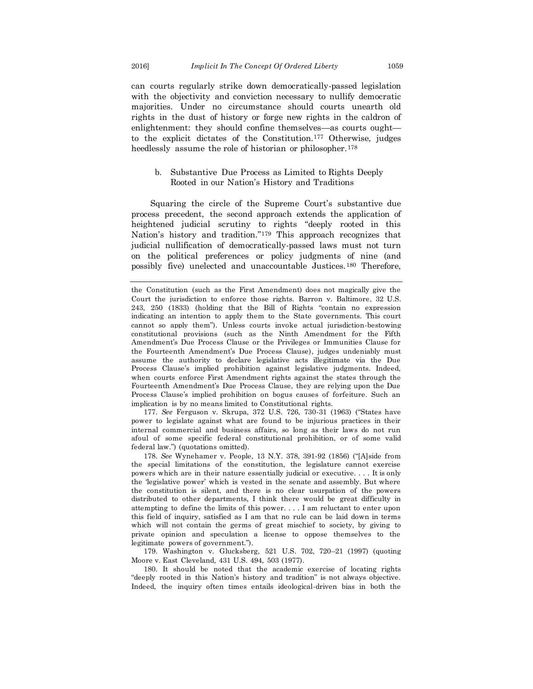can courts regularly strike down democratically-passed legislation with the objectivity and conviction necessary to nullify democratic majorities. Under no circumstance should courts unearth old rights in the dust of history or forge new rights in the caldron of enlightenment: they should confine themselves—as courts ought to the explicit dictates of the Constitution.<sup>177</sup> Otherwise, judges heedlessly assume the role of historian or philosopher.<sup>178</sup>

#### b. Substantive Due Process as Limited to Rights Deeply Rooted in our Nation's History and Traditions

Squaring the circle of the Supreme Court's substantive due process precedent, the second approach extends the application of heightened judicial scrutiny to rights "deeply rooted in this Nation's history and tradition."<sup>179</sup> This approach recognizes that judicial nullification of democratically-passed laws must not turn on the political preferences or policy judgments of nine (and possibly five) unelected and unaccountable Justices.<sup>180</sup> Therefore,

177. *See* Ferguson v. Skrupa, 372 U.S. 726, 730-31 (1963) ("States have power to legislate against what are found to be injurious practices in their internal commercial and business affairs, so long as their laws do not run afoul of some specific federal constitutional prohibition, or of some valid federal law.") (quotations omitted).

178. *See* Wynehamer v. People*,* 13 N.Y. 378, 391-92 (1856) ("[A]side from the special limitations of the constitution, the legislature cannot exercise powers which are in their nature essentially judicial or executive. . . . It is only the 'legislative power' which is vested in the senate and assembly. But where the constitution is silent, and there is no clear usurpation of the powers distributed to other departments, I think there would be great difficulty in attempting to define the limits of this power. . . . I am reluctant to enter upon this field of inquiry, satisfied as I am that no rule can be laid down in terms which will not contain the germs of great mischief to society, by giving to private opinion and speculation a license to oppose themselves to the legitimate powers of government.").

179. Washington v. Glucksberg, 521 U.S. 702, 720–21 (1997) (quoting Moore v. East Cleveland*,* 431 U.S. 494, 503 (1977).

180. It should be noted that the academic exercise of locating rights "deeply rooted in this Nation's history and tradition" is not always objective. Indeed, the inquiry often times entails ideological-driven bias in both the

the Constitution (such as the First Amendment) does not magically give the Court the jurisdiction to enforce those rights. Barron v. Baltimore, 32 U.S. 243, 250 (1833) (holding that the Bill of Rights "contain no expression indicating an intention to apply them to the State governments. This court cannot so apply them"). Unless courts invoke actual jurisdiction-bestowing constitutional provisions (such as the Ninth Amendment for the Fifth Amendment's Due Process Clause or the Privileges or Immunities Clause for the Fourteenth Amendment's Due Process Clause), judges undeniably must assume the authority to declare legislative acts illegitimate via the Due Process Clause's implied prohibition against legislative judgments. Indeed, when courts enforce First Amendment rights against the states through the Fourteenth Amendment's Due Process Clause, they are relying upon the Due Process Clause's implied prohibition on bogus causes of forfeiture. Such an implication is by no means limited to Constitutional rights.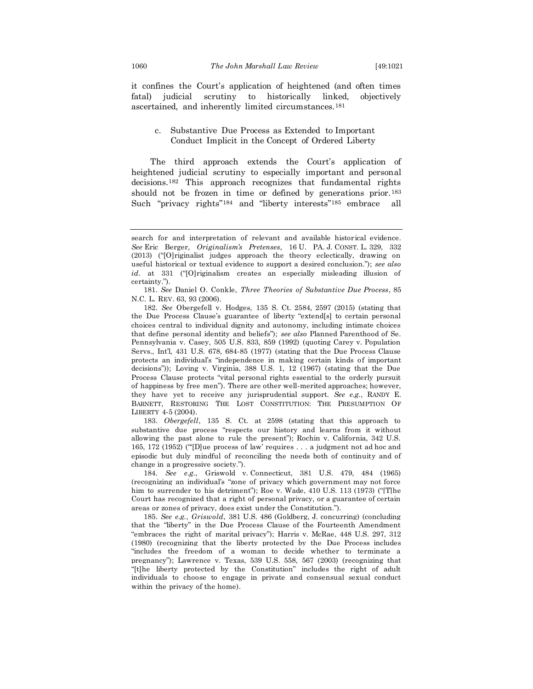it confines the Court's application of heightened (and often times fatal) judicial scrutiny to historically linked, objectively ascertained, and inherently limited circumstances.<sup>181</sup>

#### c. Substantive Due Process as Extended to Important Conduct Implicit in the Concept of Ordered Liberty

The third approach extends the Court's application of heightened judicial scrutiny to especially important and personal decisions.<sup>182</sup> This approach recognizes that fundamental rights should not be frozen in time or defined by generations prior.<sup>183</sup> Such "privacy rights"<sup>184</sup> and "liberty interests"<sup>185</sup> embrace all

182. *See* Obergefell v. Hodges, 135 S. Ct. 2584, 2597 (2015) (stating that the Due Process Clause's guarantee of liberty "extend[s] to certain personal choices central to individual dignity and autonomy, including intimate choices that define personal identity and beliefs"); *see also* Planned Parenthood of Se. Pennsylvania v. Casey, 505 U.S. 833, 859 (1992) (quoting Carey v. Population Servs., Int'l, 431 U.S. 678, 684-85 (1977) (stating that the Due Process Clause protects an individual's "independence in making certain kinds of important decisions")); Loving v. Virginia, 388 U.S. 1, 12 (1967) (stating that the Due Process Clause protects "vital personal rights essential to the orderly pursuit of happiness by free men"). There are other well-merited approaches; however, they have yet to receive any jurisprudential support. *See e.g.*, RANDY E. BARNETT, RESTORING THE LOST CONSTITUTION: THE PRESUMPTION OF LIBERTY 4-5 (2004).

183. *Obergefell*, 135 S. Ct. at 2598 (stating that this approach to substantive due process "respects our history and learns from it without allowing the past alone to rule the present"); Rochin v. California, 342 U.S. 165, 172 (1952) ("'[D]ue process of law' requires . . . a judgment not ad hoc and episodic but duly mindful of reconciling the needs both of continuity and of change in a progressive society.").

184. *See e.g.*, Griswold v*.* Connecticut, 381 U.S. 479, 484 (1965) (recognizing an individual's "zone of privacy which government may not force him to surrender to his detriment"); Roe v. Wade, 410 U.S. 113 (1973) ("The Court has recognized that a right of personal privacy, or a guarantee of certain areas or zones of privacy, does exist under the Constitution.").

185. *See e.g.*, *Griswold*, 381 U.S. 486 (Goldberg, J. concurring) (concluding that the "liberty" in the Due Process Clause of the Fourteenth Amendment "embraces the right of marital privacy"); Harris v. McRae, 448 U.S. 297, 312 (1980) (recognizing that the liberty protected by the Due Process includes "includes the freedom of a woman to decide whether to terminate a pregnancy"); Lawrence v. Texas, 539 U.S. 558, 567 (2003) (recognizing that "[t]he liberty protected by the Constitution" includes the right of adult individuals to choose to engage in private and consensual sexual conduct within the privacy of the home).

search for and interpretation of relevant and available historical evidence. *See* Eric Berger*, Originalism's Pretenses,* 16 U. PA. J*.* CONST*.* L. 329, 332 (2013) ("[O]riginalist judges approach the theory eclectically, drawing on useful historical or textual evidence to support a desired conclusion."); *see also*  id. at 331 ("[O]riginalism creates an especially misleading illusion of certainty.").

<sup>181.</sup> *See* Daniel O. Conkle, *Three Theories of Substantive Due Process*, 85 N.C. L. REV. 63, 93 (2006).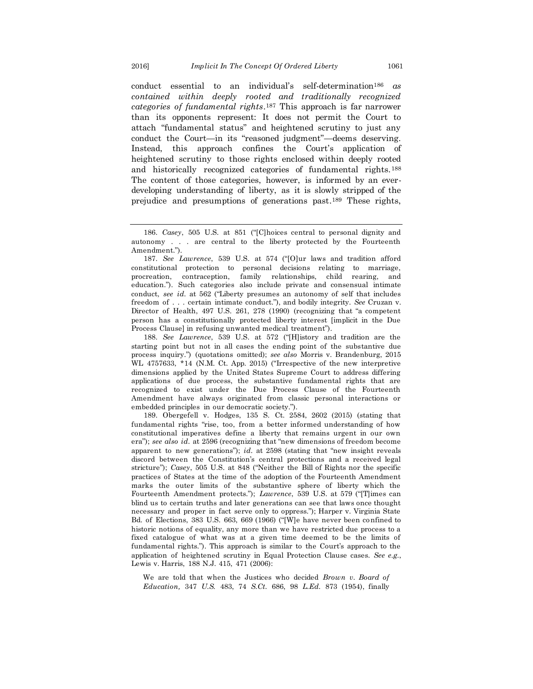conduct essential to an individual's self-determination<sup>186</sup> *as contained within deeply rooted and traditionally recognized categories of fundamental rights*. <sup>187</sup> This approach is far narrower than its opponents represent: It does not permit the Court to attach "fundamental status" and heightened scrutiny to just any conduct the Court—in its "reasoned judgment"—deems deserving. Instead, this approach confines the Court's application of heightened scrutiny to those rights enclosed within deeply rooted and historically recognized categories of fundamental rights.<sup>188</sup> The content of those categories, however, is informed by an everdeveloping understanding of liberty, as it is slowly stripped of the prejudice and presumptions of generations past. <sup>189</sup> These rights,

188. *See Lawrence*, 539 U.S. at 572 ("[H]istory and tradition are the starting point but not in all cases the ending point of the substantive due process inquiry.") (quotations omitted); *see also* Morris v. Brandenburg, 2015 WL 4757633, \*14 (N.M. Ct. App. 2015) ("Irrespective of the new interpretive dimensions applied by the United States Supreme Court to address differing applications of due process, the substantive fundamental rights that are recognized to exist under the Due Process Clause of the Fourteenth Amendment have always originated from classic personal interactions or embedded principles in our democratic society.").

189. Obergefell v. Hodges, 135 S. Ct. 2584, 2602 (2015) (stating that fundamental rights "rise, too, from a better informed understanding of how constitutional imperatives define a liberty that remains urgent in our own era"); *see also id.* at 2596 (recognizing that "new dimensions of freedom become apparent to new generations"); *id.* at 2598 (stating that "new insight reveals discord between the Constitution's central protections and a received legal stricture"); *Casey*, 505 U.S. at 848 ("Neither the Bill of Rights nor the specific practices of States at the time of the adoption of the Fourteenth Amendment marks the outer limits of the substantive sphere of liberty which the Fourteenth Amendment protects."); *Lawrence*, 539 U.S. at 579 ("[T]imes can blind us to certain truths and later generations can see that laws once thought necessary and proper in fact serve only to oppress."); Harper v. Virginia State Bd. of Elections, 383 U.S. 663, 669 (1966) ("[W]e have never been confined to historic notions of equality, any more than we have restricted due process to a fixed catalogue of what was at a given time deemed to be the limits of fundamental rights."). This approach is similar to the Court's approach to the application of heightened scrutiny in Equal Protection Clause cases. *See e.g.*, Lewis v. Harris, 188 N.J. 415, 471 (2006):

We are told that when the Justices who decided *Brown v. Board of Education,* 347 *U.S.* 483, 74 *S.Ct.* 686, 98 *L.Ed.* 873 (1954), finally

<sup>186.</sup> *Casey*, 505 U.S. at 851 ("[C]hoices central to personal dignity and autonomy . . . are central to the liberty protected by the Fourteenth Amendment.").

<sup>187.</sup> *See Lawrence*, 539 U.S. at 574 ("[O]ur laws and tradition afford constitutional protection to personal decisions relating to marriage, procreation, contraception, family relationships, child rearing, and education."). Such categories also include private and consensual intimate conduct, *see id.* at 562 ("Liberty presumes an autonomy of self that includes freedom of . . . certain intimate conduct."), and bodily integrity. *See* Cruzan v. Director of Health, 497 U.S. 261, 278 (1990) (recognizing that "a competent person has a constitutionally protected liberty interest [implicit in the Due Process Clause] in refusing unwanted medical treatment").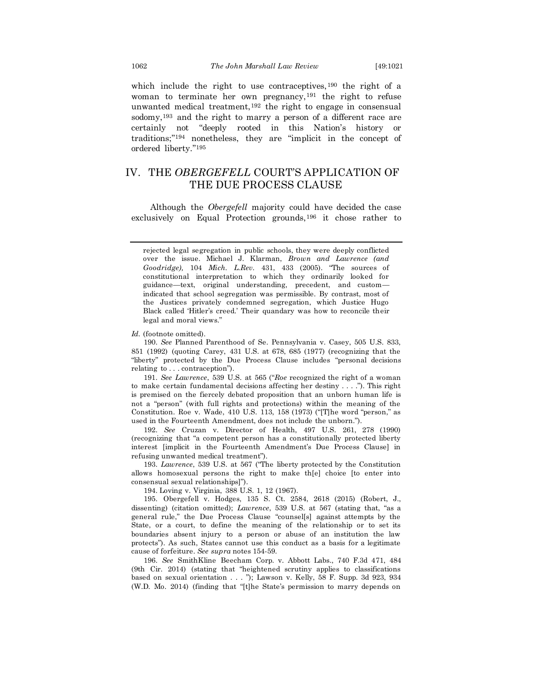which include the right to use contraceptives,<sup>190</sup> the right of a woman to terminate her own pregnancy,<sup>191</sup> the right to refuse unwanted medical treatment,<sup>192</sup> the right to engage in consensual sodomy,<sup>193</sup> and the right to marry a person of a different race are certainly not "deeply rooted in this Nation's history or traditions;"<sup>194</sup> nonetheless, they are "implicit in the concept of ordered liberty."<sup>195</sup>

## IV. THE *OBERGEFELL* COURT'S APPLICATION OF THE DUE PROCESS CLAUSE

Although the *Obergefell* majority could have decided the case exclusively on Equal Protection grounds,<sup>196</sup> it chose rather to

rejected legal segregation in public schools, they were deeply conflicted over the issue. Michael J. Klarman, *Brown and Lawrence (and Goodridge),* 104 *Mich. L.Rev.* 431, 433 (2005). "The sources of constitutional interpretation to which they ordinarily looked for guidance—text, original understanding, precedent, and custom indicated that school segregation was permissible. By contrast, most of the Justices privately condemned segregation, which Justice Hugo Black called 'Hitler's creed.' Their quandary was how to reconcile their legal and moral views."

*Id.* (footnote omitted).

190. *See* Planned Parenthood of Se. Pennsylvania v. Casey, 505 U.S. 833, 851 (1992) (quoting Carey, 431 U.S. at 678, 685 (1977) (recognizing that the "liberty" protected by the Due Process Clause includes "personal decisions relating to . . . contraception").

191. *See Lawrence*, 539 U.S. at 565 ("*Roe* recognized the right of a woman to make certain fundamental decisions affecting her destiny . . . ."). This right is premised on the fiercely debated proposition that an unborn human life is not a "person" (with full rights and protections) within the meaning of the Constitution. Roe v. Wade, 410 U.S. 113, 158 (1973) ("[T]he word "person," as used in the Fourteenth Amendment, does not include the unborn.").

192. *See* Cruzan v. Director of Health, 497 U.S. 261, 278 (1990) (recognizing that "a competent person has a constitutionally protected liberty interest [implicit in the Fourteenth Amendment's Due Process Clause] in refusing unwanted medical treatment").

193. *Lawrence*, 539 U.S. at 567 ("The liberty protected by the Constitution allows homosexual persons the right to make th[e] choice [to enter into consensual sexual relationships]").

194. Loving v. Virginia, 388 U.S. 1, 12 (1967).

195. Obergefell v. Hodges, 135 S. Ct. 2584, 2618 (2015) (Robert, J., dissenting) (citation omitted); *Lawrence*, 539 U.S. at 567 (stating that, "as a general rule," the Due Process Clause "counsel[s] against attempts by the State, or a court, to define the meaning of the relationship or to set its boundaries absent injury to a person or abuse of an institution the law protects"). As such, States cannot use this conduct as a basis for a legitimate cause of forfeiture. *See supra* notes 154-59.

196. *See* SmithKline Beecham Corp. v. Abbott Labs., 740 F.3d 471, 484 (9th Cir. 2014) (stating that "heightened scrutiny applies to classifications based on sexual orientation . . . "); Lawson v. Kelly, 58 F. Supp. 3d 923, 934 (W.D. Mo. 2014) (finding that "[t]he State's permission to marry depends on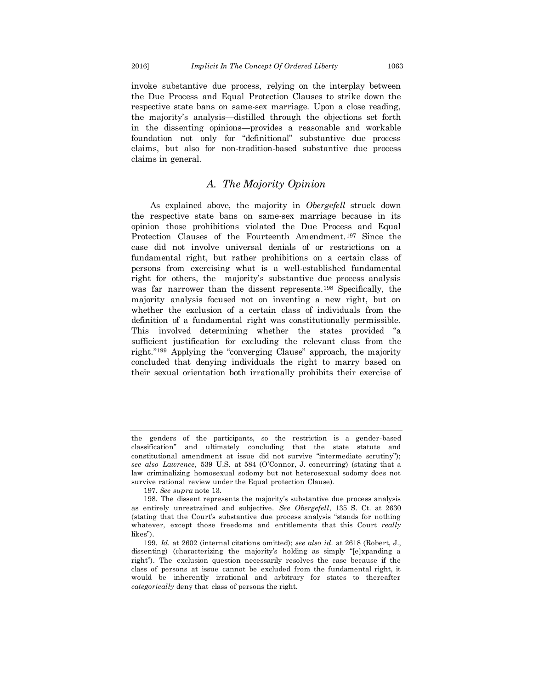invoke substantive due process, relying on the interplay between the Due Process and Equal Protection Clauses to strike down the respective state bans on same-sex marriage. Upon a close reading, the majority's analysis—distilled through the objections set forth in the dissenting opinions—provides a reasonable and workable foundation not only for "definitional" substantive due process claims, but also for non-tradition-based substantive due process claims in general.

## *A. The Majority Opinion*

As explained above, the majority in *Obergefell* struck down the respective state bans on same-sex marriage because in its opinion those prohibitions violated the Due Process and Equal Protection Clauses of the Fourteenth Amendment.<sup>197</sup> Since the case did not involve universal denials of or restrictions on a fundamental right, but rather prohibitions on a certain class of persons from exercising what is a well-established fundamental right for others, the majority's substantive due process analysis was far narrower than the dissent represents.<sup>198</sup> Specifically, the majority analysis focused not on inventing a new right, but on whether the exclusion of a certain class of individuals from the definition of a fundamental right was constitutionally permissible. This involved determining whether the states provided "a sufficient justification for excluding the relevant class from the right."<sup>199</sup> Applying the "converging Clause" approach, the majority concluded that denying individuals the right to marry based on their sexual orientation both irrationally prohibits their exercise of

the genders of the participants, so the restriction is a gender-based classification" and ultimately concluding that the state statute and constitutional amendment at issue did not survive "intermediate scrutiny"); *see also Lawrence*, 539 U.S. at 584 (O'Connor, J. concurring) (stating that a law criminalizing homosexual sodomy but not heterosexual sodomy does not survive rational review under the Equal protection Clause).

<sup>197.</sup> *See supra* note 13.

<sup>198.</sup> The dissent represents the majority's substantive due process analysis as entirely unrestrained and subjective. *See Obergefell*, 135 S. Ct. at 2630 (stating that the Court's substantive due process analysis "stands for nothing whatever, except those freedoms and entitlements that this Court *really* likes").

<sup>199.</sup> *Id.* at 2602 (internal citations omitted); *see also id.* at 2618 (Robert, J., dissenting) (characterizing the majority's holding as simply "[e]xpanding a right"). The exclusion question necessarily resolves the case because if the class of persons at issue cannot be excluded from the fundamental right, it would be inherently irrational and arbitrary for states to thereafter *categorically* deny that class of persons the right.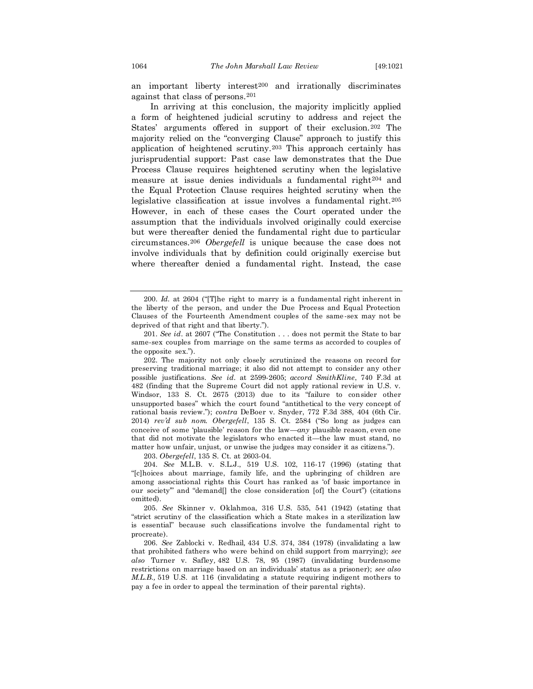an important liberty interest<sup>200</sup> and irrationally discriminates against that class of persons.<sup>201</sup>

In arriving at this conclusion, the majority implicitly applied a form of heightened judicial scrutiny to address and reject the States' arguments offered in support of their exclusion.<sup>202</sup> The majority relied on the "converging Clause" approach to justify this application of heightened scrutiny.<sup>203</sup> This approach certainly has jurisprudential support: Past case law demonstrates that the Due Process Clause requires heightened scrutiny when the legislative measure at issue denies individuals a fundamental right<sup>204</sup> and the Equal Protection Clause requires heighted scrutiny when the legislative classification at issue involves a fundamental right.<sup>205</sup> However, in each of these cases the Court operated under the assumption that the individuals involved originally could exercise but were thereafter denied the fundamental right due to particular circumstances.<sup>206</sup> *Obergefell* is unique because the case does not involve individuals that by definition could originally exercise but where thereafter denied a fundamental right. Instead, the case

203. *Obergefell*, 135 S. Ct. at 2603-04.

204. *See* M.L.B. v. S.L.J., 519 U.S. 102, 116-17 (1996) (stating that "[c]hoices about marriage, family life, and the upbringing of children are among associational rights this Court has ranked as 'of basic importance in our society'" and "demand[] the close consideration [of] the Court") (citations omitted).

205. *See* Skinner v. Oklahmoa, 316 U.S. 535, 541 (1942) (stating that "strict scrutiny of the classification which a State makes in a sterilization law is essential" because such classifications involve the fundamental right to procreate).

206. *See* Zablocki v. Redhail*,* 434 U.S. 374, 384 (1978) (invalidating a law that prohibited fathers who were behind on child support from marrying); *see also* Turner v. Safley*,* 482 U.S. 78, 95 (1987) (invalidating burdensome restrictions on marriage based on an individuals' status as a prisoner); *see also M.L.B.,* 519 U.S. at 116 (invalidating a statute requiring indigent mothers to pay a fee in order to appeal the termination of their parental rights).

<sup>200.</sup> *Id.* at 2604 ("[T]he right to marry is a fundamental right inherent in the liberty of the person, and under the Due Process and Equal Protection Clauses of the Fourteenth Amendment couples of the same -sex may not be deprived of that right and that liberty.").

<sup>201.</sup> *See id*. at 2607 ("The Constitution . . . does not permit the State to bar same-sex couples from marriage on the same terms as accorded to couples of the opposite sex.").

<sup>202.</sup> The majority not only closely scrutinized the reasons on record for preserving traditional marriage; it also did not attempt to consider any other possible justifications. *See id.* at 2599-2605; *accord SmithKline*, 740 F.3d at 482 (finding that the Supreme Court did not apply rational review in U.S. v. Windsor, 133 S. Ct. 2675 (2013) due to its "failure to consider other unsupported bases" which the court found "antithetical to the very concept of rational basis review."); *contra* DeBoer v. Snyder, 772 F.3d 388, 404 (6th Cir. 2014) *rev'd sub nom. Obergefell*, 135 S. Ct. 2584 ("So long as judges can conceive of some 'plausible' reason for the law—*any* plausible reason, even one that did not motivate the legislators who enacted it—the law must stand, no matter how unfair, unjust, or unwise the judges may consider it as citizens.").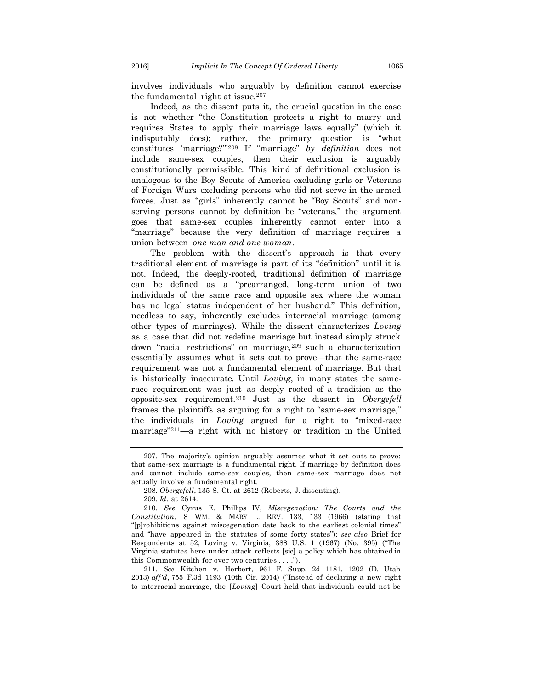involves individuals who arguably by definition cannot exercise the fundamental right at issue.<sup>207</sup>

Indeed, as the dissent puts it, the crucial question in the case is not whether "the Constitution protects a right to marry and requires States to apply their marriage laws equally" (which it indisputably does); rather, the primary question is "what constitutes 'marriage?'"<sup>208</sup> If "marriage" *by definition* does not include same-sex couples, then their exclusion is arguably constitutionally permissible. This kind of definitional exclusion is analogous to the Boy Scouts of America excluding girls or Veterans of Foreign Wars excluding persons who did not serve in the armed forces. Just as "girls" inherently cannot be "Boy Scouts" and nonserving persons cannot by definition be "veterans," the argument goes that same-sex couples inherently cannot enter into a "marriage" because the very definition of marriage requires a union between *one man and one woman*.

The problem with the dissent's approach is that every traditional element of marriage is part of its "definition" until it is not. Indeed, the deeply-rooted, traditional definition of marriage can be defined as a "prearranged, long-term union of two individuals of the same race and opposite sex where the woman has no legal status independent of her husband." This definition, needless to say, inherently excludes interracial marriage (among other types of marriages). While the dissent characterizes *Loving* as a case that did not redefine marriage but instead simply struck down "racial restrictions" on marriage, <sup>209</sup> such a characterization essentially assumes what it sets out to prove—that the same-race requirement was not a fundamental element of marriage. But that is historically inaccurate. Until *Loving*, in many states the samerace requirement was just as deeply rooted of a tradition as the opposite-sex requirement.<sup>210</sup> Just as the dissent in *Obergefell* frames the plaintiffs as arguing for a right to "same-sex marriage," the individuals in *Loving* argued for a right to "mixed-race marriage"211—a right with no history or tradition in the United

209. *Id.* at 2614.

211. *See* Kitchen v. Herbert, 961 F. Supp. 2d 1181, 1202 (D. Utah 2013) *aff'd*, 755 F.3d 1193 (10th Cir. 2014) ("Instead of declaring a new right to interracial marriage, the [*Loving*] Court held that individuals could not be

<sup>207.</sup> The majority's opinion arguably assumes what it set outs to prove: that same-sex marriage is a fundamental right. If marriage by definition does and cannot include same-sex couples, then same-sex marriage does not actually involve a fundamental right.

<sup>208.</sup> *Obergefell*, 135 S. Ct. at 2612 (Roberts, J. dissenting).

<sup>210.</sup> *See* Cyrus E. Phillips IV, *Miscegenation: The Courts and the Constitution*, 8 WM. & MARY L. REV. 133, 133 (1966) (stating that "[p]rohibitions against miscegenation date back to the earliest colonial times" and "have appeared in the statutes of some forty states"); *see also* Brief for Respondents at 52, Loving v. Virginia, 388 U.S. 1 (1967) (No. 395) ("The Virginia statutes here under attack reflects [sic] a policy which has obtained in this Commonwealth for over two centuries . . . .").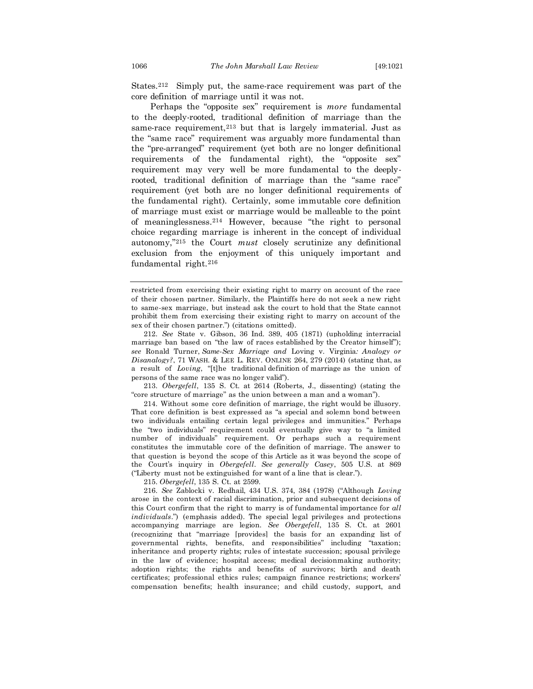States.212 Simply put, the same-race requirement was part of the core definition of marriage until it was not.

Perhaps the "opposite sex" requirement is *more* fundamental to the deeply-rooted, traditional definition of marriage than the same-race requirement,<sup>213</sup> but that is largely immaterial. Just as the "same race" requirement was arguably more fundamental than the "pre-arranged" requirement (yet both are no longer definitional requirements of the fundamental right), the "opposite sex" requirement may very well be more fundamental to the deeplyrooted, traditional definition of marriage than the "same race" requirement (yet both are no longer definitional requirements of the fundamental right). Certainly, some immutable core definition of marriage must exist or marriage would be malleable to the point of meaninglessness.<sup>214</sup> However, because "the right to personal choice regarding marriage is inherent in the concept of individual autonomy,"<sup>215</sup> the Court *must* closely scrutinize any definitional exclusion from the enjoyment of this uniquely important and fundamental right.<sup>216</sup>

212. *See* State v. Gibson, 36 Ind. 389, 405 (1871) (upholding interracial marriage ban based on "the law of races established by the Creator himself"); *see* Ronald Turner, *Same-Sex Marriage and* Loving v. Virginia*: Analogy or*   $Disanology$ ?, 71 WASH. & LEE L. REV. ONLINE 264, 279 (2014) (stating that, as a result of *Loving*, "[t]he traditional definition of marriage as the union of persons of the same race was no longer valid").

213. *Obergefell*, 135 S. Ct. at 2614 (Roberts, J., dissenting) (stating the "core structure of marriage" as the union between a man and a woman").

214. Without some core definition of marriage, the right would be illusory. That core definition is best expressed as "a special and solemn bond between two individuals entailing certain legal privileges and immunities." Perhaps the "two individuals" requirement could eventually give way to "a limited number of individuals" requirement. Or perhaps such a requirement constitutes the immutable core of the definition of marriage. The answer to that question is beyond the scope of this Article as it was beyond the scope of the Court's inquiry in *Obergefell*. *See generally Casey*, 505 U.S. at 869 ("Liberty must not be extinguished for want of a line that is clear.").

215. *Obergefell*, 135 S. Ct. at 2599.

216. *See* Zablocki v. Redhail, 434 U.S. 374, 384 (1978) ("Although *Loving* arose in the context of racial discrimination, prior and subsequent decisions of this Court confirm that the right to marry is of fundamental importance for *all individuals*.") (emphasis added). The special legal privileges and protections accompanying marriage are legion. *See Obergefell*, 135 S. Ct. at 2601 (recognizing that "marriage [provides] the basis for an expanding list of governmental rights, benefits, and responsibilities" including "taxation; inheritance and property rights; rules of intestate succession; spousal privilege in the law of evidence; hospital access; medical decisionmaking authority; adoption rights; the rights and benefits of survivors; birth and death certificates; professional ethics rules; campaign finance restrictions; workers' compensation benefits; health insurance; and child custody, support, and

restricted from exercising their existing right to marry on account of the race of their chosen partner. Similarly, the Plaintiffs here do not seek a new right to same-sex marriage, but instead ask the court to hold that the State cannot prohibit them from exercising their existing right to marry on account of the sex of their chosen partner.") (citations omitted).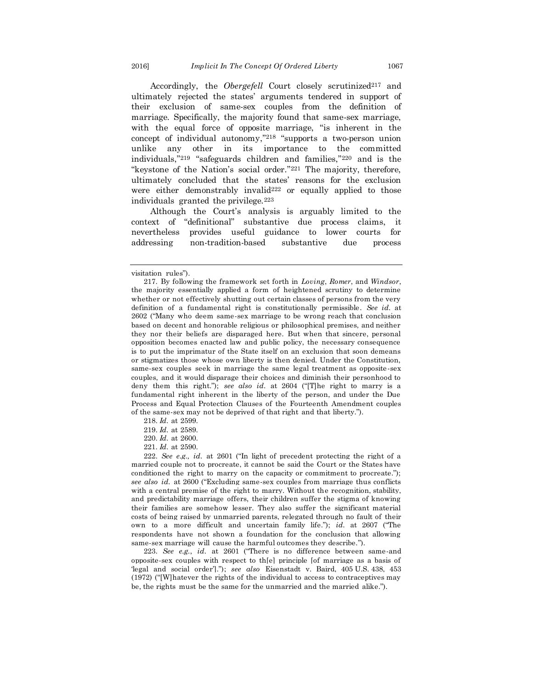Accordingly, the *Obergefell* Court closely scrutinized<sup>217</sup> and ultimately rejected the states' arguments tendered in support of their exclusion of same-sex couples from the definition of marriage. Specifically, the majority found that same-sex marriage, with the equal force of opposite marriage, "is inherent in the concept of individual autonomy,"<sup>218</sup> "supports a two-person union unlike any other in its importance to the committed individuals,"<sup>219</sup> "safeguards children and families,"<sup>220</sup> and is the "keystone of the Nation's social order."<sup>221</sup> The majority, therefore, ultimately concluded that the states' reasons for the exclusion were either demonstrably invalid<sup>222</sup> or equally applied to those individuals granted the privilege. $223$ 

Although the Court's analysis is arguably limited to the context of "definitional" substantive due process claims, it nevertheless provides useful guidance to lower courts for addressing non-tradition-based substantive due process

218. *Id.* at 2599.

220. *Id.* at 2600.

221. *Id.* at 2590.

222. *See e.g., id.* at 2601 ("In light of precedent protecting the right of a married couple not to procreate, it cannot be said the Court or the States have conditioned the right to marry on the capacity or commitment to procreate."); *see also id.* at 2600 ("Excluding same-sex couples from marriage thus conflicts with a central premise of the right to marry. Without the recognition, stability, and predictability marriage offers, their children suffer the stigma of knowing their families are somehow lesser. They also suffer the significant material costs of being raised by unmarried parents, relegated through no fault of their own to a more difficult and uncertain family life."); *id.* at 2607 ("The respondents have not shown a foundation for the conclusion that allowing same-sex marriage will cause the harmful outcomes they describe.").

223. *See e.g.*, *id.* at 2601 ("There is no difference between same-and opposite-sex couples with respect to th[e] principle [of marriage as a basis of 'legal and social order']."); *see also* Eisenstadt v. Baird, 405 [U.S.](https://en.wikipedia.org/wiki/United_States_Reports) [438,](https://supreme.justia.com/cases/federal/us/405/438/) 453 (1972) ("[W]hatever the rights of the individual to access to contraceptives may be, the rights must be the same for the unmarried and the married alike.").

visitation rules").

<sup>217.</sup> By following the framework set forth in *Loving*, *Romer*, and *Windsor*, the majority essentially applied a form of heightened scrutiny to determine whether or not effectively shutting out certain classes of persons from the very definition of a fundamental right is constitutionally permissible*. See id.* at 2602 ("Many who deem same-sex marriage to be wrong reach that conclusion based on decent and honorable religious or philosophical premises, and neither they nor their beliefs are disparaged here. But when that sincere, personal opposition becomes enacted law and public policy, the necessary consequence is to put the imprimatur of the State itself on an exclusion that soon demeans or stigmatizes those whose own liberty is then denied. Under the Constitution, same-sex couples seek in marriage the same legal treatment as opposite-sex couples, and it would disparage their choices and diminish their personhood to deny them this right."); *see also id.* at 2604 ("[T]he right to marry is a fundamental right inherent in the liberty of the person, and under the Due Process and Equal Protection Clauses of the Fourteenth Amendment couples of the same-sex may not be deprived of that right and that liberty.").

<sup>219.</sup> *Id.* at 2589.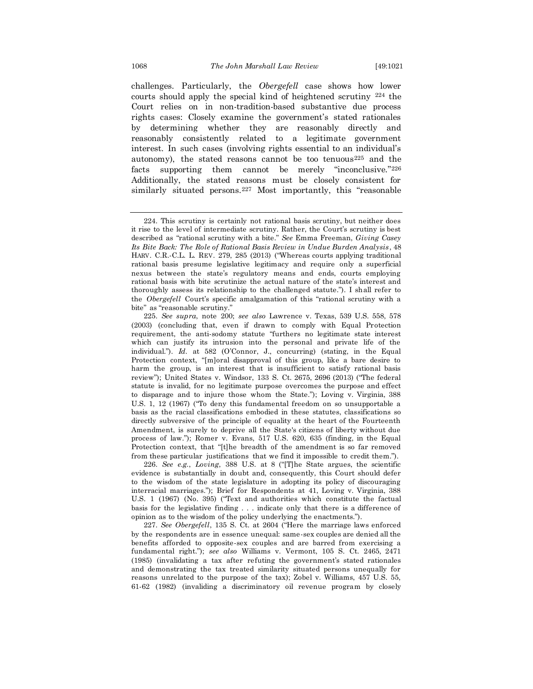challenges. Particularly, the *Obergefell* case shows how lower courts should apply the special kind of heightened scrutiny <sup>224</sup> the Court relies on in non-tradition-based substantive due process rights cases: Closely examine the government's stated rationales by determining whether they are reasonably directly and reasonably consistently related to a legitimate government interest. In such cases (involving rights essential to an individual's autonomy), the stated reasons cannot be too tenuous<sup>225</sup> and the facts supporting them cannot be merely "inconclusive."<sup>226</sup> Additionally, the stated reasons must be closely consistent for similarly situated persons.<sup>227</sup> Most importantly, this "reasonable

226. *See e.g.*, *Loving*, 388 U.S. at 8 ("[T]he State argues, the scientific evidence is substantially in doubt and, consequently, this Court should defer to the wisdom of the state legislature in adopting its policy of discouraging interracial marriages."); Brief for Respondents at 41, Loving v. Virginia, 388 U.S. 1 (1967) (No. 395) ("Text and authorities which constitute the factual basis for the legislative finding . . . indicate only that there is a difference of opinion as to the wisdom of the policy underlying the enactments.").

227. *See Obergefell*, 135 S. Ct. at 2604 ("Here the marriage laws enforced by the respondents are in essence unequal: same-sex couples are denied all the benefits afforded to opposite-sex couples and are barred from exercising a fundamental right."); *see also* Williams v. Vermont, 105 S. Ct. 2465, 2471 (1985) (invalidating a tax after refuting the government's stated rationales and demonstrating the tax treated similarity situated persons unequally for reasons unrelated to the purpose of the tax); Zobel v. Williams, 457 U.S. 55, 61-62 (1982) (invaliding a discriminatory oil revenue program by closely

<sup>224.</sup> This scrutiny is certainly not rational basis scrutiny, but neither does it rise to the level of intermediate scrutiny. Rather, the Court's scrutiny is best described as "rational scrutiny with a bite." *See* Emma Freeman, *Giving Casey Its Bite Back: The Role of Rational Basis Review in Undue Burden Analysis*, 48 HARV. C.R.-C.L. L. REV. 279, 285 (2013) ("Whereas courts applying traditional rational basis presume legislative legitimacy and require only a superficial nexus between the state's regulatory means and ends, courts employing rational basis with bite scrutinize the actual nature of the state's interest and thoroughly assess its relationship to the challenged statute."). I shall refer to the *Obergefell* Court's specific amalgamation of this "rational scrutiny with a bite" as "reasonable scrutiny."

<sup>225.</sup> *See supra*, note 200; *see also* Lawrence v. Texas, 539 U.S. 558, 578 (2003) (concluding that, even if drawn to comply with Equal Protection requirement, the anti-sodomy statute "furthers no legitimate state interest which can justify its intrusion into the personal and private life of the individual."). *Id.* at 582 (O'Connor, J., concurring) (stating, in the Equal Protection context, "[m]oral disapproval of this group, like a bare desire to harm the group, is an interest that is insufficient to satisfy rational basis review"); United States v. Windsor, 133 S. Ct. 2675, 2696 (2013) ("The federal statute is invalid, for no legitimate purpose overcomes the purpose and effect to disparage and to injure those whom the State."); Loving v. Virginia, 388 U.S. 1, 12 (1967) ("To deny this fundamental freedom on so unsupportable a basis as the racial classifications embodied in these statutes, classifications so directly subversive of the principle of equality at the heart of the Fourteenth Amendment, is surely to deprive all the State's citizens of liberty without due process of law."); Romer v. Evans, 517 U.S. 620, 635 (finding, in the Equal Protection context, that "[t]he breadth of the amendment is so far removed from these particular justifications that we find it impossible to credit them.").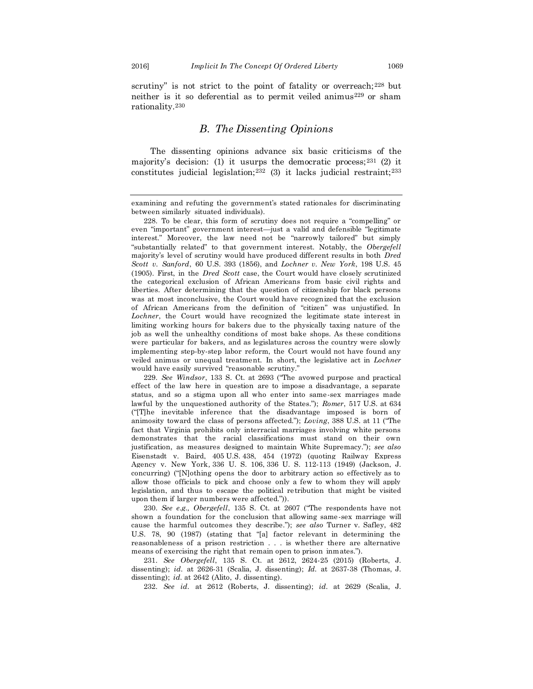rationality.<sup>230</sup>

scrutiny" is not strict to the point of fatality or overreach;<sup>228</sup> but neither is it so deferential as to permit veiled animus<sup>229</sup> or sham

#### *B. The Dissenting Opinions*

The dissenting opinions advance six basic criticisms of the majority's decision: (1) it usurps the democratic process;  $2^{31}$  (2) it constitutes judicial legislation;<sup>232</sup> (3) it lacks judicial restraint;<sup>233</sup>

230. *See e.g., Obergefell*, 135 S. Ct. at 2607 ("The respondents have not shown a foundation for the conclusion that allowing same-sex marriage will cause the harmful outcomes they describe."); *see also* Turner v. Safley, 482 U.S. 78, 90 (1987) (stating that "[a] factor relevant in determining the reasonableness of a prison restriction . . . is whether there are alternative means of exercising the right that remain open to prison inmates.").

231. *See Obergefell*, 135 S. Ct. at 2612, 2624-25 (2015) (Roberts, J. dissenting); *id.* at 2626-31 (Scalia, J. dissenting); *Id.* at 2637-38 (Thomas, J. dissenting); *id.* at 2642 (Alito, J. dissenting).

232. *See id.* at 2612 (Roberts, J. dissenting); *id.* at 2629 (Scalia, J.

examining and refuting the government's stated rationales for discriminating between similarly situated individuals).

<sup>228.</sup> To be clear, this form of scrutiny does not require a "compelling" or even "important" government interest—just a valid and defensible "legitimate interest." Moreover, the law need not be "narrowly tailored" but simply "substantially related" to that government interest. Notably, the *Obergefell* majority's level of scrutiny would have produced different results in both *Dred Scott v. Sanford*, 60 U.S. 393 (1856), and *Lochner v. New York*, 198 U.S. 45 (1905). First, in the *Dred Scott* case, the Court would have closely scrutinized the categorical exclusion of African Americans from basic civil rights and liberties. After determining that the question of citizenship for black persons was at most inconclusive, the Court would have recognized that the exclusion of African Americans from the definition of "citizen" was unjustified. In *Lochner*, the Court would have recognized the legitimate state interest in limiting working hours for bakers due to the physically taxing nature of the job as well the unhealthy conditions of most bake shops. As these conditions were particular for bakers, and as legislatures across the country were slowly implementing step-by-step labor reform, the Court would not have found any veiled animus or unequal treatment. In short, the legislative act in *Lochner* would have easily survived "reasonable scrutiny."

<sup>229.</sup> *See Windsor*, 133 S. Ct. at 2693 ("The avowed purpose and practical effect of the law here in question are to impose a disadvantage, a separate status, and so a stigma upon all who enter into same-sex marriages made lawful by the unquestioned authority of the States."); *Romer*, 517 U.S. at 634 ("[T]he inevitable inference that the disadvantage imposed is born of animosity toward the class of persons affected."); *Loving*, 388 U.S. at 11 ("The fact that Virginia prohibits only interracial marriages involving white persons demonstrates that the racial classifications must stand on their own justification, as measures designed to maintain White Supremacy."); *see also* Eisenstadt v. Baird, 405 U.S. 438, 454 (1972) (quoting Railway Express Agency v. New York*,* [336 U. S. 106,](https://supreme.justia.com/cases/federal/us/336/106/case.html) [336 U. S. 112-](https://supreme.justia.com/cases/federal/us/336/106/case.html#112)113 (1949) (Jackson, J. concurring) ("[N]othing opens the door to arbitrary action so effectively as to allow those officials to pick and choose only a few to whom they will apply legislation, and thus to escape the political retribution that might be visited upon them if larger numbers were affected.")).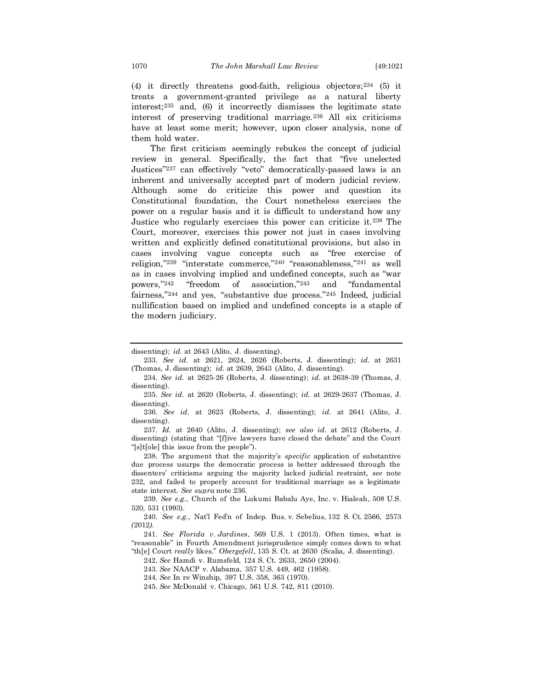(4) it directly threatens good-faith, religious objectors;<sup>234</sup> (5) it treats a government-granted privilege as a natural liberty interest;<sup>235</sup> and, (6) it incorrectly dismisses the legitimate state interest of preserving traditional marriage.<sup>236</sup> All six criticisms have at least some merit; however, upon closer analysis, none of them hold water.

The first criticism seemingly rebukes the concept of judicial review in general. Specifically, the fact that "five unelected Justices"<sup>237</sup> can effectively "veto" democratically-passed laws is an inherent and universally accepted part of modern judicial review. Although some do criticize this power and question its Constitutional foundation, the Court nonetheless exercises the power on a regular basis and it is difficult to understand how any Justice who regularly exercises this power can criticize it.<sup>238</sup> The Court, moreover, exercises this power not just in cases involving written and explicitly defined constitutional provisions, but also in cases involving vague concepts such as "free exercise of religion,"<sup>239</sup> "interstate commerce,"<sup>240</sup> "reasonableness,"<sup>241</sup> as well as in cases involving implied and undefined concepts, such as "war powers,"<sup>242</sup> "freedom of association,"<sup>243</sup> and "fundamental fairness,"<sup>244</sup> and yes, "substantive due process."<sup>245</sup> Indeed, judicial nullification based on implied and undefined concepts is a staple of the modern judiciary.

235. *See id.* at 2620 (Roberts, J. dissenting); *id.* at 2629-2637 (Thomas, J. dissenting).

236. *See id.* at 2623 (Roberts, J. dissenting); *id.* at 2641 (Alito, J. dissenting).

237. *Id.* at 2640 (Alito, J. dissenting); *see also id.* at 2612 (Roberts, J. dissenting) (stating that "[f]ive lawyers have closed the debate" and the Court "[s]t[ole] this issue from the people").

238. The argument that the majority's *specific* application of substantive due process usurps the democratic process is better addressed through the dissenters' criticisms arguing the majority lacked judicial restraint, *see* note 232, and failed to properly account for traditional marriage as a legitimate state interest. *See supra* note 236.

239. *See e.g.*, Church of the Lukumi Babalu Aye, Inc. v. Hialeah, 508 U.S. 520, 531 (1993).

240. *See e.g.*, Nat'l Fed'n of Indep. Bus. v*.* Sebelius, 132 S*.* Ct*.* 2566, 2573 *(*2012*).*

241. *See Florida v*. *Jardines*, 569 U.S. 1 (2013). Often times, what is "reasonable" in Fourth Amendment jurisprudence simply comes down to what "th[e] Court *really* likes." *Obergefell*, 135 S. Ct. at 2630 (Scalia, J. dissenting).

242. *See* Hamdi v. Rumsfeld, 124 S. Ct. 2633, 2650 (2004).

243. *See* NAACP v. Alabama, 357 U.S. 449, 462 (1958).

244. *See* In re Winship, [397 U.S. 358,](http://supreme.justia.com/cases/federal/us/397/358/case.html) 363 (1970).

245. *See* McDonald v. Chicago, 561 U.S. 742, 811 (2010).

dissenting); *id.* at 2643 (Alito, J. dissenting).

<sup>233.</sup> *See id.* at 2621, 2624, 2626 (Roberts, J. dissenting); *id.* at 2631 (Thomas, J. dissenting); *id.* at 2639, 2643 (Alito, J. dissenting).

<sup>234.</sup> *See id.* at 2625-26 (Roberts, J. dissenting); *id.* at 2638-39 (Thomas, J. dissenting).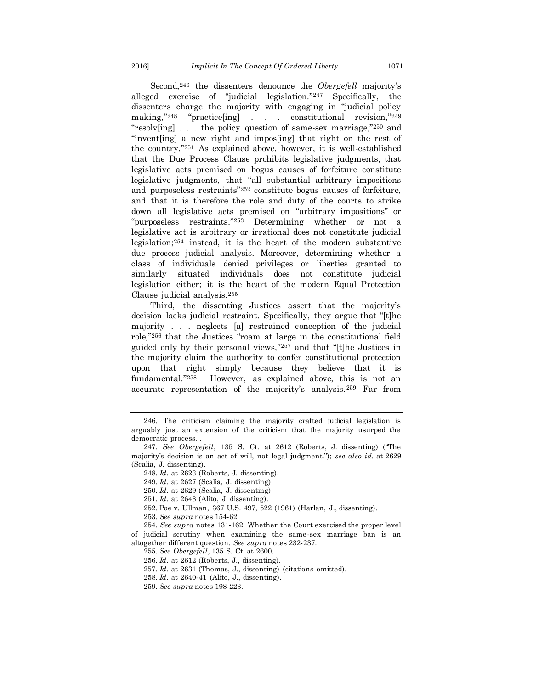Second,<sup>246</sup> the dissenters denounce the *Obergefell* majority's alleged exercise of "judicial legislation."<sup>247</sup> Specifically, the dissenters charge the majority with engaging in "judicial policy making,"<sup>248</sup> "practice[ing] . . . constitutional revision,"<sup>249</sup> "resolv[ing] . . . the policy question of same-sex marriage,"<sup>250</sup> and "invent[ing] a new right and impos[ing] that right on the rest of the country."<sup>251</sup> As explained above, however, it is well-established that the Due Process Clause prohibits legislative judgments, that legislative acts premised on bogus causes of forfeiture constitute legislative judgments, that "all substantial arbitrary impositions and purposeless restraints"<sup>252</sup> constitute bogus causes of forfeiture, and that it is therefore the role and duty of the courts to strike down all legislative acts premised on "arbitrary impositions" or "purposeless restraints."<sup>253</sup> Determining whether or not a legislative act is arbitrary or irrational does not constitute judicial legislation;<sup>254</sup> instead, it is the heart of the modern substantive due process judicial analysis. Moreover, determining whether a class of individuals denied privileges or liberties granted to similarly situated individuals does not constitute judicial legislation either; it is the heart of the modern Equal Protection Clause judicial analysis.<sup>255</sup>

Third, the dissenting Justices assert that the majority's decision lacks judicial restraint. Specifically, they argue that "[t]he majority . . . neglects [a] restrained conception of the judicial role,"<sup>256</sup> that the Justices "roam at large in the constitutional field guided only by their personal views,"<sup>257</sup> and that "[t]he Justices in the majority claim the authority to confer constitutional protection upon that right simply because they believe that it is fundamental."258 However, as explained above, this is not an accurate representation of the majority's analysis.<sup>259</sup> Far from

<sup>246.</sup> The criticism claiming the majority crafted judicial legislation is arguably just an extension of the criticism that the majority usurped the democratic process. .

<sup>247.</sup> *See Obergefell*, 135 S. Ct. at 2612 (Roberts, J. dissenting) ("The majority's decision is an act of will, not legal judgment."); *see also id.* at 2629 (Scalia, J. dissenting).

<sup>248.</sup> *Id.* at 2623 (Roberts, J. dissenting).

<sup>249.</sup> *Id.* at 2627 (Scalia, J. dissenting).

<sup>250.</sup> *Id.* at 2629 (Scalia, J. dissenting).

<sup>251.</sup> *Id*. at 2643 (Alito, J. dissenting).

<sup>252.</sup> Poe v. Ullman, 367 U.S. 497, 522 (1961) (Harlan, J., dissenting).

<sup>253.</sup> *See supra* notes 154-62.

<sup>254.</sup> *See supra* notes 131-162. Whether the Court exercised the proper level of judicial scrutiny when examining the same-sex marriage ban is an

altogether different question. *See supra* notes 232-237. 255. *See Obergefell*, 135 S. Ct. at 2600.

<sup>256.</sup> *Id.* at 2612 (Roberts, J., dissenting).

<sup>257.</sup> *Id.* at 2631 (Thomas, J., dissenting) (citations omitted).

<sup>258.</sup> *Id.* at 2640-41 (Alito, J., dissenting).

<sup>259.</sup> *See supra* notes 198-223.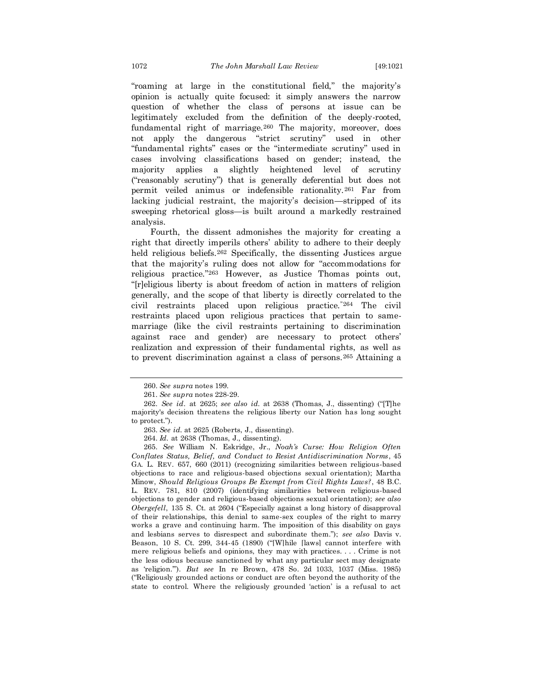"roaming at large in the constitutional field," the majority's opinion is actually quite focused: it simply answers the narrow question of whether the class of persons at issue can be legitimately excluded from the definition of the deeply-rooted, fundamental right of marriage.<sup>260</sup> The majority, moreover, does not apply the dangerous "strict scrutiny" used in other "fundamental rights" cases or the "intermediate scrutiny" used in cases involving classifications based on gender; instead, the majority applies a slightly heightened level of scrutiny ("reasonably scrutiny") that is generally deferential but does not permit veiled animus or indefensible rationality.<sup>261</sup> Far from lacking judicial restraint, the majority's decision—stripped of its sweeping rhetorical gloss—is built around a markedly restrained analysis.

Fourth, the dissent admonishes the majority for creating a right that directly imperils others' ability to adhere to their deeply held religious beliefs.<sup>262</sup> Specifically, the dissenting Justices argue that the majority's ruling does not allow for "accommodations for religious practice."<sup>263</sup> However, as Justice Thomas points out, "[r]eligious liberty is about freedom of action in matters of religion generally, and the scope of that liberty is directly correlated to the civil restraints placed upon religious practice."<sup>264</sup> The civil restraints placed upon religious practices that pertain to samemarriage (like the civil restraints pertaining to discrimination against race and gender) are necessary to protect others' realization and expression of their fundamental rights, as well as to prevent discrimination against a class of persons.<sup>265</sup> Attaining a

<sup>260.</sup> *See supra* notes 199.

<sup>261.</sup> *See supra* notes 228-29.

<sup>262.</sup> *See id*. at 2625; *see also id.* at 2638 (Thomas, J., dissenting) ("[T]he majority's decision threatens the religious liberty our Nation has long sought to protect.").

<sup>263.</sup> *See id.* at 2625 (Roberts, J., dissenting).

<sup>264.</sup> *Id.* at 2638 (Thomas, J., dissenting).

<sup>265.</sup> *See* William N. Eskridge, Jr., *Noah's Curse: How Religion Often Conflates Status, Belief, and Conduct to Resist Antidiscrimination Norms* , 45 GA. L. REV. 657, 660 (2011) (recognizing similarities between religious-based objections to race and religious-based objections sexual orientation); Martha Minow, *Should Religious Groups Be Exempt from Civil Rights Laws?*, 48 B.C. L. REV. 781, 810 (2007) (identifying similarities between religious-based objections to gender and religious-based objections sexual orientation); *see also Obergefell*, 135 S. Ct. at 2604 ("Especially against a long history of disapproval of their relationships, this denial to same-sex couples of the right to marry works a grave and continuing harm. The imposition of this disability on gays and lesbians serves to disrespect and subordinate them."); *see also* Davis v. Beason, 10 S. Ct. 299, 344-45 (1890) ("[W]hile [laws] cannot interfere with mere religious beliefs and opinions, they may with practices. . . . Crime is not the less odious because sanctioned by what any particular sect may designate as 'religion.'"). *But see* In re Brown, 478 So. 2d 1033, 1037 (Miss. 1985) ("Religiously grounded actions or conduct are often beyond the authority of the state to control. Where the religiously grounded 'action' is a refusal to act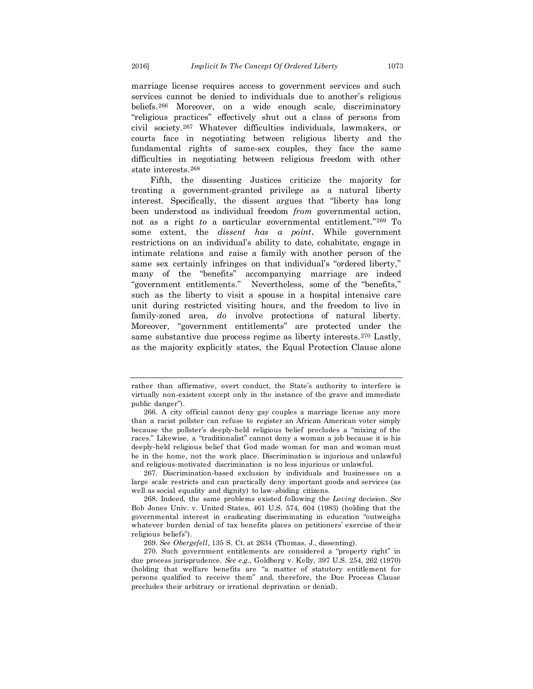marriage license requires access to government services and such services cannot be denied to individuals due to another's religious beliefs.<sup>266</sup> Moreover, on a wide enough scale, discriminatory "religious practices" effectively shut out a class of persons from civil society.<sup>267</sup> Whatever difficulties individuals, lawmakers, or courts face in negotiating between religious liberty and the fundamental rights of same-sex couples, they face the same difficulties in negotiating between religious freedom with other state interests.<sup>268</sup>

Fifth, the dissenting Justices criticize the majority for treating a government-granted privilege as a natural liberty interest. Specifically, the dissent argues that "liberty has long been understood as individual freedom *from* governmental action, not as a right *to* a particular governmental entitlement."<sup>269</sup> To some extent, the *dissent has a point.* While government restrictions on an individual's ability to date, cohabitate, engage in intimate relations and raise a family with another person of the same sex certainly infringes on that individual's "ordered liberty," many of the "benefits" accompanying marriage are indeed "government entitlements." Nevertheless, some of the "benefits," such as the liberty to visit a spouse in a hospital intensive care unit during restricted visiting hours, and the freedom to live in family-zoned area, *do* involve protections of natural liberty. Moreover, "government entitlements" are protected under the same substantive due process regime as liberty interests.<sup>270</sup> Lastly, as the majority explicitly states, the Equal Protection Clause alone

267. Discrimination-based exclusion by individuals and businesses on a large scale restricts and can practically deny important goods and services (as well as social equality and dignity) to law-abiding citizens.

268. Indeed, the same problems existed following the *Loving* decision. *See* Bob Jones Univ. v. United States, 461 U.S. 574, 604 (1983) (holding that the governmental interest in eradicating discriminating in education "outweighs whatever burden denial of tax benefits places on petitioners' exercise of the ir religious beliefs").

269. *See Obergefell*, 135 S. Ct. at 2634 (Thomas, J., dissenting).

270. Such government entitlements are considered a "property right" in due process jurisprudence. *See e.g.*, Goldberg v. Kelly, 397 U.S. 254, 262 (1970) (holding that welfare benefits are "a matter of statutory entitlement for persons qualified to receive them" and, therefore, the Due Process Clause precludes their arbitrary or irrational deprivation or denial).

rather than affirmative, overt conduct, the State's authority to interfere is virtually non-existent except only in the instance of the grave and immediate public danger").

<sup>266.</sup> A city official cannot deny gay couples a marriage license any more than a racist pollster can refuse to register an African American voter simply because the pollster's deeply-held religious belief precludes a "mixing of the races." Likewise, a "traditionalist" cannot deny a woman a job because it is his deeply-held religious belief that God made woman for man and woman must be in the home, not the work place. Discrimination is injurious and unlawful and religious-motivated discrimination is no less injurious or unlawful.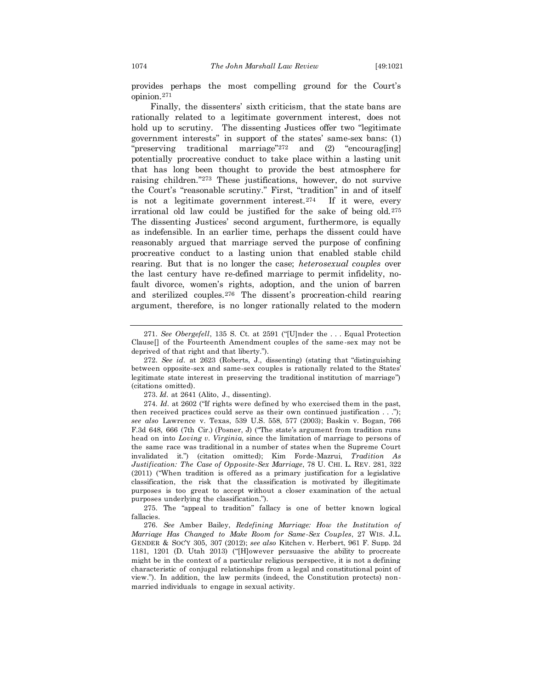provides perhaps the most compelling ground for the Court's opinion.<sup>271</sup>

Finally, the dissenters' sixth criticism, that the state bans are rationally related to a legitimate government interest, does not hold up to scrutiny. The dissenting Justices offer two "legitimate government interests" in support of the states' same-sex bans: (1) "preserving traditional marriage"<sup>272</sup> and (2) "encourag[ing] potentially procreative conduct to take place within a lasting unit that has long been thought to provide the best atmosphere for raising children."<sup>273</sup> These justifications, however, do not survive the Court's "reasonable scrutiny." First, "tradition" in and of itself is not a legitimate government interest.274 If it were, every irrational old law could be justified for the sake of being old.<sup>275</sup> The dissenting Justices' second argument, furthermore, is equally as indefensible. In an earlier time, perhaps the dissent could have reasonably argued that marriage served the purpose of confining procreative conduct to a lasting union that enabled stable child rearing. But that is no longer the case; *heterosexual couples* over the last century have re-defined marriage to permit infidelity, nofault divorce, women's rights, adoption, and the union of barren and sterilized couples.<sup>276</sup> The dissent's procreation-child rearing argument, therefore, is no longer rationally related to the modern

273. *Id.* at 2641 (Alito, J., dissenting).

<sup>271.</sup> *See Obergefell*, 135 S. Ct. at 2591 ("[U]nder the . . . Equal Protection Clause[] of the Fourteenth Amendment couples of the same -sex may not be deprived of that right and that liberty.").

<sup>272.</sup> *See id.* at 2623 (Roberts, J., dissenting) (stating that "distinguishing between opposite-sex and same-sex couples is rationally related to the States' legitimate state interest in preserving the traditional institution of marriage") (citations omitted).

<sup>274.</sup> *Id.* at 2602 ("If rights were defined by who exercised them in the past, then received practices could serve as their own continued justification . . ."); *see also* Lawrence v. Texas, 539 U.S. 558, 577 (2003); Baskin v. Bogan, 766 F.3d 648, 666 (7th Cir.) (Posner, J) ("The state's argument from tradition runs head on into *Loving v. Virginia*, since the limitation of marriage to persons of the same race was traditional in a number of states when the Supreme Court invalidated it.") (citation omitted); Kim Forde-Mazrui, *Tradition As Justification: The Case of Opposite-Sex Marriage*, 78 U. CHI. L. REV. 281, 322 (2011) ("When tradition is offered as a primary justification for a legislative classification, the risk that the classification is motivated by illegitimate purposes is too great to accept without a closer examination of the actual purposes underlying the classification.").

<sup>275.</sup> The "appeal to tradition" fallacy is one of better known logical fallacies.

<sup>276.</sup> *See* Amber Bailey, *Redefining Marriage: How the Institution of Marriage Has Changed to Make Room for Same-Sex Couples*, 27 WIS. J.L. GENDER & SOC'Y 305, 307 (2012); *see also* Kitchen v. Herbert, 961 F. Supp. 2d 1181, 1201 (D. Utah 2013) ("[H]owever persuasive the ability to procreate might be in the context of a particular religious perspective, it is not a defining characteristic of conjugal relationships from a legal and constitutional point of view."). In addition, the law permits (indeed, the Constitution protects) nonmarried individuals to engage in sexual activity.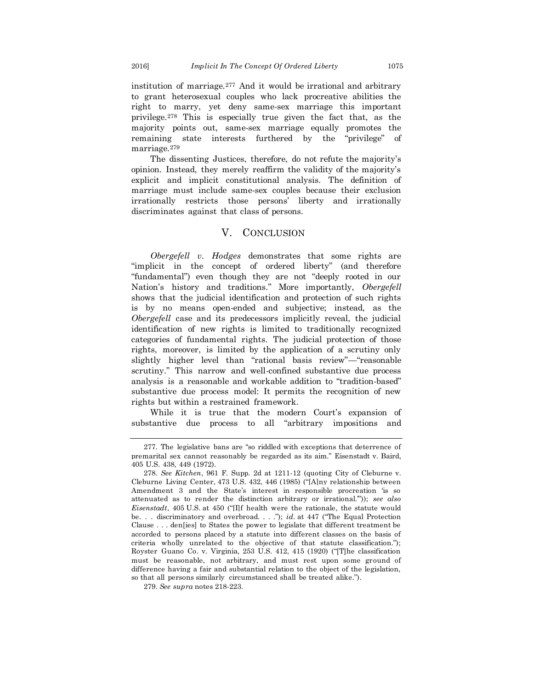institution of marriage.<sup>277</sup> And it would be irrational and arbitrary to grant heterosexual couples who lack procreative abilities the right to marry, yet deny same-sex marriage this important privilege.<sup>278</sup> This is especially true given the fact that, as the majority points out, same-sex marriage equally promotes the remaining state interests furthered by the "privilege" of marriage.<sup>279</sup>

The dissenting Justices, therefore, do not refute the majority's opinion. Instead, they merely reaffirm the validity of the majority's explicit and implicit constitutional analysis. The definition of marriage must include same-sex couples because their exclusion irrationally restricts those persons' liberty and irrationally discriminates against that class of persons.

#### V. CONCLUSION

*Obergefell v. Hodges* demonstrates that some rights are "implicit in the concept of ordered liberty" (and therefore "fundamental") even though they are not "deeply rooted in our Nation's history and traditions." More importantly, *Obergefell*  shows that the judicial identification and protection of such rights is by no means open-ended and subjective; instead, as the *Obergefell* case and its predecessors implicitly reveal, the judicial identification of new rights is limited to traditionally recognized categories of fundamental rights. The judicial protection of those rights, moreover, is limited by the application of a scrutiny only slightly higher level than "rational basis review"—"reasonable scrutiny." This narrow and well-confined substantive due process analysis is a reasonable and workable addition to "tradition-based" substantive due process model: It permits the recognition of new rights but within a restrained framework.

While it is true that the modern Court's expansion of substantive due process to all "arbitrary impositions and

<sup>277.</sup> The legislative bans are "so riddled with exceptions that deterrence of premarital sex cannot reasonably be regarded as its aim." Eisenstadt v. Baird, 405 [U.S.](https://en.wikipedia.org/wiki/United_States_Reports) [438,](https://supreme.justia.com/cases/federal/us/405/438/) 449 (1972).

<sup>278.</sup> *See Kitchen*, 961 F. Supp. 2d at 1211-12 (quoting City of Cleburne v. Cleburne Living Center*,* 473 U.S. 432, 446 (1985) ("[A]ny relationship between Amendment 3 and the State's interest in responsible procreation 'is so attenuated as to render the distinction arbitrary or irrational.'")); *see also Eisenstadt*, 405 [U.S.](https://en.wikipedia.org/wiki/United_States_Reports) at 450 ("[I]f health were the rationale, the statute would be. . . discriminatory and overbroad. . . ."); *id.* at 447 ("The Equal Protection Clause . . . den[ies] to States the power to legislate that different treatment be accorded to persons placed by a statute into different classes on the basis of criteria wholly unrelated to the objective of that statute classification."); Royster Guano Co. v. Virginia, 253 U.S. 412, 415 (1920) ("[T]he classification must be reasonable, not arbitrary, and must rest upon some ground of difference having a fair and substantial relation to the object of the legislation, so that all persons similarly circumstanced shall be treated alike.").

<sup>279.</sup> *See supra* notes 218-223.